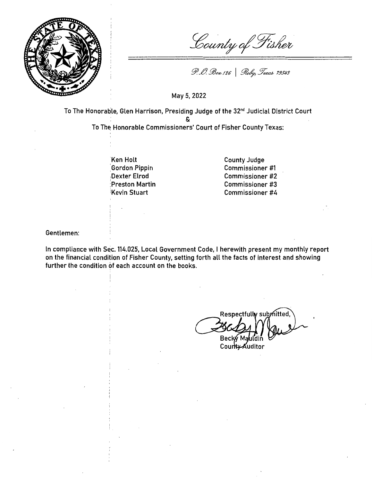

County of Fisher

P. O. Box 126 | Roby, Texas 79543

May 5, 2022

To The Honorable, Glen Harrison, Presiding Judge of the 32<sup>nd</sup> Judicial District Court

&

To The Honorable Commissioners' Court of Fisher County Texas:

Ken Holt :Gordon Pippin Dexter Elrod :Preston Martin :Kevin Stuart

County Judge Commissioner #1 Commissioner #2 Commissioner #3 Commissioner #4

Gentlemen:

In compliance with Sec. 114.025, Local Government Code, I herewith present my monthly report on the financial condition of Fisher County, setting forth all the facts of interest and showing further the condition of each account on the books.

Respectfully submitted Beck√Ma

County Auditor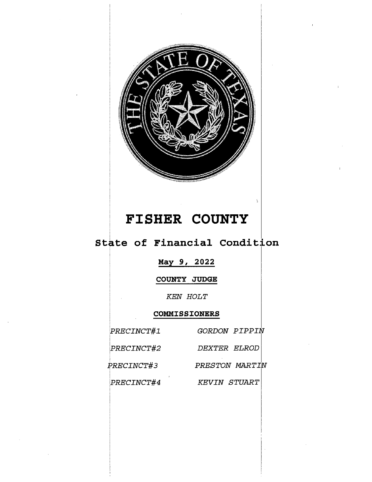

# **FISHER COUNTY**

## State of Financial Condition

## **Max 9, 2022**

**COUNTY JUDGE** 

*KEN HOLT* 

## **COMMISSIONERS**

| PRECINCT#1        | GORDON PIPPIN       |
|-------------------|---------------------|
| PRECINCT#2        | DEXTER ELROD        |
| <i>PRECINCT#3</i> | PRESTON MARTIN      |
| PRECINCT#4        | <b>KEVIN STUART</b> |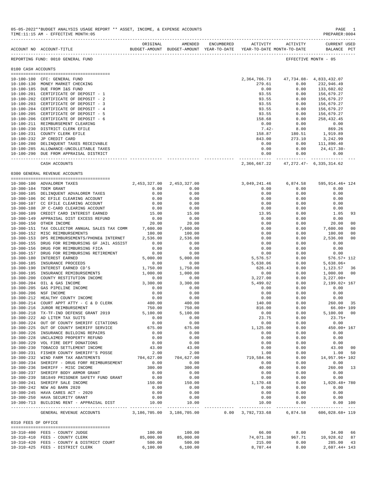|                     | ACCOUNT NO ACCOUNT-TITLE                                                      | ORIGINAL           | AMENDED                       | ENCUMBERED ACTIVITY ACTIVITY<br>BUDGET-AMOUNT BUDGET-AMOUNT YEAR-TO-DATE YEAR-TO-DATE MONTH-TO-DATE |                                                       | <b>CURRENT USED</b><br>BALANCE PCT |    |
|---------------------|-------------------------------------------------------------------------------|--------------------|-------------------------------|-----------------------------------------------------------------------------------------------------|-------------------------------------------------------|------------------------------------|----|
|                     | REPORTING FUND: 0010 GENERAL FUND                                             |                    |                               |                                                                                                     |                                                       | EFFECTIVE MONTH - 05               |    |
| 0100 CASH ACCOUNTS  |                                                                               |                    |                               |                                                                                                     |                                                       |                                    |    |
|                     | 10-100-100 CFC: GENERAL FUND                                                  |                    |                               |                                                                                                     |                                                       |                                    |    |
|                     | 10-100-130 MONEY MARKET CHECKING                                              |                    |                               | 279.61                                                                                              | 2, 364, 766. 73 47, 734. 08 - 4, 833, 432. 07<br>0.00 | 232,946.49                         |    |
|                     | 10-100-185 DUE FROM I&S FUND                                                  |                    |                               | 0.00                                                                                                | 0.00                                                  | 133,602.02                         |    |
|                     | 10-100-201 CERTIFICATE OF DEPOSIT - 1                                         |                    |                               | 93.55                                                                                               | 0.00                                                  | 156,679.27                         |    |
|                     | 10-100-202 CERTIFICATE OF DEPOSIT - 2                                         |                    |                               | 93.55                                                                                               | 0.00                                                  | 156,679.27                         |    |
|                     | 10-100-203 CERTIFICATE OF DEPOSIT - 3                                         |                    |                               | 93.55                                                                                               | 0.00                                                  | 156,679.27                         |    |
|                     | 10-100-204 CERTIFICATE OF DEPOSIT - 4                                         |                    |                               | 93.55                                                                                               | 0.00                                                  | 156,679.27                         |    |
|                     | 10-100-205 CERTIFICATE OF DEPOSIT - 5                                         |                    |                               | 93.55                                                                                               | 0.00                                                  | 156,679.27                         |    |
|                     | 10-100-206 CERTIFICATE OF DEPOSIT - 6<br>10-100-211 REIMBURSEMENT CLEARING    |                    |                               | 158.68                                                                                              | 0.00                                                  | 258,432.45                         |    |
|                     | 10-100-230 DISTRICT CLERK EFILE                                               |                    |                               | 0.00<br>$7.42 -$                                                                                    | 0.00<br>8.00                                          | 0.00<br>869.26                     |    |
|                     | 10-100-231 COUNTY CLERK EFILE                                                 |                    |                               |                                                                                                     | 158.87 180.51                                         | 1,919.89                           |    |
|                     | 10-100-232 JP CREDIT CARD                                                     |                    |                               | 843.00                                                                                              | 273.10                                                | 3,242.99                           |    |
|                     | 10-100-280 DELINQUENT TAXES RECEIVABLE                                        |                    |                               | 0.00                                                                                                | 0.00                                                  | 111,890.40                         |    |
|                     | 10-100-285 ALLOWANCE-UNCOLLETABLE TAXES                                       |                    |                               | 0.00                                                                                                | 0.00                                                  | 24,417.30-                         |    |
|                     | 10-100-290 DUE FROM APPRAISAL DISTRICT                                        |                    |                               | 0.00                                                                                                | 0.00                                                  | 0.00                               |    |
|                     | CASH ACCOUNTS                                                                 |                    |                               | ------------- -                                                                                     | 2,366,667.22 47,272.47- 6,335,314.62                  |                                    |    |
|                     | 0300 GENERAL REVENUE ACCOUNTS                                                 |                    |                               |                                                                                                     |                                                       |                                    |    |
|                     |                                                                               |                    |                               |                                                                                                     |                                                       |                                    |    |
|                     | 10-300-100 ADVALOREM TAXES                                                    | 0.00               | 2, 453, 327.00 2, 453, 327.00 | 3,049,241.46<br>0.00                                                                                | 6,874.58<br>0.00                                      | 595,914.46+ 124<br>0.00            |    |
|                     | 10-300-104 TDEM GRANT<br>10-300-105 DELINQUENT ADVALOREM TAXES                | 0.00               | 0.00<br>0.00                  | 0.00                                                                                                | 0.00                                                  | 0.00                               |    |
|                     | 10-300-106 DC EFILE CLEARING ACCOUNT                                          | 0.00               | 0.00                          | 0.00                                                                                                | 0.00                                                  | 0.00                               |    |
|                     | 10-300-107 CC EFILE CLEARING ACCOUNT                                          | 0.00               | 0.00                          | 0.00                                                                                                | 0.00                                                  | 0.00                               |    |
|                     | 10-300-108 JP C-CARD CLEARING ACCOUNT                                         | 0.00               | 0.00                          | 0.00                                                                                                | 0.00                                                  | 0.00                               |    |
|                     | 10-300-109 CREDIT CARD INTEREST EARNED                                        | 15.00              | 15.00                         | 13.95                                                                                               | 0.00                                                  | 1.05                               | 93 |
|                     | 10-300-149 APPRAISAL DIST EXCESS REFUND                                       | 0.00               | 0.00                          | 0.00                                                                                                | 0.00                                                  | 0.00                               |    |
|                     | 10-300-150 OTHER INCOME                                                       | 20.00              | 20.00                         | 0.00                                                                                                | 0.00                                                  | 20.00                              | 00 |
|                     | 10-300-151 TAX COLLECTOR ANNUAL SALES TAX COMM                                | 7,600.00           | 7,600.00                      | 0.00                                                                                                | 0.00                                                  | 7,600.00                           | 00 |
|                     | 10-300-152 MISC REIMBURSEMENTS                                                | 100.00             | 100.00                        | 0.00                                                                                                | 0.00                                                  | 100.00                             | 00 |
|                     | 10-300-153 DPS REIMBURSEMENTS/PHONE& INTERNET                                 | 2,536.00           | 2,536.00                      | 0.00                                                                                                | 0.00                                                  | 2,536.00                           | 00 |
|                     | 10-300-155 DRUG FOR REIMBURSING GF JAIL ASSIST                                | 0.00               | 0.00                          | 0.00                                                                                                | 0.00                                                  | 0.00                               |    |
|                     | 10-300-156 DRUG FOR REIMBURSING FICA                                          | 0.00               | 0.00                          | 0.00                                                                                                | 0.00                                                  | 0.00                               |    |
|                     | 10-300-157 DRUG FOR REIMBURSING RETIREMENT                                    | 0.00               | 0.00                          | 0.00                                                                                                | 0.00                                                  | 0.00                               |    |
|                     | 10-300-180 INTEREST EARNED<br>10-300-185 INSURANCE PROCEEDS                   | 5,000.00<br>0.00   | 5,000.00<br>0.00              | 5,576.57<br>5,638.06                                                                                | 0.00<br>0.00                                          | 576.57+ 112<br>$5,638.06+$         |    |
|                     | 10-300-190 INTEREST EARNED CD'S                                               | 1,750.00           | 1,750.00                      | 626.43                                                                                              | 0.00                                                  | 1,123.57                           | 36 |
|                     | 10-300-195 INSURANCE REMIBURSEMENTS                                           | 1,000.00           | 1,000.00                      | 0.00                                                                                                | 0.00                                                  | 1,000.00                           | 00 |
|                     | 10-300-200 COUNTY RESTITUTION INCOME                                          | 0.00               | 0.00                          | 3,227.00                                                                                            | 0.00                                                  | $3,227.00+$                        |    |
|                     | 10-300-204 OIL & GAS INCOME                                                   | 3,300.00           | 3,300.00                      | 5,499.02                                                                                            | 0.00                                                  | 2,199.02+ 167                      |    |
|                     | 10-300-205 GAS PIPELINE INCOME                                                | 0.00               | 0.00                          | 0.00                                                                                                | 0.00                                                  | 0.00                               |    |
|                     | 10-300-206 NSF INCOME                                                         | 0.00               | 0.00                          | 0.00                                                                                                | 0.00                                                  | 0.00                               |    |
|                     | 10-300-212 HEALTHY COUNTY INCOME                                              | 0.00               | 0.00                          | 0.00                                                                                                | 0.00                                                  | 0.00                               |    |
|                     | 10-300-214 COURT APPT ATTY - C & D CLERK                                      | 400.00             | 400.00                        | 140.00                                                                                              | 0.00                                                  | 260.00 35                          |    |
|                     | 10-300-216 JUROR REIMBURSEMENT                                                | 750.00             | 750.00                        | 816.00                                                                                              | 0.00                                                  | 66.00+ 109                         |    |
|                     | 10-300-218 TX-TF-IND DEFENSE GRANT 2019                                       | 5,100.00           | 5,100.00                      | 0.00                                                                                                | 0.00                                                  | 5,100.00 00                        |    |
|                     | 10-300-222 AD LITEM TAX SUITS                                                 | 0.00               | 0.00                          | 23.75                                                                                               | 0.00                                                  | $23.75+$                           |    |
|                     | 10-300-224 OUT OF COUNTY SHERIFF CITATIONS                                    | 0.00               | 0.00                          | 0.00                                                                                                | 0.00                                                  | 0.00                               |    |
|                     | 10-300-225 OUT OF COUNTY SHERIFF SERVICE                                      | 675.00             | 675.00                        | 1,125.00                                                                                            | 0.00                                                  | 450.00+ 167                        |    |
|                     | 10-300-226 INSURANCE BUILDING REPAIRS                                         | 0.00               | 0.00                          | 0.00                                                                                                | 0.00                                                  | 0.00                               |    |
|                     | 10-300-228 UNCLAIMED PROPERTY REFUND<br>10-300-229 VOL FIRE DEPT DONATIONS    | 0.00<br>0.00       | 0.00<br>0.00                  | 0.00<br>0.00                                                                                        | 0.00<br>0.00                                          | 0.00<br>0.00                       |    |
|                     | 10-300-230 TOBACCO SETTLEMENT INCOME                                          | 43.00              | 43.00                         | 0.00                                                                                                | 0.00                                                  | 43.00 00                           |    |
|                     | 10-300-231 FISHER COUNTY SHERIFF'S POSSE                                      | 2.00               | 2.00                          | 1.00                                                                                                | 0.00                                                  | 1.00 50                            |    |
|                     | 10-300-232 WIND FARM TAX ABATEMENTS                                           | 704,627.00         | 704,627.00                    | 719,584.96                                                                                          | 0.00                                                  | 14,957.96+ 102                     |    |
|                     | 10-300-234 SHERIFF - DRUG FORF REIMBURSEMENT                                  | 0.00               | 0.00                          | 0.00                                                                                                | 0.00                                                  | 0.00                               |    |
|                     | 10-300-236 SHERIFF - MISC INCOME                                              | 300.00             | 300.00                        | 40.00                                                                                               | 0.00                                                  | 260.00 13                          |    |
|                     | 10-300-237 SHERIFF BODY ARMOR GRANT                                           | 0.00               | 0.00                          | 0.00                                                                                                | 0.00                                                  | 0.00                               |    |
|                     | 10-300-239 SB1849 PRISONER SAFETY FUND GRANT                                  | 0.00               | 0.00                          | 0.00                                                                                                | 0.00                                                  | 0.00                               |    |
|                     | 10-300-241 SHERIFF SALE INCOME                                                | 150.00             | 150.00                        | 1,170.48                                                                                            | 0.00                                                  | 1,020.48+ 780                      |    |
|                     | 10-300-242 NEW AG BARN 2020                                                   | 0.00               | 0.00                          | 0.00                                                                                                | 0.00                                                  | 0.00                               |    |
|                     | 10-300-245 HAVA CARES ACT - 2020                                              | 0.00               | 0.00                          | 0.00                                                                                                | 0.00                                                  | 0.00                               |    |
|                     | 10-300-250 HAVA SECURITY GRANT<br>10-300-713 BUILDING RENT - APPRAISAL DIST   | 0.00<br>10.00      | 0.00<br>10.00                 | 0.00<br>10.00                                                                                       | 0.00<br>0.00                                          | 0.00<br>0.00 100                   |    |
|                     | GENERAL REVENUE ACCOUNTS 3,186,705.00 3,186,705.00                            |                    |                               | $0.00$ 3,792,733.68 6,874.58 606,028.68+ 119                                                        |                                                       |                                    |    |
| 0310 FEES OF OFFICE |                                                                               |                    |                               |                                                                                                     |                                                       |                                    |    |
|                     |                                                                               |                    |                               |                                                                                                     |                                                       |                                    |    |
|                     | 10-310-400 FEES - COUNTY JUDGE                                                | 100.00             | 100.00                        | 66.00                                                                                               | 8.00                                                  | 34.00 66                           |    |
|                     | 10-310-410 FEES - COUNTY CLERK                                                | 85,000.00          | 85,000.00                     | 74,071.38                                                                                           | 967.71                                                | 10,928.62 87                       |    |
|                     | 10-310-420 FEES - COUNTY & DISTRICT COURT<br>10-310-425 FEES - DISTRICT CLERK | 500.00<br>6,100.00 | 500.00<br>6,100.00            | 215.00<br>8,707.44                                                                                  | 0.00<br>8.00                                          | 285.00 43<br>2,607.44+ 143         |    |
|                     |                                                                               |                    |                               |                                                                                                     |                                                       |                                    |    |

05-05-2022\*\*BUDGET ANALYSIS USAGE REPORT \*\* ASSET, INCOME, & EXPENSE ACCOUNTS PAGE 1<br>TIME:11:15 AM - EFFECTIVE MONTH:05 TIME:11:15 AM - EFFECTIVE MONTH:05

-------------------------------------------------------------------------------------------------------------------------------------------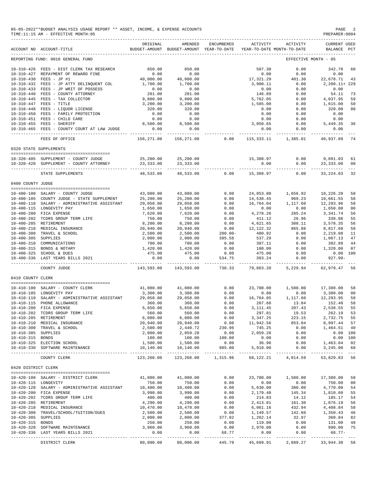|                                         | 05-05-2022**BUDGET ANALYSIS USAGE REPORT ** ASSET, INCOME, & EXPENSE ACCOUNTS<br>TIME: 11:15 AM - EFFECTIVE MONTH: 05                                      |                                             |                                                     |                              |                                                      |                                     | PAGE<br>PREPARER: 0004                              |                      |
|-----------------------------------------|------------------------------------------------------------------------------------------------------------------------------------------------------------|---------------------------------------------|-----------------------------------------------------|------------------------------|------------------------------------------------------|-------------------------------------|-----------------------------------------------------|----------------------|
|                                         | ACCOUNT NO ACCOUNT-TITLE                                                                                                                                   | ORIGINAL                                    | AMENDED<br>BUDGET-AMOUNT BUDGET-AMOUNT YEAR-TO-DATE | ENCUMBERED                   | ACTIVITY<br>YEAR-TO-DATE MONTH-TO-DATE               | ACTIVITY                            | <b>CURRENT USED</b><br>BALANCE PCT                  |                      |
|                                         | REPORTING FUND: 0010 GENERAL FUND                                                                                                                          |                                             |                                                     |                              |                                                      |                                     | EFFECTIVE MONTH - 05                                |                      |
|                                         | 10-310-426 FEES - DIST CLERK TAX RESEARCH<br>10-310-427 REPAYMENT OF REWARD FINE<br>10-310-430 FEES - JP #1                                                | 850.00<br>0.00<br>40,000.00                 | 850.00<br>0.00<br>40,000.00                         |                              | 507.30<br>0.00<br>17,321.29                          | 0.00<br>0.00<br>401.30              | 342.70<br>0.00<br>22,678.71                         | 60<br>43             |
|                                         | 10-310-432 FEES - JP ATTY DELINQUENT COL<br>10-310-433 FEES - JP WRIT OF POSSESS<br>10-310-440 FEES - COUNTY ATTORNEY                                      | 1,700.00<br>0.00<br>201.00                  | 1,700.00<br>0.00<br>201.00                          |                              | 3,900.11<br>0.00<br>146.89                           | 0.00<br>0.00<br>0.00                | 2,200.11+ 229<br>0.00<br>54.11                      | 73                   |
|                                         | 10-310-445 FEES - TAX COLLECTOR<br>10-310-447 FEES - TITLE<br>10-310-448 FEES - LIQUOR LICENSE<br>10-310-450 FEES - FAMILY PROTECTION                      | 9,800.00<br>3,200.00<br>320.00<br>0.00      | 9,800.00<br>3,200.00<br>320.00<br>0.00              |                              | 5,762.05<br>1,585.00<br>0.00<br>0.00                 | 0.00<br>0.00<br>0.00<br>0.00        | 4,037.95<br>1,615.00<br>320.00<br>0.00              | 59<br>50<br>00       |
|                                         | 10-310-451 FEES - CHILD CARE<br>10-310-455 FEES - SHERIFF<br>10-310-465 FEES - COUNTY COURT AT LAW JUDGE                                                   | 0.00<br>8,500.00<br>0.00                    | 0.00<br>8,500.00<br>0.00                            |                              | 0.00<br>3,050.65<br>0.00                             | 0.00<br>0.00<br>0.00                | 0.00<br>5,449.35<br>0.00                            | 36                   |
|                                         | FEES OF OFFICE                                                                                                                                             | 156,271.00                                  | ------------<br>156,271.00                          | 0.00                         | ------------<br>115,333.11                           | ------------<br>1,385.01            | ----------<br>40,937.89                             | 74                   |
|                                         | 0320 STATE SUPPLEMENTS                                                                                                                                     |                                             |                                                     |                              |                                                      |                                     |                                                     |                      |
|                                         | 10-320-405 SUPPLEMENT - COUNTY JUDGE<br>10-320-420 SUPPLEMENT - COUNTY ATTORNEY                                                                            | 25,200.00<br>23, 333.00<br>---------        | 25,200.00<br>23, 333.00<br>----------               |                              | 15,308.97<br>0.00                                    | 0.00<br>0.00                        | 9,891.03<br>23, 333.00<br>-----------               | 61<br>00             |
|                                         | STATE SUPPLEMENTS                                                                                                                                          | 48,533.00                                   | 48,533.00                                           | 0.00                         | 15,308.97                                            | 0.00                                | 33, 224.03                                          | 32                   |
| 0400 COUNTY JUDGE                       |                                                                                                                                                            |                                             |                                                     |                              |                                                      |                                     |                                                     |                      |
|                                         | 10-400-100 SALARY - COUNTY JUDGE<br>10-400-105 COUNTY JUDGE - STATE SUPPLEMENT<br>10-400-110 SALARY - ADMINISTRATIVE ASSISTANT<br>10-400-115 LONGEVITY PAY | 43,080.00<br>25,200.00<br>29,058.00         | 43,080.00<br>25,200.00<br>29,058.00                 | 0.00<br>0.00<br>0.00<br>0.00 | 24,853.80<br>14,538.45<br>16,764.04                  | 1,656.92<br>969.23<br>1,117.60      | 18,226.20<br>10,661.55<br>12,293.96                 | 58<br>58<br>58<br>00 |
|                                         | 10-400-200 FICA EXPENSE<br>10-400-202 TCDRS GROUP TERM LIFE<br>10-400-205 RETIREMENT                                                                       | 1,650.00<br>7,620.00<br>750.00<br>8,200.00  | 1,650.00<br>7,620.00<br>750.00<br>8,200.00          | 0.00<br>0.00<br>0.00         | 0.00<br>4,278.26<br>411.12<br>4,621.65               | 0.00<br>285.24<br>26.96<br>308.11   | 1,650.00<br>3,341.74<br>338.88<br>3,578.35          | 56<br>55<br>56       |
| 10-400-305 SUPPLIES                     | 10-400-210 MEDICAL INSURANCE<br>10-400-300 TRAVEL & SCHOOL                                                                                                 | 20,940.00<br>2,500.00<br>2,000.00           | 20,940.00<br>2,500.00<br>2,000.00                   | 0.00<br>$200.00 -$<br>395.58 | 12, 122.32<br>480.92<br>537.29                       | 865.88<br>0.00<br>0.00              | 8,817.68<br>2,219.08<br>1,067.13                    | 58<br>11<br>47       |
|                                         | 10-400-310 COMMUNICATIONS<br>10-400-315 BONDS & NOTARY<br>10-400-325 SCHOOL & DUES                                                                         | 700.00<br>1,420.00<br>475.00                | 700.00<br>1,420.00<br>475.00                        | 0.00<br>0.00<br>0.00         | 307.11<br>100.00<br>475.00                           | 0.00<br>0.00<br>0.00                | 392.89<br>1,320.00<br>0.00 100                      | 44<br>07             |
|                                         | 10-400-336 LAST YEARS BILLS 2021<br>COUNTY JUDGE                                                                                                           | 0.00<br>-------------<br>143,593.00         | 0.00<br>------------<br>143,593.00                  | 534.75<br>.<br>730.33        | 393.24<br>_____________________________<br>79,883.20 | 0.00<br>5,229.94                    | $927.99 -$<br>-----------<br>62,979.47              | 56                   |
| 0410 COUNTY CLERK                       |                                                                                                                                                            |                                             |                                                     |                              |                                                      |                                     |                                                     |                      |
|                                         | 10-410-100 SALARY - COUNTY CLERK                                                                                                                           | 41,080.00                                   | 41,080.00                                           | 0.00                         | 23,700.00                                            | 1,580.00                            | 17,380.00                                           | 58                   |
|                                         | 10-410-105 LONGEVITY PAY<br>$10-410-110$ SALARY - ADMINISTRATIVE ASSISTANT<br>$10-410-115$ PHONE ALLOWANCE<br>$10-410-200$ FICA EXPENSE                    | 3,300.00<br>29,058.00<br>360.00             | 3,300.00<br>29,058,00<br>360.00                     | 0.00<br>0.00<br>0.00         | 0.00<br>16,764.05<br>207.60                          | 0.00<br>1,117.60<br>13.84           | 3,300.00<br>12,293.95<br>152.40                     | 00<br>58<br>58       |
|                                         | 10-410-200 FICA EXPENSE<br>10-410-202 TCDRS GROUP TERM LIFE<br>10-410-205 RETIREMENT<br>10-410-210 MEDICAL INSURANCE                                       | 5,650.00<br>560.00<br>6,080.00<br>20,940.00 | 5,650.00<br>560.00<br>6,080.00<br>20,940.00         | 0.00<br>0.00<br>0.00<br>0.00 | 3, 111.45<br>297.81<br>3,347.25<br>11,942.56         | 207.43<br>19.53<br>223.15<br>853.04 | 2,538.55 55<br>262.19<br>2,732.75 55<br>8,997.44 57 | 53                   |
| 10-410-305 SUPPLIES<br>10-410-315 BONDS | 10-410-300 TRAVEL & SCHOOL                                                                                                                                 | 2,500.00<br>2,000.00<br>100.00              | 2,440.72<br>2,059.28<br>100.00                      | 230.96<br>0.00<br>100.00     | 745.25<br>2,059.28<br>0.00                           | 0.00<br>0.00<br>0.00                | 1,464.51 40<br>0.00 100<br>0.00 100                 |                      |
|                                         | 10-410-325 ELECTION SCHOOL<br>10-410-330 SOFTWARE MAINTENANCE                                                                                              | 1,500.00<br>10,140.00                       | 1,500.00<br>10,140.00                               | 0.00<br>985.00               | 36.96<br>5,910.00                                    | 0.00<br>0.00                        | 1,463.04 02<br>3,245.00                             | 68                   |
|                                         | COUNTY CLERK                                                                                                                                               | 123,268.00                                  |                                                     | 123,268.00 1,315.96          |                                                      | 68, 122. 21 4, 014. 59              | 53,829.83 56                                        |                      |
| 0420 DISTRICT CLERK                     | --------------------------------------                                                                                                                     |                                             |                                                     |                              |                                                      |                                     |                                                     |                      |
| 10-420-115 LONGEVITY                    | 10-420-100 SALARY - DISTRICT CLERK                                                                                                                         | 41,080.00<br>750.00                         | 41,080.00<br>750.00                                 | 0.00<br>0.00                 | 23,700.00<br>0.00                                    | 1,580.00<br>0.00                    | 17,380.00<br>750.00 00                              | 58                   |
|                                         | 10-420-120 SALARY - ADMINISTRATIVE ASSISTANT<br>10-420-200 FICA EXPENSE<br>10-420-202 TCDRS GROUP TERM LIFE                                                | 10,400.00<br>3,990.00<br>400.00             | 10,400.00<br>3,990.00<br>400.00                     | 0.00<br>0.00<br>0.00         | 5,630.00<br>2,179.40<br>214.83                       | 380.00<br>145.34<br>14.12           | 4,770.00<br>1,810.60<br>185.17                      | 54<br>55<br>54       |
|                                         | 10-420-205 RETIREMENT<br>10-420-210 MEDICAL INSURANCE<br>10-420-300 TRAVEL/SCHOOL/TUITION/DUES                                                             | 4,290.00<br>10,470.00<br>2,500.00           | 4,290.00<br>10,470.00<br>2,500.00                   | 0.00<br>0.00<br>0.00         | 2,413.81<br>6,061.16<br>1,149.57                     | 161.30<br>432.94<br>142.60          | 1,876.19<br>4,408.84<br>1,350.43                    | 56<br>58<br>46       |
| 10-420-305 SUPPLIES<br>10-420-315 BONDS | 10-420-320 SOFTWARE MAINTENANCE                                                                                                                            | 2,000.00<br>250.00<br>3,960.00              | 2,000.00<br>250.00<br>3,960.00                      | 377.02<br>0.00<br>0.00       | 1,262.14<br>119.00<br>2,970.00                       | 32.97<br>0.00<br>0.00               | 360.84 82<br>131.00<br>990.00 75                    | 48                   |
|                                         | 10-420-336 LAST YEARS BILLS 2021                                                                                                                           | 0.00<br>.                                   | 0.00<br>-----------                                 | 68.77                        | 0.00<br>----------- ------------                     | 0.00                                | $68.77-$<br>______________                          |                      |
|                                         | DISTRICT CLERK                                                                                                                                             | 80,090.00                                   | 80,090.00                                           | 445.79                       | 45,699.91                                            | 2,889.27                            | 33,944.30 58                                        |                      |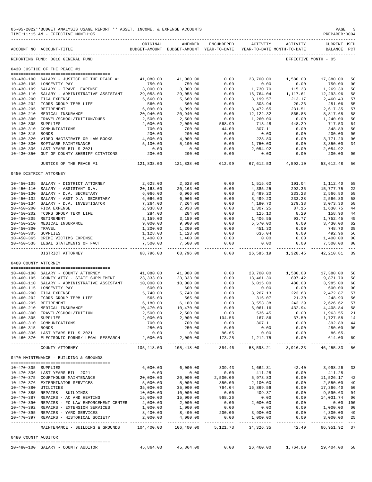|                      | 05-05-2022**BUDGET ANALYSIS USAGE REPORT ** ASSET, INCOME, & EXPENSE ACCOUNTS<br>TIME:11:15 AM - EFFECTIVE MONTH:05 |                             |                                                                                |                       |                                       |                   | PAGE<br>PREPARER: 0004             | 3                       |
|----------------------|---------------------------------------------------------------------------------------------------------------------|-----------------------------|--------------------------------------------------------------------------------|-----------------------|---------------------------------------|-------------------|------------------------------------|-------------------------|
|                      | ACCOUNT NO ACCOUNT-TITLE                                                                                            | ORIGINAL                    | AMENDED<br>BUDGET-AMOUNT BUDGET-AMOUNT YEAR-TO-DATE YEAR-TO-DATE MONTH-TO-DATE | ENCUMBERED            |                                       | ACTIVITY ACTIVITY | <b>CURRENT USED</b><br>BALANCE PCT |                         |
|                      | REPORTING FUND: 0010 GENERAL FUND                                                                                   |                             |                                                                                |                       |                                       |                   | EFFECTIVE MONTH - 05               |                         |
|                      | 0430 JUSTICE OF THE PEACE #1                                                                                        |                             |                                                                                |                       |                                       |                   |                                    |                         |
|                      | 10-430-100 SALARY - JUSTICE OF THE PEACE #1                                                                         | 41,080.00                   | 41,080.00                                                                      | 0.00                  | 23,700.00                             | 1,580.00          | 17,380.00                          | 58                      |
|                      | 10-430-105 LONGEVITY PAY                                                                                            | 750.00                      | 750.00                                                                         | 0.00                  | 0.00                                  | 0.00              | 750.00                             | 0 <sub>0</sub>          |
|                      | 10-430-109 SALARY - TRAVEL EXPENSE                                                                                  | 3,000.00                    | 3,000.00                                                                       | 0.00                  | 1,730.70                              | 115.38            | 1,269.30                           | 58                      |
|                      | 10-430-110 SALARY - ADMINISTRATIVE ASSISTANT 29,058.00                                                              |                             | 29,058.00                                                                      | 0.00                  | 16,764.04                             | 1, 117.61         | 12,293.96                          | 58                      |
|                      | 10-430-200 FICA EXPENSE                                                                                             | 5,660.00                    | 5,660.00                                                                       | 0.00                  | 3,199.57                              | 213.17            | 2,460.43                           | 57                      |
|                      | 10-430-202 TCDRS GROUP TERM LIFE                                                                                    | 560.00                      | 560.00                                                                         | 0.00                  | 308.94                                | 20.26             | 251.06                             | 55                      |
|                      | 10-430-205 RETIREMENT<br>10-430-210 MEDICAL INSURANCE                                                               | 6,090.00                    | 6,090.00                                                                       | 0.00                  | 3,472.65                              | 231.51            | 2,617.35                           | 57                      |
|                      | 10-430-300 TRAVEL/SCHOOL/TUITION/DUES                                                                               | 20,940.00<br>2,500.00       | 20,940.00<br>2,500.00                                                          | 0.00<br>0.00          | 12,122.32<br>1,260.00                 | 865.88<br>0.00    | 8,817.68<br>1,240.00               | 58<br>50                |
| 10-430-305 SUPPLIES  |                                                                                                                     | 2,000.00                    | 2,000.00                                                                       | 568.99                | 713.48                                | 448.29            | 717.53                             | 64                      |
|                      | 10-430-310 COMMUNICATIONS                                                                                           | 700.00                      | 700.00                                                                         | 44.00                 | 307.11                                | 0.00              | 348.89                             | 50                      |
| 10-430-315 BONDS     |                                                                                                                     | 200.00                      | 200.00                                                                         | 0.00                  | 0.00                                  | 0.00              | 200.00                             | 0 <sub>0</sub>          |
|                      | 10-430-320 VIDEO MAGISTRATE OR LAW BOOKS                                                                            | 4,000.00                    | 4,000.00                                                                       | 0.00                  | 228.80                                | 0.00              | 3,771.20                           | 06                      |
|                      | 10-430-330 SOFTWARE MAINTENANCE                                                                                     | 5,100.00                    | 5,100.00                                                                       | 0.00                  | 1,750.00                              | 0.00              | 3,350.00                           | 34                      |
|                      | 10-430-336 LAST YEARS BILLS 2021                                                                                    | 0.00                        | 0.00                                                                           | 0.00                  | 2,054.92                              | 0.00              | $2,054.92-$                        |                         |
| $10 - 430 - 350$     | OUT OF COUNTY SHERIFF CITATIONS<br>------------------------------                                                   | 200.00<br>------------      | 200.00                                                                         | 0.00<br>_____________ | 0.00                                  | 0.00              | 200.00                             | 0 <sub>0</sub>          |
|                      | JUSTICE OF THE PEACE #1                                                                                             | 121,838.00                  | 121,838.00                                                                     | 612.99                | 67,612.53                             | 4,592.10          | 53,612.48                          | 56                      |
|                      | 0450 DISTRICT ATTORNEY                                                                                              |                             |                                                                                |                       |                                       |                   |                                    |                         |
|                      | 10-450-105 SALARY - DISTRICT ATTORNEY                                                                               |                             | 2,628.00 2,628.00                                                              | 0.00                  |                                       | 1,515.60 101.04   | 1,112.40                           | 58                      |
|                      | 10-450-110 SALARY - ASSISTANT D.A.                                                                                  | 20,163.00                   | 20,163.00                                                                      | 0.00                  | 4,385.25                              | 292.35            | 15,777.75                          | 22                      |
|                      | 10-450-130 SALARY - D.A. SECRETARY                                                                                  | 6,066.00                    | 6,066.00                                                                       | 0.00                  | 3,499.20                              | 233.28            | 2,566.80                           | 58                      |
|                      | 10-450-132 SALARY - ASST D.A. SECRETARY                                                                             | 6,066.00                    | 6,066.00                                                                       | 0.00                  | 3,499.20                              | 233.28            | 2,566.80                           | 58                      |
|                      | 10-450-134 SALARY - D.A. INVESTIGATOR                                                                               | 7,264.00                    | 7,264.00                                                                       | 0.00                  | 4,190.70                              | 279.38            | 3,073.30                           | 58                      |
|                      | 10-450-200 FICA EXPENSE                                                                                             | 2,938.00                    | 2,938.00                                                                       | 0.00                  | 1,307.25                              | 87.15             | 1,630.75                           | 44                      |
|                      | 10-450-202 TCDRS GROUP TERM LIFE<br>10-450-205 RETIREMENT                                                           | 284.00<br>3,159.00          | 284.00<br>3,159.00                                                             | 0.00<br>0.00          | 125.10<br>1,406.55                    | 8.20<br>93.77     | 158.90<br>1,752.45                 | 44<br>45                |
|                      | 10-450-210 MEDICAL INSURANCE                                                                                        | 9,000.00                    | 9,000.00                                                                       | 0.00                  | 5,570.00                              | 0.00              | 3,430.00                           | 62                      |
| 10-450-300 TRAVEL    |                                                                                                                     | 1,200.00                    | 1,200.00                                                                       | 0.00                  | 451.30                                | 0.00              | 748.70                             | 38                      |
| 10-450-305 SUPPLIES  |                                                                                                                     | 1,128.00                    | 1,128.00                                                                       | 0.00                  | 635.04                                | 0.00              | 492.96                             | 56                      |
|                      | 10-450-365 CRIME VICTIMS EXPENSE                                                                                    | 1,400.00                    | 1,400.00                                                                       | 0.00                  | 0.00                                  | 0.00              | 1,400.00                           | 0 <sub>0</sub>          |
|                      | 10-450-538 LEGAL STATEMENTS OF FACT                                                                                 | 7,500.00<br>- ------------- | 7,500.00<br>-------------                                                      | 0.00<br>------------  | 0.00<br>------------                  | 0.00              | 7,500.00                           | 0 <sub>0</sub><br>$---$ |
|                      | DISTRICT ATTORNEY                                                                                                   | 68,796.00                   | 68,796.00                                                                      | 0.00                  | 26,585.19                             | 1,328.45          | 42,210.81                          | 39                      |
| 0460 COUNTY ATTORNEY |                                                                                                                     |                             |                                                                                |                       |                                       |                   |                                    |                         |
|                      | 10-460-100 SALARY - COUNTY ATTORNEY                                                                                 | 41,080.00                   | 41,080.00                                                                      | 0.00                  | 23,700.00                             | 1,580.00          | 17,380.00                          | 58                      |
|                      | 10-460-105 COUNTY ATTY - STATE SUPPLEMENT                                                                           | 23,333.00                   | 23,333.00                                                                      | 0.00                  | 13,461.30                             | 897.42            | 9,871.70                           | 58                      |
|                      | 10-460-110 SALARY - ADMINISTRATIVE ASSISTANT                                                                        | 10,000.00                   | 10,000.00                                                                      | 0.00                  | 6,015.00                              | 480.00            | 3,985.00                           | 60                      |
|                      | 10-460-115 LONGEVITY PAY                                                                                            | 600.00                      | 600.00                                                                         | 0.00                  | 0.00                                  | 0.00              | 600.00                             | 0 <sub>0</sub>          |
|                      | 10-460-200 FICA EXPENSE                                                                                             | 5,740.00                    | 5,740.00                                                                       | 0.00                  | 3,267.13                              | 223.68            | 2,472.87                           | 57                      |
|                      | 10-460-202 TCDRS GROUP TERM LIFE                                                                                    | 565.00                      | 565.00                                                                         | 0.00                  | 316.07                                | 21.30             | 248.93                             | 56                      |
|                      | 10-460-205 RETIREMENT<br>10-460-210 MEDICAL INSURANCE                                                               | 6,180.00<br>10,470.00       | 6,180.00<br>10,470.00                                                          | 0.00<br>0.00          | 3,553.38<br>6,061.16                  | 243.39<br>432.94  | 2,626.62                           | -57                     |
|                      | 10-460-300 TRAVEL/SCHOOL/TUITION                                                                                    | 2,500.00                    | 2,500.00                                                                       | 0.00                  | 536.45                                | 0.00              | 4,408.84<br>1,963.55               | 58<br>21                |
| $10 - 460 - 305$     | SUPPLIES                                                                                                            | 2,000.00                    | 2,000.00                                                                       | 104.56                | 167.86                                | 37.50             | 1,727.58                           | 14                      |
| $10 - 460 - 310$     | COMMUNICATIONS                                                                                                      | 700.00                      | 700.00                                                                         | 0.00                  | 307.11                                | 0.00              | 392.89                             | 44                      |
| 10-460-315 BONDS     |                                                                                                                     | 250.00                      | 250.00                                                                         | 0.00                  | 0.00                                  | 0.00              | 250.00                             | 0 <sub>0</sub>          |
|                      | 10-460-336 LAST YEARS BILLS 2021                                                                                    | 0.00                        | 0.00                                                                           | 86.65                 | 0.00                                  | 0.00              | $86.65-$                           |                         |
|                      | 10-460-370 ELECTRONIC FORMS/ LEGAL RESEARCH                                                                         | 2,000.00<br>__________      | 2,000.00<br>------------                                                       | 173.25<br>---------   | 1,212.75<br>___________               | 0.00<br>--------- | 614.00<br>---------                | 69                      |
|                      | COUNTY ATTORNEY                                                                                                     | 105,418.00                  | 105,418.00                                                                     | 364.46                | 58,598.21                             | 3,916.23          | 46, 455. 33 56                     |                         |
|                      | 0470 MAINTENANCE - BUILDING & GROUNDS                                                                               |                             |                                                                                |                       |                                       |                   |                                    |                         |
| 10-470-305 SUPPLIES  |                                                                                                                     | 6.000.00                    | 6,000.00                                                                       | 339.43                | 1,662.31                              | 42.40             | 3,998.26                           | 33                      |
|                      | 10-470-336 LAST YEARS BILL 2021                                                                                     | 0.00                        | 0.00                                                                           | 0.00                  | 411.28                                | 0.00              | $411.28 -$                         |                         |
|                      | 10-470-375 COURTHOUSE MAINTENANCE                                                                                   | 20,000.00                   | 20,000.00                                                                      | 2,500.00              | 5,973.83                              | 0.00              | 11,526.17                          | 42                      |
|                      | 10-470-376 EXTERMINATOR SERVICES                                                                                    | 5,000.00                    | 5,000.00                                                                       | 350.00                | 2,100.00                              | 0.00              | 2,550.00                           | 49                      |
| 10-470-380 UTILITIES |                                                                                                                     | 35,000.00                   | 35,000.00                                                                      | 764.04                | 16,869.56                             | 0.00              | 17,366.40                          | 50                      |
|                      | 10-470-385 REPAIRS - BUILDINGS<br>10-470-387 REPAIRS - AC AND HEATING                                               | 10,000.00<br>15,000.00      | 10,000.00<br>15,000.00                                                         | 0.00<br>968.26        | 409.37<br>0.00                        | 0.00<br>0.00      | 9,590.63<br>14,031.74              | 04<br>06                |
|                      | 10-470-390 REPAIRS - FC LAW ENFORCEMENT CENTER                                                                      | 2,000.00                    | 2,000.00                                                                       | 0.00                  | 2,000.00                              | 0.00              | 0.00 100                           |                         |
|                      | 10-470-392 REPAIRS - EXTENSION SERVICES                                                                             | 1,000.00                    | 1,000.00                                                                       | 0.00                  | 0.00                                  | 0.00              | 1,000.00                           | 0 <sub>0</sub>          |
|                      | 10-470-395 REPAIRS - YARD SERVICES                                                                                  | 8,400.00                    | 8,400.00                                                                       | 200.00                | 3,900.00                              | 0.00              | 4,300.00                           | 49                      |
|                      | 10-470-397 REPAIRS - HISTORICAL SOCIETY                                                                             | 2,000.00<br>----------      | 4,000.00<br>. _ _ _ _ _ _ _ _ _ _                                              | 0.00<br>---------     | 1,000.00<br>$- - - - - - - - - - - -$ | 0.00<br>-----     | 3,000.00<br>-------------          | 25                      |
|                      | MAINTENANCE - BUILDING & GROUNDS                                                                                    | 104,400.00                  | 106,400.00                                                                     | 5,121.73              | 34, 326. 35                           | 42.40             | 66,951.92 37                       |                         |
| 0480 COUNTY AUDITOR  |                                                                                                                     |                             |                                                                                |                       |                                       |                   |                                    |                         |
|                      | 10-480-100 SALARY - COUNTY AUDITOR                                                                                  | 45,864.00                   | 45,864.00                                                                      | 0.00                  | 26,460.00                             | 1,764.00          | 19,404.00                          | 58                      |
|                      |                                                                                                                     |                             |                                                                                |                       |                                       |                   |                                    |                         |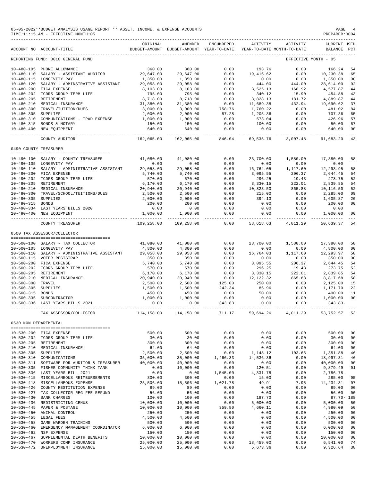|                                      | 05-05-2022**BUDGET ANALYSIS USAGE REPORT ** ASSET, INCOME, & EXPENSE ACCOUNTS<br>TIME:11:15 AM - EFFECTIVE MONTH:05 |                                                                          |                                                     |                     |                       |                                        | PAGE<br>PREPARER: 0004             |                      |
|--------------------------------------|---------------------------------------------------------------------------------------------------------------------|--------------------------------------------------------------------------|-----------------------------------------------------|---------------------|-----------------------|----------------------------------------|------------------------------------|----------------------|
|                                      | ACCOUNT NO ACCOUNT-TITLE                                                                                            | ORIGINAL                                                                 | AMENDED<br>BUDGET-AMOUNT BUDGET-AMOUNT YEAR-TO-DATE | ENCUMBERED          | ACTIVITY              | ACTIVITY<br>YEAR-TO-DATE MONTH-TO-DATE | <b>CURRENT USED</b><br>BALANCE PCT |                      |
|                                      | REPORTING FUND: 0010 GENERAL FUND                                                                                   |                                                                          |                                                     |                     |                       |                                        | EFFECTIVE MONTH - 05               |                      |
|                                      | 10-480-105 PHONE ALLOWANCE                                                                                          | 360.00                                                                   | 360.00                                              | 0.00                | 193.76                | 0.00                                   | 166.24                             | 54                   |
| $10 - 480 - 110$                     | SALARY - ASSISTANT AUDITOR                                                                                          | 29,647.00                                                                | 29,647.00                                           | 0.00                | 19,416.62             | 0.00                                   | 10,230.38                          | 65                   |
|                                      | 10-480-115 LONGEVITY PAY                                                                                            | 1,350.00                                                                 | 1,350.00                                            | 0.00                | 0.00                  | 0.00                                   | 1,350.00                           | 00                   |
| 10-480-120                           | SALARY - ADMINSTRATIVE ASSISTANT                                                                                    | 29,058.00                                                                | 29,058.00                                           | 0.00                | 444.00                | 444.00                                 | 28,614.00                          | 02                   |
|                                      | 10-480-200 FICA EXPENSE                                                                                             | 8,103.00                                                                 | 8,103.00                                            | 0.00                | 3,525.13              | 168.92                                 | 4,577.87                           | 44                   |
|                                      | 10-480-202 TCDRS GROUP TERM LIFE                                                                                    | 795.00                                                                   | 795.00                                              | 0.00                | 340.12                | 15.90                                  | 454.88                             | 43                   |
|                                      | 10-480-205 RETIREMENT<br>10-480-210 MEDICAL INSURANCE                                                               | 8,718.00<br>31,380.00                                                    | 8,718.00<br>31,380.00                               | 0.00<br>0.00        | 3,828.13<br>11,689.38 | 181.72<br>432.94                       | 4,889.87<br>19,690.62              | 44<br>37             |
| $10 - 480 - 300$                     | TRAVEL/TUITION/DUES                                                                                                 | 3,000.00                                                                 | 3,000.00                                            | 758.76              | 1,760.22              | 0.00                                   | 481.02                             | 84                   |
| 10-480-305 SUPPLIES                  |                                                                                                                     | 2,000.00                                                                 | 2,000.00                                            | 87.28               | 1,205.36              | 0.00                                   | 707.36                             | 65                   |
|                                      | 10-480-310 COMMUNICATIONS - IPAD EXPENSE                                                                            | 1,000.00                                                                 | 1,000.00                                            | 0.00                | 573.04                | 0.00                                   | 426.96                             | 57                   |
|                                      | 10-480-315 BONDS & NOTARY                                                                                           | 150.00                                                                   | 150.00                                              | 0.00                | 100.00                | 0.00                                   | 50.00                              | 67                   |
|                                      | 10-480-400 NEW EQUIPMENT                                                                                            | 640.00<br>--------------                                                 | 640.00<br>------------                              | 0.00<br>----------  | 0.00<br>------------  | 0.00<br>------------                   | 640.00<br>.                        | 00<br>$- - -$        |
|                                      | COUNTY AUDITOR                                                                                                      | 162,065.00                                                               | 162,065.00                                          | 846.04              | 69,535.76             | 3,007.48                               | 91,683.20                          | 43                   |
| 0490 COUNTY TREASURER                |                                                                                                                     |                                                                          |                                                     |                     |                       |                                        |                                    |                      |
|                                      | 10-490-100 SALARY - COUNTY TREASURER                                                                                | 41,080.00                                                                | 41,080.00                                           | 0.00                | 23,700.00             | 1,580.00                               | 17,380.00                          | 58                   |
|                                      | 10-490-105 LONGEVITY PAY                                                                                            | 0.00                                                                     | 0.00                                                | 0.00                | 0.00                  | 0.00                                   | 0.00                               |                      |
|                                      | 10-490-110 SALARY - ADMINISTRATIVE ASSISTANT                                                                        | 29,058.00                                                                | 29,058.00                                           | 0.00                | 16,764.05             | 1,117.60                               | 12,293.95                          | 58                   |
|                                      | 10-490-200 FICA EXPENSE                                                                                             | 5,740.00                                                                 | 5,740.00                                            | 0.00                | 3,095.55              | 206.37                                 | 2,644.45                           | 54                   |
|                                      | 10-490-202 TCDRS GROUP TERM LIFE                                                                                    | 570.00                                                                   | 570.00                                              | 0.00                | 296.25                | 19.43                                  | 273.75                             | 52                   |
|                                      | 10-490-205 RETIREMENT                                                                                               | 6,170.00                                                                 | 6, 170.00                                           | 0.00                | 3,330.15              | 222.01                                 | 2,839.85                           | 54                   |
|                                      | 10-490-210 MEDICAL INSURANCE                                                                                        | 20,940.00                                                                | 20,940.00                                           | 0.00                | 10,823.50             | 865.88                                 | 10,116.50                          | 52                   |
| 10-490-305 SUPPLIES                  | 10-490-300 TRAVEL/SCHOOL/TUITIONS/DUES                                                                              | 2,500.00                                                                 | 2,500.00                                            | 0.00<br>0.00        | 215.00<br>394.13      | 0.00                                   | 2,285.00                           | 09                   |
| 10-490-315 BONDS                     |                                                                                                                     | 2,000.00<br>200.00                                                       | 2,000.00<br>200.00                                  | 0.00                | 0.00                  | 0.00<br>0.00                           | 1,605.87<br>200.00                 | 20<br>00             |
|                                      | 10-490-334 LAST YEARS BILLS 2020                                                                                    | 0.00                                                                     | 0.00                                                | 0.00                | 0.00                  | 0.00                                   | 0.00                               |                      |
|                                      | 10-490-400 NEW EQUIPMENT                                                                                            | 1,000.00                                                                 | 1,000.00                                            | 0.00                | 0.00                  | 0.00                                   | 1,000.00                           | 00                   |
|                                      | COUNTY TREASURER                                                                                                    | 109,258.00                                                               | 109,258.00                                          | $- - - - -$<br>0.00 | 58,618.63             | 4,011.29                               | 50,639.37                          | 54                   |
|                                      | 0500 TAX ASSESSOR/COLLECTOR                                                                                         |                                                                          |                                                     |                     |                       |                                        |                                    |                      |
|                                      |                                                                                                                     |                                                                          |                                                     |                     |                       |                                        |                                    |                      |
|                                      | 10-500-100 SALARY - TAX COLLECTOR                                                                                   | 41,080.00                                                                | 41,080.00                                           | 0.00                | 23,700.00             | 1,580.00                               | 17,380.00                          | 58                   |
|                                      | 10-500-105 LONGEVITY PAY<br>10-500-110 SALARY - ADMINISTRATIVE ASSISTANT                                            | 4,800.00                                                                 | 4,800.00                                            | 0.00                | 0.00                  | 0.00                                   | 4,800.00                           | 0 <sub>0</sub>       |
|                                      | 10-500-115 VOTER REGISTRAR                                                                                          | 29,058.00<br>350.00                                                      | 29,058.00<br>350.00                                 | 0.00<br>0.00        | 16,764.03<br>0.00     | 1,117.60<br>0.00                       | 12,293.97<br>350.00                | 58<br>0 <sub>0</sub> |
|                                      | 10-500-200 FICA EXPENSE                                                                                             | 5,740.00                                                                 | 5,740.00                                            | 0.00                | 3,095.55              | 206.37                                 | 2,644.45                           | 54                   |
|                                      | 10-500-202 TCDRS GROUP TERM LIFE                                                                                    | 570.00                                                                   | 570.00                                              | 0.00                | 296.25                | 19.43                                  | 273.75                             | 52                   |
|                                      | 10-500-205 RETIREMENT                                                                                               | 6, 170.00                                                                | 6,170.00                                            | 0.00                | 3,330.15              | 222.01                                 | 2,839.85                           | 54                   |
|                                      | 10-500-210 MEDICAL INSURANCE                                                                                        | 20,940.00                                                                | 20,940.00                                           | 0.00                | 12, 122.32            | 865.88                                 | 8,817.68                           | 58                   |
| $10 - 500 - 300$                     | TRAVEL                                                                                                              | 2,500.00                                                                 | 2,500.00                                            | 125.00              | 250.00                | 0.00                                   | 2,125.00                           | 15                   |
| $10 - 500 - 305$                     | SUPPLIES                                                                                                            | 1,500.00                                                                 | 1,500.00                                            | 242.34              | 85.96                 | 0.00                                   | 1,171.70                           | 22                   |
| $10 - 500 - 315$<br>$10 - 500 - 335$ | <b>BONDS</b><br>SUBCONTRACTOR                                                                                       | 450.00<br>1,000.00                                                       | 450.00<br>1,000.00                                  | 0.00<br>0.00        | 50.00<br>0.00         | 0.00<br>0.00                           | 400.00<br>1,000.00                 | 11<br>0 <sub>0</sub> |
|                                      | 10-500-336 LAST YEARS BILLS 2021                                                                                    | 0.00                                                                     | 0.00                                                | 343.83              | 0.00                  | 0.00                                   | $343.83 -$                         |                      |
|                                      | TAX ASSESSOR/COLLECTOR                                                                                              | $114,158.00$ $114,158.00$ $711.17$ $59,694.26$ $4,011.29$ $53,752.57$ 53 |                                                     |                     |                       |                                        |                                    |                      |
| 0530 NON DEPARTMENTAL                |                                                                                                                     |                                                                          |                                                     |                     |                       |                                        |                                    |                      |
|                                      |                                                                                                                     |                                                                          |                                                     |                     |                       |                                        |                                    |                      |
|                                      | 10-530-200 FICA EXPENSE                                                                                             | 500.00                                                                   | 500.00                                              | 0.00                | 0.00                  | 0.00                                   | 500.00                             | 00                   |
|                                      | 10-530-202 TCDRS GROUP TERM LIFE                                                                                    | 30.00                                                                    | 30.00                                               | 0.00                | 0.00                  | 0.00                                   | 30.00                              | 00                   |
|                                      | 10-530-205 RETIREMENT<br>10-530-210 MEDICAL INSURANCE                                                               | 300.00<br>64.00                                                          | 300.00<br>64.00                                     | 0.00<br>0.00        | 0.00<br>0.00          | 0.00<br>0.00                           | 300.00<br>64.00                    | 0 <sub>0</sub><br>00 |
| 10-530-305 SUPPLIES                  |                                                                                                                     | 2,500.00                                                                 | 2,500.00                                            | 0.00                | 1,148.12              | 103.66                                 | 1,351.88                           | 46                   |
|                                      | 10-530-310 COMMUNICATIONS                                                                                           | 35,000.00                                                                | 35,000.00                                           | 1,466.33            | 14,536.36             | 0.00                                   | 18,997.31                          | 46                   |
|                                      | 10-530-311 SOFTWARE FOR AUDITOR & TREASURER                                                                         | 40,000.00                                                                | 40,000.00                                           | 0.00                | 0.00                  | 0.00                                   | 40,000.00 00                       |                      |
|                                      | 10-530-335 FISHER COMMUNITY THINK TANK                                                                              | 0.00                                                                     | 10,000.00                                           | 0.00                | 120.51                | 0.00                                   | 9,879.49                           | 01                   |
|                                      | 10-530-336 LAST YEARS BILL 2021                                                                                     | 0.00                                                                     | 0.00                                                | $1,545.00 -$        | 4,331.78              | 0.00                                   | 2,786.78-                          |                      |
|                                      | 10-530-415 MISCELLANEOUS REIMBURSEMENTS                                                                             | 300.00                                                                   | 300.00                                              | 0.00                | 15.00                 | 0.00                                   | 285.00                             | 05                   |
|                                      | 10-530-418 MISCELLANEOUS EXPENSE                                                                                    | 25,506.00                                                                | 15,506.00                                           | 1,021.78            | 49.91                 | 7.95                                   | 14,434.31                          | 07                   |
|                                      | 10-530-426 COUNTY RESTITUTION EXPENSE<br>10-530-427 TAX COLLECTOR REG FEE REFUND                                    | 89.00<br>56.00                                                           | 89.00<br>56.00                                      | 0.00<br>0.00        | 0.00<br>0.00          | 0.00<br>0.00                           | 89.00<br>56.00                     | 00<br>00             |
|                                      | 10-530-430 BANK CHARGES                                                                                             | 100.00                                                                   | 100.00                                              | 0.00                | 187.70                | 0.00                                   | $87.70 - 188$                      |                      |
|                                      | 10-530-436 REDISTRICTING CENUS                                                                                      | 10,000.00                                                                | 10,000.00                                           | 0.00                | 5,000.00              | 0.00                                   | 5,000.00                           | 50                   |
|                                      | 10-530-445 PAPER & POSTAGE                                                                                          | 10,000.00                                                                | 10,000.00                                           | 359.80              | 4,660.11              | 0.00                                   | 4,980.09                           | 50                   |
|                                      | 10-530-450 ANIMAL CONTROL                                                                                           | 250.00                                                                   | 250.00                                              | 0.00                | 0.00                  | 0.00                                   | 250.00                             | 0 <sub>0</sub>       |
|                                      | 10-530-455 LEGAL FEES                                                                                               | 4,500.00                                                                 | 4,500.00                                            | 0.00                | 0.00                  | 0.00                                   | 4,500.00                           | 00                   |
|                                      | 10-530-458 GAME WARDEN TRAINING                                                                                     | 500.00                                                                   | 500.00                                              | 0.00                | 0.00                  | 0.00                                   | 500.00                             | 00                   |
| $10 - 530 - 460$                     | EMERGENCY MANAGEMENT COORDINATOR 6,000.00                                                                           |                                                                          | 6,000.00                                            | 0.00                | 0.00                  | 0.00                                   | 6,000.00                           | 00                   |
| $10 - 530 - 467$                     | 10-530-462 NSF EXPENSE<br>SUPPLEMENTAL DEATH BENEFITS                                                               | 150.00<br>10,000.00                                                      | 150.00<br>10,000.00                                 | 0.00<br>0.00        | 0.00<br>0.00          | 0.00<br>0.00                           | 150.00<br>10,000.00                | 0 <sub>0</sub><br>00 |
|                                      | 10-530-470 WORKERS COMP INSURANCE                                                                                   | 25,000.00                                                                | 25,000.00                                           | 0.00                | 18,459.00             | 0.00                                   | 6,541.00                           | 74                   |
|                                      | 10-530-472 UNEMPLOYMENT INSURANCE                                                                                   | 15,000.00                                                                | 15,000.00                                           | 0.00                | 5,673.36              | 0.00                                   | 9,326.64                           | 38                   |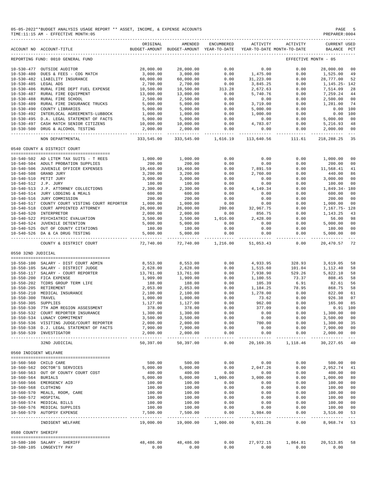|                       | 05-05-2022**BUDGET ANALYSIS USAGE REPORT ** ASSET, INCOME, & EXPENSE ACCOUNTS<br>PAGE<br>PREPARER: 0004<br>TIME:11:15 AM - EFFECTIVE MONTH:05 |                            |                                                                                |                 |                      |                        |                                    |                                  |  |  |  |  |
|-----------------------|-----------------------------------------------------------------------------------------------------------------------------------------------|----------------------------|--------------------------------------------------------------------------------|-----------------|----------------------|------------------------|------------------------------------|----------------------------------|--|--|--|--|
|                       | ACCOUNT NO ACCOUNT-TITLE                                                                                                                      | ORIGINAL                   | AMENDED<br>BUDGET-AMOUNT BUDGET-AMOUNT YEAR-TO-DATE YEAR-TO-DATE MONTH-TO-DATE | ENCUMBERED      |                      | ACTIVITY ACTIVITY      | <b>CURRENT USED</b><br>BALANCE PCT |                                  |  |  |  |  |
|                       | REPORTING FUND: 0010 GENERAL FUND                                                                                                             |                            |                                                                                |                 |                      |                        | EFFECTIVE MONTH - 05               |                                  |  |  |  |  |
|                       | 10-530-477 OUTSIDE AUDITOR                                                                                                                    | 28,000.00                  | 28,000.00                                                                      | 0.00            | 0.00                 | 0.00                   | 28,000.00 00                       |                                  |  |  |  |  |
|                       | 10-530-480 DUES & FEES - COG MATCH                                                                                                            | 3,000.00                   | 3,000.00                                                                       | 0.00            | 1,475.00             | 0.00                   | 1,525.00                           | 49                               |  |  |  |  |
|                       | 10-530-482 LIABILITY INSURANCE                                                                                                                | 60,000.00                  | 60,000.00                                                                      | 0.00            | 31,223.00            | 0.00                   | 28,777.00                          | 52                               |  |  |  |  |
| 10-530-485 LEGAL ADS  | 10-530-486 RURAL FIRE DEPT FUEL EXPENSE                                                                                                       | 2,700.00<br>10,500.00      | 2,700.00<br>10,500.00                                                          | 0.00<br>313.28  | 3,845.25<br>2,672.63 | 0.00<br>0.00           | 1,145.25-142<br>7,514.09           | 28                               |  |  |  |  |
|                       | 10-530-487 RURAL FIRE EQUIPMENT                                                                                                               | 13,000.00                  | 13,000.00                                                                      | 0.00            | 5,740.76             | 0.00                   | 7,259.24 44                        |                                  |  |  |  |  |
|                       | 10-530-488 RURAL FIRE SCHOOL                                                                                                                  | 2,500.00                   | 2,500.00                                                                       | 0.00            | 0.00                 | 0.00                   | 2,500.00 00                        |                                  |  |  |  |  |
|                       | 10-530-489 RURAL FIRE INSURANCE TRUCKS                                                                                                        | 5,000.00                   | 5,000.00                                                                       | 0.00            | 3,719.00             | 0.00                   | 1,281.00                           | 74                               |  |  |  |  |
|                       | 10-530-490 COUNTY LIBRARIES                                                                                                                   | 5,000.00                   | 5,000.00                                                                       | 0.00            | 5,000.00             | 0.00                   | $0.00$ 100                         |                                  |  |  |  |  |
|                       | 10-530-492 INTERLOCAL AGREEMENTS-LUBBOCK<br>10-530-495 D.A. LEGAL STATEMENT OF FACTS                                                          | 1,000.00<br>5,000.00       | 1,000.00<br>5,000.00                                                           | 0.00<br>0.00    | 1,000.00<br>0.00     | 0.00<br>0.00           | 0.00 100<br>5,000.00 00            |                                  |  |  |  |  |
|                       | 10-530-497 CASH MATCH SENIOR CITIZENS                                                                                                         | 10,000.00                  | 10,000.00                                                                      | 0.00            | 4,783.07             | 0.00                   | 5,216.93 48                        |                                  |  |  |  |  |
|                       | 10-530-500 DRUG & ALCOHOL TESTING                                                                                                             | 2,000.00                   | 2,000.00                                                                       | 0.00            | 0.00                 | 0.00                   | 2,000.00 00                        |                                  |  |  |  |  |
|                       | NON DEPARTMENTAL                                                                                                                              | 333,545.00                 | 333,545.00                                                                     | 1,616.19        | 113,640.56           | 111.61                 | 218,288.25                         | 35                               |  |  |  |  |
|                       |                                                                                                                                               |                            |                                                                                |                 |                      |                        |                                    |                                  |  |  |  |  |
|                       | 0540 COUNTY & DISTRICT COURT<br>--------------------------------------                                                                        |                            |                                                                                |                 |                      |                        |                                    |                                  |  |  |  |  |
|                       | 10-540-502 AD LITEM TAX SUITS - T REES                                                                                                        | 1,000.00                   | 1,000.00                                                                       | 0.00            | 0.00                 | 0.00                   | 1,000.00                           | 00                               |  |  |  |  |
|                       | 10-540-504 ADULT PROBATION SUPPLIES<br>10-540-506 JUVENILE OFFICER EXPENSES 19,460.00                                                         | 200.00                     | 200.00                                                                         | 0.00            | 0.00<br>7,891.59     | 0.00                   | 200.00<br>11,568.41                | 00                               |  |  |  |  |
|                       | 10-540-508 GRAND JURY                                                                                                                         | 3,200.00                   | 19,460.00<br>3,200.00                                                          | 0.00<br>0.00    | 2,760.00             | 0.00<br>0.00           | 440.00                             | 41<br>86                         |  |  |  |  |
|                       | 10-540-510 PETIT JURY                                                                                                                         | 3,000.00                   | 3,000.00                                                                       | 0.00            | 0.00                 | 0.00                   | 3,000.00                           | 00                               |  |  |  |  |
| 10-540-512 J.P. JURY  |                                                                                                                                               | 100.00                     | 100.00                                                                         | 0.00            | 0.00                 | 0.00                   | 100.00                             | 00                               |  |  |  |  |
|                       | 10-540-513 J.P. ATTORNEY COLLECTIONS                                                                                                          | 2,300.00                   | 2,300.00                                                                       | 0.00            | 4,149.34             | 0.00                   | 1,849.34- 180                      |                                  |  |  |  |  |
|                       | 10-540-514 JURY LODGING & MEALS                                                                                                               | 600.00                     | 600.00                                                                         | 0.00            | 0.00                 | 0.00                   | 600.00                             | 00                               |  |  |  |  |
|                       | 10-540-516 JURY COMMISSION<br>10-540-517 COUNTY COURT VISTING COURT REPORTER                                                                  | 200.00                     | 200.00                                                                         | 0.00            | 0.00                 | 0.00                   | 200.00                             | 00                               |  |  |  |  |
|                       | 10-540-518 COURT APPOINTED ATTORNEY                                                                                                           | 1,000.00<br>26,000.00      | 1,000.00<br>26,000.00                                                          | 0.00<br>200.00  | 0.00<br>32,967.75    | 0.00<br>0.00           | 1,000.00<br>7,167.75- 128          | 00                               |  |  |  |  |
|                       | 10-540-520 INTERPRETOR                                                                                                                        | 2,000.00                   | 2,000.00                                                                       | 0.00            | 856.75               | 0.00                   | 1,143.25                           | 43                               |  |  |  |  |
|                       | 10-540-522 PSYCHIATRIC EVALUATION                                                                                                             | 3,500.00                   | 3,500.00                                                                       | 1,016.00        | 2,428.00             | 0.00                   | 56.00                              | 98                               |  |  |  |  |
|                       |                                                                                                                                               | 5,000.00                   | 5,000.00                                                                       | 0.00            | 0.00                 | 0.00                   | 5,000.00                           | 0 <sub>0</sub>                   |  |  |  |  |
|                       | 10-540-524 JUVENILE DELENIIONS<br>10-540-525 OUT OF COUNTY CITATIONS                                                                          | 180.00<br>5,000.00         | 180.00<br>5,000.00                                                             | 0.00            | 0.00                 | 0.00                   | 180.00 00                          |                                  |  |  |  |  |
|                       |                                                                                                                                               |                            |                                                                                | 0.00            | 0.00                 | 0.00                   | 5,000.00 00                        | $\sim$ $ \sim$                   |  |  |  |  |
|                       | COUNTY & DISTRICT COURT                                                                                                                       | 72,740.00                  | 72,740.00                                                                      |                 | 1,216.00 51,053.43   | 0.00                   | 20,470.57                          | 72                               |  |  |  |  |
| 0550 32ND JUDICIAL    |                                                                                                                                               |                            |                                                                                |                 |                      |                        |                                    |                                  |  |  |  |  |
|                       | 10-550-100 SALARY - DIST COURT ADMIN                                                                                                          | 8,553.00                   | 8,553.00                                                                       | 0.00            | 4,933.95             | 328.93                 | 3,619.05                           | 58                               |  |  |  |  |
|                       | 10-550-105 SALARY - DISTRICT JUDGE                                                                                                            | 2,628.00                   | 2,628.00                                                                       | 0.00            | 1,515.60             | 101.04                 | 1,112.40                           | 58                               |  |  |  |  |
|                       | 10-550-117 SALARY - COURT REPORTER                                                                                                            | 13,761.00                  | 13,761.00                                                                      | 0.00            | 7,938.90             | 529.26                 | 5,822.10                           | 58                               |  |  |  |  |
|                       | 10-550-200 FICA EXPENSE                                                                                                                       | 1,909.00                   | 1,909.00                                                                       | 0.00            | 1,100.55             | 73.37                  | 808.45                             | 58                               |  |  |  |  |
|                       | 10-550-202 TCDRS GROUP TERM LIFE                                                                                                              | 188.00                     | 188.00<br>2,053.00                                                             | 0.00<br>0.00    | 105.39<br>1,184.25   | 6.91                   | 82.61                              | 56<br>58                         |  |  |  |  |
|                       | 10-550-205 RETIREMENT<br>10-550-210 MEDICAL INSURANCE                                                                                         | 2,053.00<br>2,100.00       | 2,100.00                                                                       | 0.00            | 1,278.00             | 78.95<br>0.00          | 868.75<br>822.00                   | 61                               |  |  |  |  |
| 10-550-300 TRAVEL     |                                                                                                                                               | 1,000.00                   | 1,000.00                                                                       | 0.00            | 73.62                | 0.00                   | 926.38 07                          |                                  |  |  |  |  |
| 10-550-305 SUPPLIES   |                                                                                                                                               | 1,127.00                   | 1,127.00                                                                       | 0.00            | 962.00               | 0.00                   | 165.00 85                          |                                  |  |  |  |  |
|                       | 10-550-530 7TH ADM REGION ASSESSMENT                                                                                                          | 378.00                     | 378.00                                                                         | 0.00            | 377.09               | 0.00                   | $0.91$ 100                         |                                  |  |  |  |  |
|                       | 10-550-532 COURT REPORTER INSURANCE                                                                                                           | 1,300.00                   | 1,300.00                                                                       | 0.00            | 0.00                 | 0.00                   | 1,300.00 00                        |                                  |  |  |  |  |
|                       | 10-550-534 LUNACY COMMITMENT<br>10-550-536 VISITING JUDGE/COURT REPORTER                                                                      | 3,500.00<br>2,000.00       | 3,500.00<br>2,000.00                                                           | 0.00<br>0.00    | 0.00<br>700.00       | 0.00<br>0.00           | 3,500.00 00<br>1,300.00            | 35                               |  |  |  |  |
|                       | 10-550-538 D.J. LEGAL STATEMENT OF FACTS                                                                                                      | 7,900.00                   | 7,900.00                                                                       | 0.00            | 0.00                 | 0.00                   | 7,900.00 00                        |                                  |  |  |  |  |
|                       | 10-550-539 INVESTIGATOR                                                                                                                       | 2,000.00<br>-----------    | 2,000.00<br>______________                                                     | 0.00<br>------- | 0.00                 | 0.00                   | 2,000.00                           | 0 <sub>0</sub>                   |  |  |  |  |
|                       | 32ND JUDICIAL                                                                                                                                 | 50,397.00                  | 50,397.00                                                                      | 0.00            |                      | 20, 169. 35 1, 118. 46 | 30, 227.65 40                      |                                  |  |  |  |  |
| 0560 INDIGENT WELFARE |                                                                                                                                               |                            |                                                                                |                 |                      |                        |                                    |                                  |  |  |  |  |
|                       |                                                                                                                                               |                            |                                                                                |                 |                      |                        |                                    |                                  |  |  |  |  |
|                       | 10-560-560 CHILD CARE<br>10-560-562 DOCTOR'S SERVICES                                                                                         | 500.00<br>5,000.00         | 500.00<br>5,000.00                                                             | 0.00<br>0.00    | 0.00<br>2,047.26     | 0.00<br>0.00           | 500.00<br>2,952.74                 | 00<br>41                         |  |  |  |  |
|                       | 10-560-563 OUT OF COUNTY COURT COST                                                                                                           | 400.00                     | 400.00                                                                         | 0.00            | 0.00                 | 0.00                   | 400.00                             | 00                               |  |  |  |  |
| 10-560-564 BURIALS    |                                                                                                                                               | 5,000.00                   | 5,000.00                                                                       | 1,000.00        | 3,000.00             | 0.00                   | 1,000.00                           | 80                               |  |  |  |  |
|                       | 10-560-566 EMERGENCY AID                                                                                                                      | 100.00                     | 100.00                                                                         | 0.00            | 0.00                 | 0.00                   | 100.00                             | 0 <sub>0</sub>                   |  |  |  |  |
| 10-560-568 CLOTHING   |                                                                                                                                               | 100.00                     | 100.00                                                                         | 0.00            | 0.00                 | 0.00                   | 100.00                             | 00                               |  |  |  |  |
| 10-560-572 HOSPITAL   | 10-560-570 MEALS, ROOM, CARE                                                                                                                  | 100.00<br>100.00           | 100.00<br>100.00                                                               | 0.00<br>0.00    | 0.00<br>0.00         | 0.00<br>0.00           | 100.00<br>100.00                   | 0 <sub>0</sub><br>0 <sub>0</sub> |  |  |  |  |
|                       | 10-560-574 MEDICAL BILLS                                                                                                                      | 100.00                     | 100.00                                                                         | 0.00            | 0.00                 | 0.00                   | 100.00                             | 0 <sub>0</sub>                   |  |  |  |  |
|                       | 10-560-576 MEDICAL SUPPLIES                                                                                                                   | 100.00                     | 100.00                                                                         | 0.00            | 0.00                 | 0.00                   | 100.00                             | 0 <sub>0</sub>                   |  |  |  |  |
|                       | 10-560-579 AUTOPSY EXPENSE                                                                                                                    | 7,500.00<br>-------------- | 7,500.00                                                                       | 0.00            | 3,984.00<br>.        | 0.00                   | 3,516.00                           | 53                               |  |  |  |  |
|                       | INDIGENT WELFARE                                                                                                                              | 19,000.00                  | 19,000.00                                                                      | 1,000.00        | 9,031.26             | 0.00                   | 8,968.74 53                        |                                  |  |  |  |  |
| 0580 COUNTY SHERIFF   |                                                                                                                                               |                            |                                                                                |                 |                      |                        |                                    |                                  |  |  |  |  |
|                       | 10-580-100 SALARY - SHERIFF                                                                                                                   | 48,486.00                  | 48,486.00                                                                      | 0.00            | 27,972.15            | 1,864.81               | 20,513.85                          | 58                               |  |  |  |  |
|                       | 10-580-105 LONGEVITY PAY                                                                                                                      | 0.00                       | 0.00                                                                           | 0.00            | 0.00                 | 0.00                   | 0.00                               |                                  |  |  |  |  |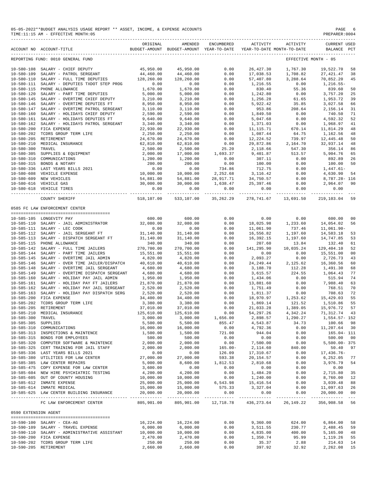### 05-05-2022\*\*BUDGET ANALYSIS USAGE REPORT \*\* ASSET, INCOME, & EXPENSE ACCOUNTS PAGE 6 PREPARER:0004<br>PREPARER:0004 PERECTIVE MONTH:05  $TIME: 11:15 AM - EFFECTIVE MOMTH:05$

|                      | BUDGET-AMOUNT BUDGET-AMOUNT YEAR-TO-DATE YEAR-TO-DATE MONTH-TO-DATE<br>ACCOUNT NO ACCOUNT-TITLE | ORIGINAL   | AMENDED                    | ENCUMBERED           | ACTIVITY              | ACTIVITY                     | <b>CURRENT USED</b><br>BALANCE PCT   |                                        |
|----------------------|-------------------------------------------------------------------------------------------------|------------|----------------------------|----------------------|-----------------------|------------------------------|--------------------------------------|----------------------------------------|
|                      | REPORTING FUND: 0010 GENERAL FUND                                                               |            |                            |                      |                       |                              | EFFECTIVE MONTH - 05                 |                                        |
|                      | 10-580-108 SALARY - CHIEF DEPUTY                                                                | 45,950.00  | 45,950.00                  | 0.00                 | 26, 427.30            | 1,767.30                     | 19,522.70                            | 58                                     |
| $10 - 580 - 109$     | SALARY - PATROL SERGEANT                                                                        | 44,460.00  | 44,460.00                  | 0.00                 | 17,038.53             | 1,708.82                     | 27, 421.47                           | 38                                     |
| $10 - 580 - 110$     | SALARY - FULL TIME DEPUTIES 128,260.00                                                          |            | 128,260.00                 | 0.00                 | 57,407.80             | 3,288.64                     | 70,852.20                            | 45                                     |
| $10 - 580 - 111$     | SALARY - DEPUTIES TXDOT STEP PROG                                                               | 0.00       | 0.00                       | 0.00                 | 1,216.55              | 0.00                         | 1,216.55-                            |                                        |
| 10-580-115           | PHONE ALLOWANCE                                                                                 | 1,670.00   | 1,670.00                   | 0.00                 | 830.40                | 55.36                        | 839.60                               | 50                                     |
| $10 - 580 - 120$     | SALARY - PART TIME DEPUTIES                                                                     | 5,000.00   | 5,000.00                   | 0.00                 | 1,242.80              | 0.00                         | 3,757.20                             | 25                                     |
| $10 - 580 - 145$     | SALARY - OVERTIME CHIEF DEPUTY                                                                  | 3,210.00   | 3,210.00                   | 0.00                 | 1,256.28              | 61.65                        | 1,953.72                             | 39                                     |
| $10 - 580 - 146$     | SALARY - OVERTIME DEPUTIES FT                                                                   | 8,950.00   | 8,950.00                   | 0.00                 | 5,922.42              | 35.85                        | 3,027.58                             | 66                                     |
| $10 - 580 - 147$     | SALARY - OVERTIME PATROL SERGEANT                                                               | 3,110.00   | 3,110.00                   | 0.00                 | 953.86                | 208.64                       | 2,156.14                             | 31                                     |
|                      | 10-580-160 SALARY - HOLIDAYS CHIEF DEPUTY                                                       | 2,590.00   | 2,590.00                   | 0.00                 | 1,849.50              | 0.00                         | 740.50                               | 71                                     |
| $10 - 580 - 161$     | SALARY - HOLIDAYS DEPUTIES FT                                                                   | 9,640.00   | 9,640.00                   | 0.00                 | 5,047.68              | 0.00                         | 4,592.32                             | 52                                     |
| 10-580-162           | SALARY - HOLIDAYS PATROL SERGEANT                                                               | 3,340.00   | 3,340.00                   | 0.00                 | 1,371.03              | 0.00                         | 1,968.97                             | 41                                     |
| $10 - 580 - 200$     | FICA EXPENSE                                                                                    | 22,930.00  | 22,930.00                  | 0.00                 | 11, 115.71            | 670.14                       | 11,814.29                            | 48                                     |
| $10 - 580 - 202$     | TCDRS GROUP TERM LIFE                                                                           | 2,250.00   | 2,250.00                   | 0.00                 | 1,087.44              | 64.75                        | 1,162.56                             | 48                                     |
| $10 - 580 - 205$     | RETIREMENT                                                                                      | 24,670.00  | 24,670.00                  | 0.00                 | 12,224.52             | 739.97                       | 12,445.48                            | 50                                     |
| $10 - 580 - 210$     | MEDICAL INSURANCE                                                                               | 62,810.00  | 62,810.00                  | 0.00                 | 29,872.86             | 2,164.70                     | 32,937.14                            | 48                                     |
| $10 - 580 - 300$     | TRAVEL                                                                                          | 2,500.00   | 2,500.00                   | 25.20                | 2,118.66              | 547.30                       | 356.14                               | 86                                     |
| $10 - 580 - 305$     | SUPPLIES & EQUIPMENT                                                                            | 2,000.00   | 17,000.00                  | 1,693.37             | 9,401.87              | 513.57                       | 5,904.76                             | 65                                     |
| $10 - 580 - 310$     | COMMUNICATIONS                                                                                  | 1,200.00   | 1,200.00                   | 0.00                 | 307.11                | 0.00                         | 892.89                               | 26                                     |
|                      | 10-580-315 BONDS & NOTARY                                                                       | 200.00     | 200.00                     | 0.00                 | 100.00                | 0.00                         | 100.00                               | 50                                     |
|                      | 10-580-336 LAST YEARS BILLS 2021                                                                | 0.00       | 0.00                       | 734.86               | 712.75                | 0.00                         | $1,447.61-$                          |                                        |
| $10 - 580 - 608$     | VEHICLE EXPENSE                                                                                 | 10,000.00  | 10,000.00                  | 2,252.68             | 3,116.42              | 0.00                         | 4,630.90                             | 54                                     |
|                      | 10-580-609 NEW VEHICLES                                                                         | 54,881.00  | 54,881.00                  | 28,917.71            | 34,750.57             | 0.00                         | 8,787.28- 116                        |                                        |
|                      | 10-580-616 VEHICLE GAS                                                                          | 30,000.00  | 30,000.00                  | 1,638.47             | 25, 397.46            | 0.00                         | 2,964.07                             | 90                                     |
|                      | 10-580-618 VEHICLE TIRES                                                                        | 0.00       | 0.00                       | 0.00                 | 0.00                  | 0.00                         | 0.00                                 |                                        |
|                      |                                                                                                 | ---------- | ----------                 |                      |                       | -------------- ------------- |                                      |                                        |
|                      | COUNTY SHERIFF                                                                                  | 518,107.00 |                            | 533,107.00 35,262.29 |                       |                              | 278, 741.67  13, 691.50  219, 103.04 | 59                                     |
|                      | 0585 FC LAW ENFORCEMENT CENTER                                                                  |            |                            |                      |                       |                              |                                      |                                        |
|                      | 10-585-105 LONGEVITY PAY                                                                        | 600.00     | 600.00                     | 0.00                 | 0.00                  | 0.00                         | 600.00                               | 00                                     |
|                      | 10-585-110 SALARY - JAIL ADMINISTRATOR                                                          | 32,080.00  | 32,080.00                  | 0.00                 | 18,025.98             | 1,233.60                     | 14,054.02                            | 56                                     |
|                      | 10-585-111 SALARY - LEC COOK                                                                    | 0.00       | 0.00                       | 0.00                 | 11,061.90             | 737.46                       | $11,061.90 -$                        |                                        |
|                      | 10-585-112 SALARY - JAIL SERGEANT FT                                                            | 31,140.00  | 31,140.00                  | 0.00                 | 16,556.82             | 1,197.60                     | 14,583.18                            | 53                                     |
|                      | 10-585-113 SALARY - DISPATCH SERGEANT FT                                                        | 31,140.00  | 31,140.00                  | 0.00                 | 16,392.15             | 1,197.60                     | 14,747.85                            | 53                                     |
|                      | 10-585-115 PHONE ALLOWANCE                                                                      | 340.00     | 340.00                     | 0.00                 | 207.60                | 13.84                        | 132.40                               | 61                                     |
|                      | 10-585-142 SALARY - FULL TIME JAILERS                                                           | 270,700.00 | 270,700.00                 | 0.00                 | 141,295.90            | 10,035.24                    | 129,404.10                           | 52                                     |
|                      | 10-585-144 SALARY - PART TIME JAILERS                                                           | 15,551.00  | 15,551.00                  | 0.00                 | 0.00                  | 0.00                         | 15,551.00                            | 0 <sub>0</sub>                         |
| $10 - 585 - 145$     | SALARY - OVERTIME JAIL ADMIN                                                                    | 4,820.00   | 4,820.00                   | 0.00                 | 2,093.27              | 0.00                         | 2,726.73                             | 43                                     |
| $10 - 585 - 146$     | SALARY - OVER TIME JAILER/DISPATCH                                                              | 40,610.00  | 40,610.00                  | 0.00                 | 24, 249.44            | 2,125.62                     | 16,360.56                            | 60                                     |
| $10 - 585 - 148$     | SALARY - OVERTIME JAIL SERGEANT                                                                 | 4,680.00   | 4,680.00                   | 0.00                 | 3,188.70              | 112.28                       | 1,491.30                             | 68                                     |
| 10-585-149           | SALARY - OVERTIME DISPATCH SERGEANT                                                             | 4,680.00   | 4,680.00                   | 0.00                 | 3,615.57              | 224.55                       | 1,064.43                             | 77                                     |
|                      | 10-585-160 SALARY - HOLIDAY PAY JAIL ADMIN                                                      | 1,950.00   | 1,950.00                   | 0.00                 | 1,434.06              | 0.00                         | 515.94                               | 74                                     |
| 10-585-161           | SALARY - HOLIDAY PAY FT JAILERS                                                                 | 21,870.00  | 21,870.00                  | 0.00                 | 13,881.60             | 0.00                         | 7,988.40                             | 63                                     |
| 10-585-162           | SALARY - HOLIDAY PAY JAIL SERGEANT                                                              | 2,520.00   | 2,520.00                   | 0.00                 | 1,751.49              | 0.00                         | 768.51                               | 70                                     |
| $10 - 585 - 163$     | SALARY - HOLIDAY PAY DISPATCH SERG                                                              | 2,520.00   | 2,520.00                   | 0.00                 | 1,811.37              | 0.00                         | 708.63                               | 72                                     |
| $10 - 585 - 200$     | FICA EXPENSE                                                                                    | 34,400.00  | 34,400.00                  | 0.00                 | 18,970.97             | 1,253.62                     | 15,429.03                            | 55                                     |
| $10 - 585 - 202$     | TCDRS GROUP TERM LIFE                                                                           | 3,380.00   | 3,380.00                   | 0.00                 | 1,869.14              | 121.52                       | 1,510.86                             | 55                                     |
|                      | 10-585-205 RETIREMENT                                                                           | 37,010.00  | 37,010.00                  | 0.00                 | 21,033.28             | 1,389.05                     | 15,976.72                            | 57                                     |
|                      | 10-585-210 MEDICAL INSURANCE                                                                    | 125,610.00 | 125,610.00                 | 0.00                 | 54, 297.26            | 4,342.24                     | 71,312.74                            | 43                                     |
| 10-585-300 TRAVEL    |                                                                                                 | 3,000.00   | 3,000.00                   | 1,656.00             | 2,898.57              | 1,290.27                     | 1,554.57- 152                        |                                        |
| 10-585-305 SUPPLIES  |                                                                                                 | 5,500.00   | 5,500.00                   | 855.47               | 4,543.87              | 34.73                        | 100.66                               | 98                                     |
|                      | 10-585-310 COMMUNICATIONS                                                                       | 16,000.00  | 16,000.00                  | 0.00                 | 4,792.36              | 0.00                         | 11,207.64                            | 30                                     |
|                      | 10-585-313 INSPECTIONS & MAINTENCE                                                              | 1,500.00   | 1,500.00                   | 721.00               | 944.04                | 0.00                         | 165.04- 111                          |                                        |
|                      | 10-585-315 BONDS FOR EMPLOYEES                                                                  | 500.00     |                            | 0.00                 |                       |                              | 500.00                               | 0 <sup>0</sup>                         |
|                      |                                                                                                 |            | 500.00                     |                      | 0.00                  | 0.00                         |                                      |                                        |
|                      | 10-585-320 COMPUTER SOFTWARE & MAINTENCE                                                        | 2,000.00   | 2,000.00                   | 0.00                 | 7,500.00              | 0.00                         | $5,500.00 - 375$                     |                                        |
|                      | 10-585-325 CERT TRAINING FOR JAIL STAFF                                                         | 2,000.00   | 2,000.00                   | $165.00 -$           | 2,114.60              | 840.00                       | 50.40                                | 97                                     |
|                      | 10-585-336 LAST YEARS BILLS 2021                                                                | 0.00       | 0.00                       | 126.09               | 17,310.67             | 0.00                         | 17,436.76-                           |                                        |
|                      | 10-585-380 UTILITIES FOR LAW CENTER                                                             | 27,000.00  | 27,000.00                  | 593.38               | 20,154.57             | 0.00                         | 6,252.05                             | 77                                     |
|                      | 10-585-385 LAW CENTER REPAIRS                                                                   | 5,000.00   | 8,600.00                   | 1,812.53             | 2,810.68              | 0.00                         | 3,976.79                             | 54                                     |
|                      | 10-585-475 COPY EXPENSE FOR LAW CENTER                                                          | 3,600.00   | 0.00                       | 0.00                 | 0.00                  | 0.00                         | 0.00                                 |                                        |
|                      | 10-585-604 NEW HIRE PSYCHIATRIC TESTING                                                         | 4,200.00   | 4,200.00                   | 0.00                 | 1,484.20              | 0.00                         | 2,715.80                             | 35                                     |
|                      | 10-585-605 OUT OF COUNTY HOUSING                                                                | 10,000.00  | 10,000.00                  | 0.00                 | 1,240.00              | 0.00                         | 8,760.00                             | 12                                     |
|                      | 10-585-612 INMATE EXPENSE                                                                       | 25,000.00  | 25,000.00                  | 6,543.98             | 15,416.54             | 0.00                         | 3,039.48                             | 88                                     |
|                      | 10-585-614 INMATE MEDICAL                                                                       | 15,000.00  | 15,000.00                  | 575.33               | 3,327.04              | 0.00                         | 11,097.63                            | 26                                     |
|                      | 10-585-625 LAW CENTER BUILDING INSURANCE                                                        | 20,000.00  | 20,000.00<br>------------- | 0.00<br>------------ | 0.00<br>------------- | 0.00<br>-----------          | 20,000.00<br>-------------           | 0 <sub>0</sub><br>$\sim$ $\sim$ $\sim$ |
|                      | FC LAW ENFORCEMENT CENTER                                                                       | 805,901.00 | 805,901.00                 | 12,718.78            | 436, 273.64           | 26, 149. 22                  | 356,908.58                           | 56                                     |
| 0590 EXTENSION AGENT |                                                                                                 |            |                            |                      |                       |                              |                                      |                                        |
|                      |                                                                                                 |            |                            |                      |                       |                              |                                      |                                        |
|                      | 10-590-100 SALARY - CEA-AG                                                                      | 16,224.00  | 16,224.00                  | 0.00                 | 9,360.00              | 624.00                       | 6,864.00                             | 58                                     |
|                      | 10-590-109 SALARY - TRAVEL EXPENSE                                                              | 6,000.00   | 6,000.00                   | 0.00                 | 3,511.55              | 230.77                       | 2,488.45                             | 59                                     |
|                      | 10-590-110 SALARY - ADMINISTRATIVE ASSISTANT                                                    | 10,000.00  | 10,000.00                  | 0.00                 | 4,835.00              | 400.00                       | 5,165.00                             | 48                                     |
|                      | 10-590-200 FICA EXPENSE                                                                         | 2,470.00   | 2,470.00                   | 0.00                 | 1,350.74              | 95.99                        | 1,119.26                             | 55                                     |
|                      | 10-590-202 TCDRS GROUP TERM LIFE                                                                | 250.00     | 250.00                     | 0.00                 | 35.37                 | 2.88                         | 214.63                               | 14                                     |
|                      | 10-590-205 RETIREMENT                                                                           | 2,660.00   | 2,660.00                   | 0.00                 | 397.92                | 32.92                        | 2,262.08                             | 15                                     |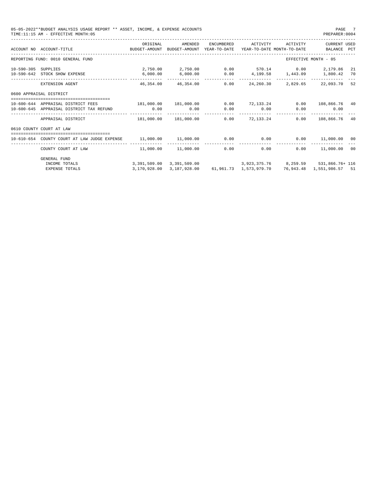| PREPARER: 0004                                                                               |
|----------------------------------------------------------------------------------------------|
| ACTIVITY<br><b>CURRENT USED</b><br>YEAR-TO-DATE MONTH-TO-DATE<br>BALANCE PCT                 |
| EFFECTIVE MONTH - 05                                                                         |
| $0.00$ 570.14 0.00 2,179.86<br>-21<br>4, 199.58 1, 443.09<br>1,800.42<br>70                  |
| 2,829.65<br>22,093.70<br>52                                                                  |
|                                                                                              |
| 108,866.76 40<br>0.00<br>0.00<br>0.00                                                        |
| 108,866.76<br>0.00<br>40                                                                     |
|                                                                                              |
| 0.00<br>11,000.00<br>00                                                                      |
| 11,000.00<br>0.00<br>00                                                                      |
| 3,391,509.00 3,391,509.00 3,923,375.76 8,259.59 531,866.76+ 116<br>76,943.48 1,551,986.57 51 |
|                                                                                              |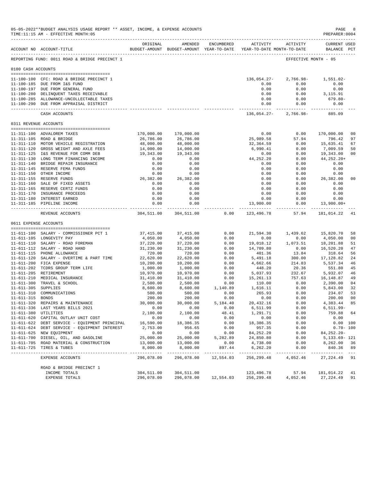|                     | 05-05-2022**BUDGET ANALYSIS USAGE REPORT ** ASSET, INCOME, & EXPENSE ACCOUNTS<br>TIME:11:15 AM - EFFECTIVE MONTH:05                                                                                                                          |                                                                                 |                            |                      |                                                     |                                                            | PAGE<br>PREPARER: 0004                                   | - 8            |
|---------------------|----------------------------------------------------------------------------------------------------------------------------------------------------------------------------------------------------------------------------------------------|---------------------------------------------------------------------------------|----------------------------|----------------------|-----------------------------------------------------|------------------------------------------------------------|----------------------------------------------------------|----------------|
|                     | ACCOUNT NO ACCOUNT-TITLE                                                                                                                                                                                                                     | ORIGINAL<br>BUDGET-AMOUNT BUDGET-AMOUNT YEAR-TO-DATE YEAR-TO-DATE MONTH-TO-DATE | AMENDED                    | ENCUMBERED           | <b>ACTIVITY</b>                                     | ACTIVITY                                                   | <b>CURRENT USED</b><br>BALANCE PCT                       |                |
|                     | REPORTING FUND: 0011 ROAD & BRIDGE PRECINCT 1                                                                                                                                                                                                |                                                                                 |                            |                      |                                                     |                                                            | EFFECTIVE MONTH - 05                                     |                |
| 0100 CASH ACCOUNTS  |                                                                                                                                                                                                                                              |                                                                                 |                            |                      |                                                     |                                                            |                                                          |                |
|                     | 11-100-100 CFC: ROAD & BRIDGE PRECINCT 1<br>11-100-185 DUE FROM I&S FUND<br>11-100-197 DUE FROM GENERAL FUND<br>11-100-280 DELINQUENT TAXES RECEIVABLE<br>11-100-285 ALLOWANCE-UNCOLLECTABLE TAXES<br>11-100-290 DUE FROM APPRAISAL DISTRICT |                                                                                 |                            |                      | 136,054.27-<br>0.00<br>0.00<br>0.00<br>0.00<br>0.00 | 2,766.98-<br>0.00<br>0.00<br>0.00<br>0.00<br>0.00          | 1,551.02-<br>0.00<br>0.00<br>3,115.91<br>679.80-<br>0.00 |                |
|                     | CASH ACCOUNTS                                                                                                                                                                                                                                |                                                                                 |                            |                      | ----------------                                    | ------------<br>136,054.27-2,766.98-                       | 885.09                                                   |                |
|                     | 0311 REVENUE ACCOUNTS                                                                                                                                                                                                                        |                                                                                 |                            |                      |                                                     |                                                            |                                                          |                |
|                     |                                                                                                                                                                                                                                              |                                                                                 |                            |                      |                                                     |                                                            |                                                          |                |
|                     | 11-311-100 ADVALOREM TAXES                                                                                                                                                                                                                   | 170,000.00                                                                      | 170,000.00                 |                      | 0.00                                                | 0.00                                                       | 170,000.00                                               | 0 <sub>0</sub> |
|                     | 11-311-105 ROAD & BRIDGE                                                                                                                                                                                                                     | 26,786.00                                                                       | 26,786.00                  |                      | 25,989.58                                           | 57.94                                                      | 796.42                                                   | 97             |
|                     | 11-311-110 MOTOR VEHICLE REGISTRATION                                                                                                                                                                                                        | 48,000.00                                                                       | 48,000.00                  |                      | 32,364.59                                           | 0.00                                                       | 15,635.41                                                | 67             |
|                     | 11-311-120 GROSS WEIGHT AND AXLE FEES                                                                                                                                                                                                        | 14,000.00                                                                       | 14,000.00                  |                      | 6,990.41                                            | 0.00                                                       | 7,009.59                                                 | 50             |
|                     | 11-311-125 I&S REVENUE FOR COMM DEB                                                                                                                                                                                                          | 19,343.00                                                                       | 19,343.00                  |                      | 0.00                                                | 0.00                                                       | 19,343.00                                                | 0 <sub>0</sub> |
|                     | 11-311-130 LONG TERM FINANCING INCOME                                                                                                                                                                                                        | 0.00                                                                            | 0.00                       |                      | 44,252.20                                           | 0.00                                                       | 44, 252. 20+                                             |                |
|                     | 11-311-140 BRIDGE REPAIR INSURANCE                                                                                                                                                                                                           | 0.00                                                                            | 0.00                       |                      | 0.00                                                | 0.00                                                       | 0.00                                                     |                |
|                     | 11-311-145 RESERVE FEMA FUNDS                                                                                                                                                                                                                | 0.00                                                                            | 0.00                       |                      | 0.00                                                | 0.00                                                       | 0.00                                                     |                |
|                     | 11-311-150 OTHER INCOME                                                                                                                                                                                                                      | 0.00                                                                            | 0.00                       |                      | 0.00                                                | 0.00                                                       | 0.00                                                     |                |
|                     | 11-311-155 RESERVE FUNDS                                                                                                                                                                                                                     | 26,382.00                                                                       | 26,382.00                  |                      | 0.00                                                | 0.00                                                       | 26,382.00                                                | 0 <sub>0</sub> |
|                     | 11-311-160 SALE OF FIXED ASSETS                                                                                                                                                                                                              | 0.00                                                                            | 0.00                       |                      | 0.00                                                | 0.00                                                       | 0.00                                                     |                |
|                     | 11-311-165 RESERVE CERTZ FUNDS                                                                                                                                                                                                               | 0.00                                                                            | 0.00                       |                      | 0.00                                                | 0.00                                                       | 0.00                                                     |                |
|                     | 11-311-170 INSURANCE PROCEEDS                                                                                                                                                                                                                | 0.00                                                                            | 0.00                       |                      | 0.00                                                | 0.00                                                       | 0.00                                                     |                |
|                     | 11-311-180 INTEREST EARNED                                                                                                                                                                                                                   | 0.00                                                                            | 0.00                       |                      | 0.00                                                | 0.00                                                       | 0.00                                                     |                |
|                     | 11-311-185 PIPELINE INCOME                                                                                                                                                                                                                   | 0.00                                                                            | 0.00                       |                      | 13,900.00                                           | 0.00                                                       | $13,900.00+$                                             |                |
|                     | REVENUE ACCOUNTS                                                                                                                                                                                                                             | 304,511.00                                                                      | 304,511.00                 | 0.00                 | 123,496.78                                          | 57.94                                                      | 181,014.22                                               | 41             |
|                     | 0611 EXPENSE ACCOUNTS                                                                                                                                                                                                                        |                                                                                 |                            |                      |                                                     |                                                            |                                                          |                |
|                     | 11-611-100 SALARY - COMMISSIONER PCT 1                                                                                                                                                                                                       | 37,415.00                                                                       | 37,415.00                  | 0.00                 |                                                     | 21,594.30 1,439.62 15,820.70                               |                                                          | 58             |
|                     | 11-611-105 LONGEVITY PAY                                                                                                                                                                                                                     | 4,050.00                                                                        | 4,050.00                   | 0.00                 | 0.00                                                | 0.00                                                       | 4,050.00                                                 | 0 <sub>0</sub> |
|                     | 11-611-110 SALARY - ROAD FOREMAN                                                                                                                                                                                                             | 37,220.00                                                                       | 37,220.00                  | 0.00                 | 19,018.12                                           | 1,073.51                                                   | 18,201.88                                                | 51             |
|                     | 11-611-112 SALARY - ROAD HAND                                                                                                                                                                                                                | 31,230.00                                                                       | 31,230.00                  | 0.00                 | 14,709.80                                           | 0.00                                                       | 16,520.20                                                | 47             |
|                     | 11-611-115 PHONE ALLOWANCE                                                                                                                                                                                                                   | 720.00                                                                          | 720.00                     | 0.00                 | 401.36                                              | 13.84                                                      | 318.64                                                   | 56             |
|                     | 11-611-120 SALARY - OVERTIME & PART TIME                                                                                                                                                                                                     | 22,620.00                                                                       | 22,620.00                  | 0.00                 | 5,491.18                                            | 300.00                                                     | 17,128.82                                                | 24             |
|                     | 11-611-200 FICA EXPENSE                                                                                                                                                                                                                      | 10,200.00                                                                       | 10,200.00                  | 0.00                 | 4,662.66                                            | 214.83                                                     | 5,537.34                                                 | 46             |
|                     | 11-611-202 TCDRS GROUP TERM LIFE                                                                                                                                                                                                             | 1,000.00                                                                        | 1,000.00                   | 0.00                 | 448.20                                              | 20.36                                                      | 551.80                                                   | 45             |
|                     | 11-611-205 RETIREMENT                                                                                                                                                                                                                        | 10,970.00                                                                       | 10,970.00                  | 0.00                 | 5,037.93                                            | 232.67                                                     | 5,932.07                                                 | 46             |
|                     | 11-611-210 MEDICAL INSURANCE                                                                                                                                                                                                                 | 31,410.00                                                                       | 31,410.00                  | 0.00                 | 15,261.13                                           | 757.63                                                     | 16,148.87                                                | 49             |
|                     | 11-611-300 TRAVEL & SCHOOL                                                                                                                                                                                                                   | 2,500.00                                                                        | 2,500.00                   |                      | 110.00                                              | 0.00                                                       | 2,390.00                                                 | 04             |
| 11-611-305 SUPPLIES |                                                                                                                                                                                                                                              | 8,600.00                                                                        | 8,600.00                   | $0.00$<br>1,140.89   | 1,616.11                                            | 0.00                                                       | 5,843.00                                                 | 32             |
|                     | 11-611-310 COMMUNICATIONS                                                                                                                                                                                                                    | 500.00                                                                          | 500.00                     | 0.00                 | 265.93                                              | 0.00                                                       | 234.07                                                   | 53             |
| 11-611-315 BONDS    |                                                                                                                                                                                                                                              | 200.00                                                                          | 200.00                     | 0.00                 | 0.00                                                | 0.00                                                       | 200.00                                                   | 0 <sub>0</sub> |
|                     | 11-611-320 REPAIRS & MAINTENANCE                                                                                                                                                                                                             | 30,000.00                                                                       | 30,000.00                  | 5,184.40             | 20,432.16                                           | 0.00                                                       | 4,383.44 85                                              |                |
|                     | 11-611-336 LAST YEARS BILLS 2021                                                                                                                                                                                                             | 0.00                                                                            | 0.00                       | 0.00                 | 6,511.99                                            | 0.00                                                       | 6,511.99-                                                |                |
|                     | 11-611-380 UTILITIES                                                                                                                                                                                                                         | 2,100.00                                                                        | 2,100.00                   | 48.41                | 1,291.71                                            | 0.00                                                       | 759.88 64                                                |                |
|                     | 11-611-620 CAPITAL OUTLAY UNIT COST                                                                                                                                                                                                          | 0.00                                                                            | 0.00                       | 0.00                 | 0.00                                                | 0.00                                                       | 0.00                                                     |                |
|                     | 11-611-622 DEBT SERVICE - EQUIPMENT PRINCIPAL 16,590.00                                                                                                                                                                                      |                                                                                 | 18,386.35                  | 0.00                 | 18,386.35                                           | 0.00                                                       | $0.00$ 100                                               |                |
|                     | 11-611-624 DEBT SERVICE - EQUIPMENT INTEREST                                                                                                                                                                                                 | 2,753.00                                                                        | 956.65                     | 0.00                 | 957.35                                              | 0.00                                                       | $0.70 - 100$                                             |                |
|                     | 11-611-625 NEW EQUIPMENT                                                                                                                                                                                                                     | 0.00                                                                            | 0.00                       | 0.00                 | 84,252.20                                           | 0.00                                                       | 84,252.20-                                               |                |
|                     | 11-611-700 DIESEL, OIL, AND GASOLINE                                                                                                                                                                                                         | 25,000.00                                                                       | 25,000.00 5,282.89         |                      | 24,850.80                                           | 0.00                                                       | 5,133.69- 121                                            |                |
|                     | 11-611-705 ROAD MATERIAL & CONSTRUCTION                                                                                                                                                                                                      | 13,000.00                                                                       | 13,000.00                  | 0.00                 | 4,738.00                                            | 0.00                                                       | 8,262.00 36                                              |                |
|                     | 11-611-725 TIRES & TUBES                                                                                                                                                                                                                     | 8,000.00<br>-------------                                                       | 8,000.00<br>______________ | 897.44               | 6,262.20                                            | 0.00                                                       | 840.36 89                                                |                |
|                     | EXPENSE ACCOUNTS                                                                                                                                                                                                                             | 296,078.00                                                                      |                            | 296,078.00 12,554.03 | 256,299.48                                          | 4,052.46                                                   | 27, 224.49 91                                            |                |
|                     | ROAD & BRIDGE PRECINCT 1                                                                                                                                                                                                                     |                                                                                 |                            |                      |                                                     |                                                            |                                                          |                |
|                     | INCOME TOTALS                                                                                                                                                                                                                                | 304,511.00                                                                      | 304,511.00                 |                      | 123,496.78                                          |                                                            | 57.94 181,014.22 41                                      |                |
|                     | EXPENSE TOTALS                                                                                                                                                                                                                               | 296,078.00                                                                      |                            |                      |                                                     | 296,078.00  12,554.03  256,299.48  4,052.46  27,224.49  91 |                                                          |                |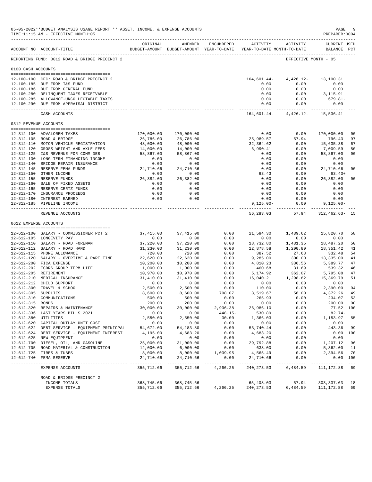|                    | 05-05-2022**BUDGET ANALYSIS USAGE REPORT ** ASSET, INCOME, & EXPENSE ACCOUNTS<br>TIME:11:15 AM - EFFECTIVE MONTH:05 |                       |                                                                                |                     |                             |                                   | $\mathop{\mathtt{PAGE}}$<br>PREPARER: 0004 | - 9                                                                                                                                                                                                                                                                                                                                                                                          |
|--------------------|---------------------------------------------------------------------------------------------------------------------|-----------------------|--------------------------------------------------------------------------------|---------------------|-----------------------------|-----------------------------------|--------------------------------------------|----------------------------------------------------------------------------------------------------------------------------------------------------------------------------------------------------------------------------------------------------------------------------------------------------------------------------------------------------------------------------------------------|
|                    | ACCOUNT NO ACCOUNT-TITLE                                                                                            | ORIGINAL              | AMENDED<br>BUDGET-AMOUNT BUDGET-AMOUNT YEAR-TO-DATE YEAR-TO-DATE MONTH-TO-DATE | ENCUMBERED          | ACTIVITY                    | ACTIVITY                          | <b>CURRENT USED</b><br>BALANCE PCT         |                                                                                                                                                                                                                                                                                                                                                                                              |
|                    | REPORTING FUND: 0012 ROAD & BRIDGE PRECINCT 2                                                                       |                       |                                                                                |                     |                             | EFFECTIVE MONTH - 05              |                                            |                                                                                                                                                                                                                                                                                                                                                                                              |
| 0100 CASH ACCOUNTS |                                                                                                                     |                       |                                                                                |                     |                             |                                   |                                            |                                                                                                                                                                                                                                                                                                                                                                                              |
|                    | 12-100-100 CFC: ROAD & BRIDGE PRECINCT 2                                                                            |                       |                                                                                |                     | 164,601.44-                 | 4,426.12-                         | 13,100.31                                  |                                                                                                                                                                                                                                                                                                                                                                                              |
|                    | 12-100-185 DUE FROM I&S FUND                                                                                        |                       |                                                                                |                     | 0.00                        | 0.00                              | 0.00                                       |                                                                                                                                                                                                                                                                                                                                                                                              |
|                    | 12-100-186 DUE FROM GENERAL FUND                                                                                    |                       |                                                                                |                     | 0.00                        | 0.00                              | 0.00                                       |                                                                                                                                                                                                                                                                                                                                                                                              |
|                    | 12-100-280 DELINQUENT TAXES RECEIVABLE                                                                              |                       |                                                                                |                     | 0.00                        | 0.00                              | 3,115.91                                   |                                                                                                                                                                                                                                                                                                                                                                                              |
|                    | 12-100-285 ALLOWANCE-UNCOLLECTABLE TAXES                                                                            |                       |                                                                                |                     | 0.00                        | 0.00                              | 679.81-                                    |                                                                                                                                                                                                                                                                                                                                                                                              |
|                    | 12-100-290 DUE FROM APPRAISAL DISTRICT                                                                              |                       |                                                                                |                     | 0.00<br>------------- .     | 0.00<br>------------              | 0.00<br>______________                     |                                                                                                                                                                                                                                                                                                                                                                                              |
|                    | CASH ACCOUNTS                                                                                                       |                       |                                                                                |                     |                             | 164,601.44- 4,426.12- 15,536.41   |                                            |                                                                                                                                                                                                                                                                                                                                                                                              |
|                    | 0312 REVENUE ACCOUNTS                                                                                               |                       |                                                                                |                     |                             |                                   |                                            |                                                                                                                                                                                                                                                                                                                                                                                              |
|                    | 12-312-100 ADVALOREM TAXES                                                                                          | 170,000.00            | 170,000.00                                                                     |                     | 0.00                        | 0.00                              | 170,000.00                                 | 0 <sub>0</sub>                                                                                                                                                                                                                                                                                                                                                                               |
|                    | 12-312-105 ROAD & BRIDGE                                                                                            | 26,786.00             | 26,786.00                                                                      |                     | 25,989.57                   | 57.94                             | 796.43                                     | 97                                                                                                                                                                                                                                                                                                                                                                                           |
|                    | 12-312-110 MOTOR VEHICLE REGISTRATION                                                                               | 48,000.00             | 48,000.00                                                                      |                     | 32,364.62                   | 0.00                              | 15,635.38                                  | 67                                                                                                                                                                                                                                                                                                                                                                                           |
|                    | 12-312-120 GROSS WEIGHT AND AXLE FEES                                                                               | 14,000.00             | 14,000.00                                                                      |                     | 6,990.41                    | 0.00                              | 7,009.59                                   | 50                                                                                                                                                                                                                                                                                                                                                                                           |
|                    | 12-312-125 I&S REVENUE FOR COMM DEB                                                                                 | 58,867.00             | 58,867.00                                                                      |                     | 0.00                        | 0.00                              | 58,867.00                                  | 0 <sub>0</sub>                                                                                                                                                                                                                                                                                                                                                                               |
|                    | 12-312-130 LONG TERM FINANCING INCOME                                                                               | 0.00                  | 0.00                                                                           |                     | 0.00                        | 0.00                              | 0.00                                       |                                                                                                                                                                                                                                                                                                                                                                                              |
|                    | 12-312-140 BRIDGE REPAIR INSURANCE                                                                                  | 0.00                  | 0.00                                                                           |                     | 0.00                        | 0.00                              | 0.00                                       |                                                                                                                                                                                                                                                                                                                                                                                              |
|                    | 12-312-145 RESERVE FEMA FUNDS                                                                                       | 24,710.66             | 24,710.66                                                                      |                     | 0.00                        | 0.00                              | 24,710.66                                  | 0 <sub>0</sub>                                                                                                                                                                                                                                                                                                                                                                               |
|                    | 12-312-150 OTHER INCOME                                                                                             | 0.00<br>26,382.00     | 0.00                                                                           |                     | 63.43<br>0.00               | 0.00<br>0.00                      | $63.43+$<br>26,382.00                      | 0 <sub>0</sub>                                                                                                                                                                                                                                                                                                                                                                               |
|                    | 12-312-155 RESERVE FUNDS<br>12-312-160 SALE OF FIXED ASSETS                                                         | 0.00                  | 26,382.00<br>0.00                                                              |                     | 0.00                        | 0.00                              | 0.00                                       |                                                                                                                                                                                                                                                                                                                                                                                              |
|                    | 12-312-165 RESERVE CERTZ FUNDS                                                                                      | 0.00                  | 0.00                                                                           |                     | 0.00                        | 0.00                              | 0.00                                       |                                                                                                                                                                                                                                                                                                                                                                                              |
|                    | 12-312-170 INSURANCE PROCEEDS                                                                                       | 0.00                  | 0.00                                                                           |                     | 0.00                        | 0.00                              | 0.00                                       |                                                                                                                                                                                                                                                                                                                                                                                              |
|                    | 12-312-180 INTEREST EARNED                                                                                          | 0.00                  | 0.00                                                                           |                     | 0.00                        | 0.00                              | 0.00                                       |                                                                                                                                                                                                                                                                                                                                                                                              |
|                    | 12-312-185 PIPELINE INCOME                                                                                          |                       |                                                                                |                     | $9,125.00 -$                | 0.00<br>----------- ------------- | $9,125.00 -$<br>--------------             |                                                                                                                                                                                                                                                                                                                                                                                              |
|                    | REVENUE ACCOUNTS                                                                                                    |                       |                                                                                |                     | 56,283.03                   | 57.94                             | $312,462.63 - 15$                          |                                                                                                                                                                                                                                                                                                                                                                                              |
|                    | 0612 EXPENSE ACCOUNTS<br>-------------------------------------                                                      |                       |                                                                                |                     |                             |                                   |                                            |                                                                                                                                                                                                                                                                                                                                                                                              |
|                    | 12-612-100 SALARY - COMMISSIONER PCT 2                                                                              | 37,415.00             | 37,415.00                                                                      | 0.00                | 21,594.30                   | 1,439.62                          | 15,820.70                                  | 58                                                                                                                                                                                                                                                                                                                                                                                           |
|                    | 12-612-105 LONGEVITY PAY                                                                                            | 0.00                  | 0.00                                                                           | 0.00                | 0.00                        | 0.00                              | 0.00                                       |                                                                                                                                                                                                                                                                                                                                                                                              |
|                    | 12-612-110 SALARY - ROAD FOREMAN                                                                                    | 37,220.00             | 37,220.00                                                                      | 0.00                | 18,732.80                   | 1,431.35                          | 18,487.20                                  | 50                                                                                                                                                                                                                                                                                                                                                                                           |
|                    | 12-612-112 SALARY - ROAD HAND                                                                                       | 31,230.00             | 31,230.00                                                                      | 0.00                | 12,878.58                   | 1,200.80                          | 18,351.42                                  | 41                                                                                                                                                                                                                                                                                                                                                                                           |
|                    | 12-612-115 PHONE ALLOWANCE                                                                                          | 720.00                | 720.00                                                                         | 0.00                | 387.52                      | 27.68                             | 332.48                                     | 54                                                                                                                                                                                                                                                                                                                                                                                           |
|                    | 12-612-120 SALARY - OVERTIME & PART TIME                                                                            | 22,620.00             | 22,620.00                                                                      | 0.00                | 9,285.00                    | 300.00                            | 13,335.00                                  | 41                                                                                                                                                                                                                                                                                                                                                                                           |
|                    | 12-612-200 FICA EXPENSE                                                                                             | 10,200.00             | 10,200.00                                                                      | 0.00                | 4,810.23                    | 336.56                            | 5,389.77                                   | 47<br>46                                                                                                                                                                                                                                                                                                                                                                                     |
|                    | 12-612-202 TCDRS GROUP TERM LIFE<br>12-612-205 RETIREMENT                                                           | 1,000.00<br>10,970.00 | 1,000.00<br>10,970.00                                                          | 0.00<br>0.00        | 460.68<br>5,174.92          | 31.69<br>362.07                   | 539.32<br>5,795.08                         | 47                                                                                                                                                                                                                                                                                                                                                                                           |
|                    | 12-612-210 MEDICAL INSURANCE                                                                                        | 31,410.00             | 31,410.00                                                                      | 0.00                | 16,040.21                   | 1,298.82                          | 15,369.79                                  | 51                                                                                                                                                                                                                                                                                                                                                                                           |
|                    | 12-612-212 CHILD SUPPORT                                                                                            | 0.00                  | 0.00                                                                           | 0.00                | 0.00                        | 0.00                              | 0.00                                       |                                                                                                                                                                                                                                                                                                                                                                                              |
|                    | 12-612-300 TRAVEL & SCHOOL                                                                                          | 2,500.00              | 2,500.00                                                                       | 0.00                | 110.00                      | 0.00                              | 2,390.00                                   | 04                                                                                                                                                                                                                                                                                                                                                                                           |
| 12-612-305         | SUPPLIES                                                                                                            | 8,600.00              | 8,600.00                                                                       | 708.07              | 3,519.67                    | 56.00                             | 4,372.26                                   | 49                                                                                                                                                                                                                                                                                                                                                                                           |
| 12-612-310         | COMMUNICATIONS                                                                                                      | 500.00                | 500.00                                                                         | 0.00                | 265.93                      | 0.00                              | 234.07                                     | 53                                                                                                                                                                                                                                                                                                                                                                                           |
| 12-612-315 BONDS   |                                                                                                                     | 200.00                | 200.00                                                                         | 0.00                | 0.00                        | 0.00                              | 200.00 00                                  |                                                                                                                                                                                                                                                                                                                                                                                              |
|                    | 12-612-320 REPAIRS & MAINTENANCE                                                                                    | 30,000.00             | 30,000.00                                                                      | 2,936.38            | 26,986.10                   | 0.00                              | 77.52 100                                  |                                                                                                                                                                                                                                                                                                                                                                                              |
|                    | 12-612-336 LAST YEARS BILLS 2021<br>12-612-380 UTILITIES                                                            | 0.00<br>2,550.00      | 0.00<br>2,550.00                                                               | $448.15 -$<br>30.00 | 530.89<br>1,366.03          | 0.00<br>0.00                      | $82.74-$                                   | 55                                                                                                                                                                                                                                                                                                                                                                                           |
|                    | 12-612-620 CAPITAL OUTLAY UNIT COST                                                                                 | 0.00                  | 0.00                                                                           | 0.00                | 0.00                        | 0.00                              | 1,153.97<br>0.00                           |                                                                                                                                                                                                                                                                                                                                                                                              |
|                    | 12-612-622 DEBT SERVICE - EQUIPMENT PRINICPAL                                                                       | 54,672.00             | 54, 183.80                                                                     | 0.00                | 53,740.44                   | 0.00                              | 443.36                                     | 99                                                                                                                                                                                                                                                                                                                                                                                           |
|                    | 12-612-624 DEBT SERVICE - EQUIPMENT INTEREST                                                                        | 4,195.00              | 4,683.20                                                                       | 0.00                | 4,683.20                    | 0.00                              | 0.00 100                                   |                                                                                                                                                                                                                                                                                                                                                                                              |
|                    | 12-612-625 NEW EQUIPMENT                                                                                            | 0.00                  | 0.00                                                                           | 0.00                | 0.00                        | 0.00                              | 0.00                                       |                                                                                                                                                                                                                                                                                                                                                                                              |
|                    | 12-612-700 DIESEL, OIL, AND GASOLINE                                                                                | 25,000.00             | 31,000.00                                                                      | 0.00                | 29,792.88                   | 0.00                              | 1,207.12                                   | 96                                                                                                                                                                                                                                                                                                                                                                                           |
|                    | 12-612-705 ROAD MATERIAL & CONSTRUCTION                                                                             | 12,000.00             | 6,000.00                                                                       | 0.00                | 638.00                      | 0.00                              | 5,362.00                                   | 11                                                                                                                                                                                                                                                                                                                                                                                           |
|                    | 12-612-725 TIRES & TUBES                                                                                            | 8,000.00              | 8,000.00                                                                       | 1,039.95            | 4,565.49                    | 0.00                              | 2,394.56                                   | 70                                                                                                                                                                                                                                                                                                                                                                                           |
|                    | 12-612-740 FEMA RESERVE                                                                                             | 24,710.66             | 24,710.66                                                                      | 0.00<br>---------   | 24,710.66<br>-------------- | 0.00<br>------------              | 0.00 100<br>----------                     | $\frac{1}{2} \frac{1}{2} \frac{1}{2} \frac{1}{2} \frac{1}{2} \frac{1}{2} \frac{1}{2} \frac{1}{2} \frac{1}{2} \frac{1}{2} \frac{1}{2} \frac{1}{2} \frac{1}{2} \frac{1}{2} \frac{1}{2} \frac{1}{2} \frac{1}{2} \frac{1}{2} \frac{1}{2} \frac{1}{2} \frac{1}{2} \frac{1}{2} \frac{1}{2} \frac{1}{2} \frac{1}{2} \frac{1}{2} \frac{1}{2} \frac{1}{2} \frac{1}{2} \frac{1}{2} \frac{1}{2} \frac{$ |
|                    | EXPENSE ACCOUNTS                                                                                                    | 355,712.66            | 355,712.66                                                                     | 4,266.25            | 240, 273.53                 | 6,484.59                          | 111, 172.88 69                             |                                                                                                                                                                                                                                                                                                                                                                                              |
|                    | ROAD & BRIDGE PRECINCT 2                                                                                            |                       |                                                                                |                     |                             |                                   |                                            |                                                                                                                                                                                                                                                                                                                                                                                              |
|                    | INCOME TOTALS                                                                                                       | 368,745.66            | 368,745.66<br>355,712.66                                                       |                     | 65,408.03<br>240, 273.53    | 57.94                             | 303,337.63<br>111,172.88                   | 18<br>69                                                                                                                                                                                                                                                                                                                                                                                     |
|                    | EXPENSE TOTALS                                                                                                      | 355,712.66            |                                                                                | 4,266.25            |                             | 6,484.59                          |                                            |                                                                                                                                                                                                                                                                                                                                                                                              |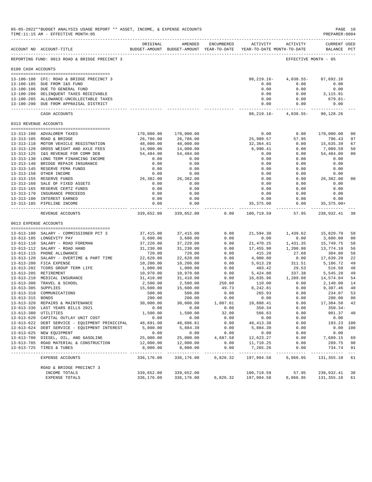|                     | 05-05-2022**BUDGET ANALYSIS USAGE REPORT ** ASSET, INCOME, & EXPENSE ACCOUNTS<br>TIME:11:15 AM - EFFECTIVE MONTH:05 |                       |                                                                                |                          |                               |                                        | PREPARER: 0004                     | PAGE 10        |
|---------------------|---------------------------------------------------------------------------------------------------------------------|-----------------------|--------------------------------------------------------------------------------|--------------------------|-------------------------------|----------------------------------------|------------------------------------|----------------|
|                     | ACCOUNT NO ACCOUNT-TITLE                                                                                            | ORIGINAL              | AMENDED<br>BUDGET-AMOUNT BUDGET-AMOUNT YEAR-TO-DATE YEAR-TO-DATE MONTH-TO-DATE | ENCUMBERED               |                               | ACTIVITY ACTIVITY                      | <b>CURRENT USED</b><br>BALANCE PCT |                |
|                     | REPORTING FUND: 0013 ROAD & BRIDGE PRECINCT 3                                                                       |                       |                                                                                |                          |                               |                                        | EFFECTIVE MONTH - 05               |                |
| 0100 CASH ACCOUNTS  |                                                                                                                     |                       |                                                                                |                          |                               |                                        |                                    |                |
|                     | 13-100-100 CFC: ROAD & BRIDGE PRECINCT 3                                                                            |                       |                                                                                |                          | 98,219.16-                    | 4,038.55-                              | 87,692.16                          |                |
|                     | 13-100-185 DUE FROM I&S FUND                                                                                        |                       |                                                                                |                          | 0.00                          | 0.00                                   | 0.00                               |                |
|                     | 13-100-186 DUE TO GENERAL FUND                                                                                      |                       |                                                                                |                          | 0.00                          | 0.00                                   | 0.00                               |                |
|                     | 13-100-280 DELINQUENT TAXES RECEIVABLE                                                                              |                       |                                                                                |                          | 0.00                          | 0.00                                   | 3,115.91                           |                |
|                     | 13-100-285 ALLOWANCE-UNCOLLECTABLE TAXES                                                                            |                       |                                                                                |                          | 0.00                          | 0.00                                   | 679.81-                            |                |
|                     | 13-100-290 DUE FROM APPRAISAL DISTRICT                                                                              |                       |                                                                                |                          | ------------ -                | 0.00<br>0.00<br>-----------            | 0.00                               |                |
|                     | CASH ACCOUNTS                                                                                                       |                       |                                                                                |                          |                               | 98, 219.16 - 4, 038.55 -               | 90,128.26                          |                |
|                     | 0313 REVENUE ACCOUNTS                                                                                               |                       |                                                                                |                          |                               |                                        |                                    |                |
|                     | 13-313-100 ADVALOREM TAXES                                                                                          | 170,000.00            | 170,000.00                                                                     |                          | 0.00                          | 0.00                                   | 170,000.00                         | 0 <sub>0</sub> |
|                     | 13-313-105 ROAD & BRIDGE                                                                                            | 26,786.00             | 26,786.00                                                                      |                          | 25,989.57                     | 57.95                                  | 796.43                             | 97             |
|                     | 13-313-110 MOTOR VEHICLE REGISTRATION                                                                               | 48,000.00             | 48,000.00                                                                      |                          | 32,364.61                     | 0.00                                   | 15,635.39                          | 67             |
|                     | 13-313-120 GROSS WEIGHT AND AXLE FEES                                                                               | 14,000.00             | 14,000.00                                                                      |                          | 6,990.41                      | 0.00                                   | 7,009.59                           | 50             |
|                     | 13-313-125 I&S REVENUE FOR COMM DEB                                                                                 | 54,484.00             | 54,484.00                                                                      |                          | 0.00                          | 0.00                                   | 54,484.00                          | 0 <sub>0</sub> |
|                     | 13-313-130 LONG TERM FINANCING INCOME                                                                               | 0.00                  | 0.00                                                                           |                          | 0.00                          | 0.00                                   | 0.00                               |                |
|                     | 13-313-140 BRIDGE REPAIR INSURANCE                                                                                  | 0.00                  | 0.00                                                                           |                          | 0.00                          | 0.00                                   | 0.00                               |                |
|                     | 13-313-145 RESERVE FEMA FUNDS<br>13-313-150 OTHER INCOME                                                            | 0.00<br>0.00          | 0.00<br>0.00                                                                   |                          | 0.00<br>0.00                  | 0.00<br>0.00                           | 0.00<br>0.00                       |                |
|                     | 13-313-155 RESERVE FUNDS                                                                                            | 26,382.00             | 26,382.00                                                                      |                          | 0.00                          | 0.00                                   | 26,382.00                          | 0 <sub>0</sub> |
|                     | 13-313-160 SALE OF FIXED ASSETS                                                                                     | 0.00                  | 0.00                                                                           |                          | 0.00                          | 0.00                                   | 0.00                               |                |
|                     | 13-313-165 RESERVE CERTZ FUNDS                                                                                      | 0.00                  | 0.00                                                                           |                          | 0.00                          | 0.00                                   | 0.00                               |                |
|                     | 13-313-170 INSURANCE PROCEEDS                                                                                       | 0.00                  | 0.00                                                                           |                          | 0.00                          | 0.00                                   | 0.00                               |                |
|                     | 13-313-180 INTEREST EARNED                                                                                          | 0.00                  | 0.00                                                                           |                          | 0.00                          | 0.00                                   | 0.00                               |                |
|                     | 13-313-185 PIPELINE INCOME                                                                                          | 0.00<br>------------  | 0.00                                                                           |                          | 35,375.00<br>---------------- | 0.00<br>----------                     | $35, 375.00+$<br>.                 |                |
|                     | REVENUE ACCOUNTS                                                                                                    | 339,652.00            | 339,652.00                                                                     | 0.00                     | 100,719.59                    | 57.95                                  | 238,932.41                         | 30             |
|                     | 0613 EXPENSE ACCOUNTS                                                                                               |                       |                                                                                |                          |                               |                                        |                                    |                |
|                     |                                                                                                                     |                       |                                                                                | 0.00                     |                               |                                        |                                    | 58             |
|                     | 13-613-100 SALARY - COMMISSIONER PCT 3<br>13-613-105 LONGEVITY PAY                                                  | 37,415.00<br>3,600.00 | 37,415.00<br>3,600.00                                                          | 0.00                     | 21,594.30<br>0.00             | 1,439.62<br>0.00                       | 15,820.70<br>3,600.00              | 0 <sub>0</sub> |
|                     | 13-613-110 SALARY - ROAD FOREMAN                                                                                    | 37,220.00             | 37,220.00                                                                      | 0.00                     | 21,470.25                     | 1,431.35                               | 15,749.75                          | 58             |
|                     | 13-613-112 SALARY - ROAD HAND                                                                                       | 31,230.00             | 31,230.00                                                                      | 0.00                     | 17,455.90                     | 1,200.80                               | 13,774.10                          | 56             |
|                     | 13-613-115 PHONE ALLOWANCE                                                                                          | 720.00                | 720.00                                                                         | 0.00                     | 415.20                        | 27.68                                  | 304.80                             | 58             |
|                     | 13-613-120 SALARY - OVERTIME & PART TIME                                                                            | 22,620.00             | 22,620.00                                                                      | 0.00                     | 4,980.80                      | 0.00                                   | 17,639.20                          | 22             |
|                     | 13-613-200 FICA EXPENSE                                                                                             | 10,200.00             | 10,200.00                                                                      | 0.00                     | 5,013.28                      | 311.51                                 | 5,186.72                           | 49             |
|                     | 13-613-202 TCDRS GROUP TERM LIFE                                                                                    | 1,000.00              | 1,000.00                                                                       | 0.00                     | 483.42                        | 29.53                                  | 516.58                             | 48             |
|                     | 13-613-205 RETIREMENT                                                                                               | 10,970.00             | 10,970.00                                                                      | 0.00                     | 5,424.80                      | 337.38                                 | 5,545.20                           | 49             |
|                     | 13-613-210 MEDICAL INSURANCE<br>13-613-300 TRAVEL & SCHOOL                                                          | 31,410.00<br>2,500.00 | 31,410.00<br>2,500.00                                                          | 0.00<br>250.00           | 110.00                        | 16,835.96 1,289.08<br>0.00             | 14,574.04<br>2,140.00              | 54<br>14       |
| 13-613-305 SUPPLIES |                                                                                                                     | 15,600.00             | 15,600.00                                                                      | 49.73                    | 6, 242.81                     | 0.00                                   | 9,307.46                           | 40             |
|                     | 13-613-310 COMMUNICATIONS                                                                                           | 500.00                | 500.00                                                                         | 0.00                     | 265.93                        | 0.00                                   | 234.07                             | 53             |
| 13-613-315 BONDS    |                                                                                                                     | 200.00                | 200.00                                                                         | 0.00                     | 0.00                          | 0.00                                   | 200.00                             | 0 <sub>0</sub> |
|                     | 13-613-320 REPAIRS & MAINTENANCE                                                                                    | 30,000.00             | 30,000.00                                                                      | 1,807.01                 | 10,888.41                     | 0.00                                   | 17,304.58 42                       |                |
|                     | 13-613-336 LAST YEARS BILLS 2021                                                                                    | 0.00                  | 0.00                                                                           | 0.00                     | 350.34                        | 0.00                                   | $350.34 -$                         |                |
|                     | 13-613-380 UTILITIES                                                                                                | 1,500.00              | 1,500.00                                                                       | 32.00                    | 566.63                        | 0.00                                   | 901.37 40                          |                |
|                     | 13-613-620 CAPITAL OUTLAY UNIT COST                                                                                 | 0.00                  | 0.00                                                                           | 0.00                     | 0.00                          | 0.00                                   | 0.00                               |                |
|                     | 13-613-622 DEBT SERVICE - EQUIPMENT PRINICIPAL                                                                      | 48,691.00             | 48,606.61                                                                      | 0.00                     | 48, 413.38                    | 0.00                                   | 193.23 100                         |                |
|                     | 13-613-624 DEBT SERVICE - EQUIPMENT INTEREST<br>13-613-625 NEW EQUIPMENT                                            | 5,800.00<br>0.00      | 5,884.39<br>0.00                                                               | 0.00<br>0.00             | 5,884.39<br>0.00              | 0.00<br>0.00                           | 0.00                               | 0.00 100       |
|                     | 13-613-700 DIESEL, OIL, AND GASOLINE                                                                                | 25,000.00             | 25,000.00                                                                      | 4,687.58                 | 12,623.27                     | 0.00                                   | 7,689.15                           | 69             |
|                     | 13-613-705 ROAD MATERIAL & CONSTRUCTION                                                                             | 12,000.00             | 12,000.00                                                                      | 0.00                     | 11,710.25                     | 0.00                                   | 289.75                             | 98             |
|                     | 13-613-725 TIRES & TUBES                                                                                            | 8,000.00              | 8,000.00                                                                       | 0.00                     | 7,265.26                      | 0.00                                   | 734.74                             | 91             |
|                     | EXPENSE ACCOUNTS                                                                                                    | 336,176.00            | ________________<br>336,176.00                                                 | . <b>.</b> .<br>6,826.32 | 197,994.58                    | ------------ -------------<br>6,066.95 | .<br>131,355.10                    | 61             |
|                     | ROAD & BRIDGE PRECINCT 3                                                                                            |                       |                                                                                |                          |                               |                                        |                                    |                |
|                     | INCOME TOTALS                                                                                                       | 339,652.00            | 339,652.00                                                                     |                          | 100,719.59                    | 57.95                                  | 238,932.41                         | 30             |
|                     | EXPENSE TOTALS                                                                                                      | 336,176.00            | 336,176.00                                                                     |                          | 6,826.32 197,994.58           |                                        | 6,066.95 131,355.10                | 61             |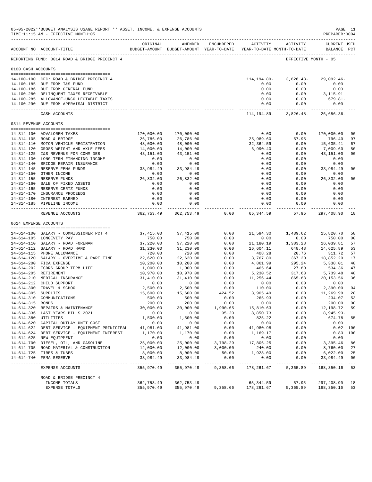|                     | 05-05-2022**BUDGET ANALYSIS USAGE REPORT ** ASSET, INCOME, & EXPENSE ACCOUNTS<br>TIME:11:15 AM - EFFECTIVE MONTH:05<br>_____________________________________ |                           |                            |                       |                                                                     |                              | PAGE 11<br>PREPARER: 0004          |                |
|---------------------|--------------------------------------------------------------------------------------------------------------------------------------------------------------|---------------------------|----------------------------|-----------------------|---------------------------------------------------------------------|------------------------------|------------------------------------|----------------|
|                     | ACCOUNT NO ACCOUNT-TITLE                                                                                                                                     | ORIGINAL                  | AMENDED                    | ENCUMBERED            | BUDGET-AMOUNT BUDGET-AMOUNT YEAR-TO-DATE YEAR-TO-DATE MONTH-TO-DATE | ACTIVITY ACTIVITY            | <b>CURRENT USED</b><br>BALANCE PCT |                |
|                     | REPORTING FUND: 0014 ROAD & BRIDGE PRECINCT 4                                                                                                                |                           |                            |                       |                                                                     | EFFECTIVE MONTH - 05         |                                    |                |
| 0100 CASH ACCOUNTS  |                                                                                                                                                              |                           |                            |                       |                                                                     |                              |                                    |                |
|                     | 14-100-100 CFC: ROAD & BRIDGE PRECINCT 4                                                                                                                     |                           |                            |                       | 114,194.89-                                                         | 3,826.48-                    | $29,092.46-$                       |                |
|                     | 14-100-185 DUE FROM I&S FUND                                                                                                                                 |                           |                            |                       | 0.00                                                                | 0.00                         | 0.00                               |                |
|                     | 14-100-186 DUE FROM GENERAL FUND                                                                                                                             |                           |                            |                       | 0.00                                                                | 0.00                         | 0.00                               |                |
|                     | 14-100-280 DELINQUENT TAXES RECEIVABLE                                                                                                                       |                           |                            |                       | 0.00                                                                | 0.00                         | 3,115.91                           |                |
|                     | 14-100-285 ALLOWANCE-UNCOLLECTABLE TAXES                                                                                                                     |                           |                            |                       | 0.00                                                                | 0.00                         | 679.81-                            |                |
|                     | 14-100-290 DUE FROM APPRAISAL DISTRICT                                                                                                                       |                           |                            |                       | 0.00<br>------------- ------------                                  | 0.00                         | 0.00<br>.                          |                |
|                     | CASH ACCOUNTS                                                                                                                                                |                           |                            |                       |                                                                     | $114, 194.89 - 3, 826.48 -$  | $26,656.36-$                       |                |
|                     | 0314 REVENUE ACCOUNTS                                                                                                                                        |                           |                            |                       |                                                                     |                              |                                    |                |
|                     | 14-314-100 ADVALOREM TAXES                                                                                                                                   | 170,000.00                | 170,000.00                 |                       | 0.00                                                                | 0.00                         | 170,000.00                         | 0 <sub>0</sub> |
|                     | 14-314-105 ROAD & BRIDGE                                                                                                                                     | 26,786.00                 | 26,786.00                  |                       | 25,989.60                                                           | 57.95                        | 796.40                             | 97             |
|                     | 14-314-110 MOTOR VEHICLE REGISTRATION                                                                                                                        | 48,000.00                 | 48,000.00                  |                       | 32,364.59                                                           | 0.00                         | 15,635.41                          | 67             |
|                     | 14-314-120 GROSS WEIGHT AND AXLE FEES                                                                                                                        | 14,000.00                 | 14,000.00                  |                       | 6,990.40                                                            | 0.00                         | 7,009.60                           | 50             |
|                     | 14-314-125 I&S REVENUE FOR COMM DEB                                                                                                                          | 43,151.00                 | 43,151.00                  |                       | 0.00                                                                | 0.00                         | 43,151.00                          | 0 <sub>0</sub> |
|                     | 14-314-130 LONG TERM FINANCING INCOME                                                                                                                        | 0.00                      | 0.00                       |                       | 0.00                                                                | 0.00                         | 0.00                               |                |
|                     | 14-314-140 BRIDGE REPAIR INSURANCE<br>14-314-145 RESERVE FEMA FUNDS                                                                                          | 0.00<br>33,984.49         | 0.00<br>33,984.49          |                       | 0.00<br>0.00                                                        | 0.00<br>0.00                 | 0.00<br>33,984.49                  | 0 <sub>0</sub> |
|                     | 14-314-150 OTHER INCOME                                                                                                                                      | 0.00                      | 0.00                       |                       | 0.00                                                                | 0.00                         | 0.00                               |                |
|                     | 14-314-155 RESERVE FUNDS                                                                                                                                     | 26,832.00                 | 26,832.00                  |                       | 0.00                                                                | 0.00                         | 26,832.00                          | 0 <sub>0</sub> |
|                     | 14-314-160 SALE OF FIXED ASSETS                                                                                                                              | 0.00                      | 0.00                       |                       | 0.00                                                                | 0.00                         | 0.00                               |                |
|                     | 14-314-165 RESERVE CERTZ FUNDS                                                                                                                               | 0.00                      | 0.00                       |                       | 0.00                                                                | 0.00                         | 0.00                               |                |
|                     | 14-314-170 INSURANCE PROCEEDS                                                                                                                                | 0.00                      | 0.00                       |                       | 0.00                                                                | 0.00                         | 0.00                               |                |
|                     | 14-314-180 INTEREST EARNED                                                                                                                                   | 0.00                      | 0.00                       |                       | 0.00                                                                | 0.00                         | 0.00                               |                |
|                     | 14-314-185 PIPELINE INCOME                                                                                                                                   | 0.00<br>------------      | 0.00                       |                       | 0.00<br>------------                                                | 0.00<br>---------            | 0.00                               |                |
|                     | REVENUE ACCOUNTS                                                                                                                                             | 362,753.49                | 362,753.49                 | 0.00                  | 65,344.59                                                           | 57.95                        | 297,408.90                         | 18             |
|                     | 0614 EXPENSE ACCOUNTS                                                                                                                                        |                           |                            |                       |                                                                     |                              |                                    |                |
|                     | 14-614-100 SALARY - COMMISSIONER PCT 4                                                                                                                       | 37,415.00                 | 37, 415.00                 | 0.00                  |                                                                     | 21,594.30 1,439.62 15,820.70 |                                    | 58             |
|                     | 14-614-105 LONGEVITY PAY                                                                                                                                     | 750.00                    | 750.00                     | 0.00                  | 0.00                                                                | 0.00                         | 750.00                             | 0 <sub>0</sub> |
|                     | 14-614-110 SALARY - ROAD FOREMAN                                                                                                                             | 37,220.00                 | 37,220.00                  | 0.00                  | 21,180.19                                                           | 1,383.28                     | 16,039.81                          | 57             |
|                     | 14-614-112 SALARY - ROAD HAND                                                                                                                                | 31,230.00                 | 31,230.00                  | 0.00                  | 16,604.11                                                           | 648.48                       | 14,625.89                          | 53             |
|                     | 14-614-115 PHONE ALLOWANCE                                                                                                                                   | 720.00                    | 720.00                     | 0.00                  | 408.28                                                              | 20.76                        | 311.72                             | 57             |
|                     | 14-614-120 SALARY - OVERTIME & PART TIME                                                                                                                     | 22,620.00                 | 22,620.00                  | 0.00<br>0.00          | 3,767.80                                                            | 367.20                       | 18,852.20<br>5,338.01              | 17<br>48       |
|                     | 14-614-200 FICA EXPENSE<br>14-614-202 TCDRS GROUP TERM LIFE                                                                                                  | 10,200.00<br>1,000.00     | 10,200.00<br>1,000.00      | 0.00                  | 4,861.99<br>465.64                                                  | 295.24<br>27.80              | 534.36                             | 47             |
|                     | 14-614-205 RETIREMENT                                                                                                                                        | 10,970.00                 | 10,970.00                  | 0.00                  | 5,230.52                                                            | 317.63                       | 5,739.48                           | 48             |
|                     | 14-614-210 MEDICAL INSURANCE                                                                                                                                 | 31,410.00                 | 31,410.00                  | 0.00                  | 11,256.44                                                           | 865.88                       | 20, 153.56                         | 36             |
|                     | 14-614-212 CHILD SUPPORT                                                                                                                                     | 0.00                      | 0.00                       | 0.00                  | 0.00                                                                | 0.00                         | 0.00                               |                |
|                     | 14-614-300 TRAVEL & SCHOOL                                                                                                                                   | 2,500.00                  | 2,500.00                   | 0.00                  | 110.00                                                              | 0.00                         | 2,390.00                           | 04             |
| 14-614-305 SUPPLIES |                                                                                                                                                              | 15,600.00                 | 15,600.00                  | 424.52                | 3,905.49                                                            | 0.00                         | 11,269.99                          | 28             |
| 14-614-315 BONDS    | 14-614-310 COMMUNICATIONS                                                                                                                                    | 500.00<br>200.00          | 500.00                     | 0.00                  | 265.93                                                              | 0.00<br>0.00                 | 234.07                             | 53<br>-00      |
|                     | 14-614-320 REPAIRS & MAINTENANCE                                                                                                                             | 30,000.00                 | 200.00<br>30,000.00        | 0.00<br>1,990.65      | 0.00<br>15,810.63                                                   | 0.00                         | 200.00<br>12,198.72                | 59             |
|                     | 14-614-336 LAST YEARS BILLS 2021                                                                                                                             | 0.00                      | 0.00                       | 95.20                 | 8,850.73                                                            | 0.00                         | $8,945.93-$                        |                |
|                     | 14-614-380 UTILITIES                                                                                                                                         | 1,500.00                  | 1,500.00                   | 0.00                  | 825.22                                                              | 0.00                         | 674.78                             | 55             |
|                     | 14-614-620 CAPITAL OUTLAY UNIT COST                                                                                                                          | 0.00                      | 0.00                       | 0.00                  | 0.00                                                                | 0.00                         | 0.00                               |                |
|                     | 14-614-622 DEBT SERVICE - EQUIPMENT PRINICIPAL                                                                                                               | 41,981.00                 | 41,981.00                  | 0.00                  | 41,980.98                                                           | 0.00                         |                                    | 0.02 100       |
|                     | 14-614-624 DEBT SERVICE - EQUIPMENT INTEREST                                                                                                                 | 1,170.00                  | 1,170.00                   | 0.00                  | 1,169.17                                                            | 0.00                         |                                    | $0.83$ 100     |
|                     | 14-614-625 NEW EQUIPMENT<br>14-614-700 DIESEL, OIL, AND GASOLINE                                                                                             | 0.00<br>25,000.00         | 0.00<br>25,000.00          | 0.00<br>3,798.29      | 0.00<br>17,806.25                                                   | 0.00<br>0.00                 | 0.00<br>3,395.46                   | 86             |
|                     | 14-614-705 ROAD MATERIAL & CONSTRUCTION                                                                                                                      | 12,000.00                 | 12,000.00                  | 3,000.00              | 240.00                                                              | 0.00                         | 8,760.00                           | 27             |
|                     | 14-614-725 TIRES & TUBES                                                                                                                                     | 8,000.00                  | 8,000.00                   | 50.00                 | 1,928.00                                                            | 0.00                         | 6,022.00                           | 25             |
|                     | 14-614-740 FEMA RESERVE                                                                                                                                      | 33,984.49                 | 33,984.49<br>_____________ | 0.00                  | 0.00                                                                | 0.00                         | 33,984.49                          | 0 <sub>0</sub> |
|                     | -------------------------------<br>EXPENSE ACCOUNTS                                                                                                          | ___________<br>355,970.49 | 355,970.49                 | ---------<br>9,358.66 | --------<br>178,261.67                                              | ---------<br>5,365.89        | ______________<br>168,350.16       | $- - -$<br>53  |
|                     | ROAD & BRIDGE PRECINCT 4                                                                                                                                     |                           |                            |                       |                                                                     |                              |                                    |                |
|                     | INCOME TOTALS                                                                                                                                                | 362,753.49                | 362,753.49                 |                       | 65, 344.59                                                          | 57.95                        | 297,408.90                         | 18             |
|                     | EXPENSE TOTALS                                                                                                                                               | 355,970.49                | 355,970.49                 | 9,358.66              | 178,261.67                                                          | 5,365.89                     | 168,350.16                         | 53             |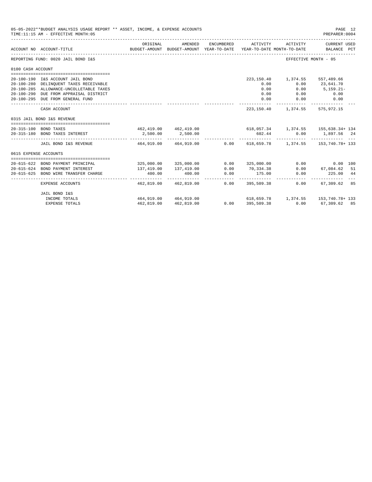|                       | 05-05-2022**BUDGET ANALYSIS USAGE REPORT ** ASSET, INCOME, & EXPENSE ACCOUNTS<br>TIME: 11:15 AM - EFFECTIVE MONTH: 05 |                        |                                                     |                   |                                       |                                                          | PAGE 12<br>PREPARER: 0004   |  |
|-----------------------|-----------------------------------------------------------------------------------------------------------------------|------------------------|-----------------------------------------------------|-------------------|---------------------------------------|----------------------------------------------------------|-----------------------------|--|
|                       | ACCOUNT NO ACCOUNT-TITLE                                                                                              | ORIGINAL               | AMENDED<br>BUDGET-AMOUNT BUDGET-AMOUNT YEAR-TO-DATE | ENCUMBERED        | ACTIVITY                              | ACTIVITY<br>YEAR-TO-DATE MONTH-TO-DATE                   | CURRENT USED<br>BALANCE PCT |  |
|                       | REPORTING FUND: 0020 JAIL BOND I&S                                                                                    |                        |                                                     |                   |                                       |                                                          | EFFECTIVE MONTH - 05        |  |
| 0100 CASH ACCOUNT     |                                                                                                                       |                        |                                                     |                   |                                       |                                                          |                             |  |
|                       |                                                                                                                       |                        |                                                     |                   |                                       |                                                          |                             |  |
|                       | 20-100-190 I&S ACCOUNT JAIL BOND<br>20-100-280 DELINQUENT TAXES RECEIVABLE                                            |                        |                                                     |                   | 0.00                                  | 223, 150.40   1, 374.55   557, 489.66<br>0.00            | 23,641.70                   |  |
|                       | 20-100-285 ALLOWANCE-UNCOLLETABLE TAXES                                                                               |                        |                                                     |                   | 0.00                                  | 0.00                                                     | $5,159.21-$                 |  |
|                       | 20-100-290 DUE FROM APPRAISAL DISTRICT                                                                                |                        |                                                     |                   | 0.00                                  |                                                          | $0.00$ 0.00                 |  |
|                       | 20-100-295 DUE FROM GENERAL FUND                                                                                      |                        |                                                     |                   | 0.00                                  | 0.00                                                     | 0.00                        |  |
|                       | CASH ACCOUNT                                                                                                          |                        |                                                     |                   |                                       | 223, 150.40   1, 374.55   575, 972.15                    |                             |  |
|                       | 0315 JAIL BOND I&S REVENUE                                                                                            |                        |                                                     |                   |                                       |                                                          |                             |  |
|                       | 20-315-100 BOND TAXES                                                                                                 |                        |                                                     |                   |                                       | 462,419.00 462,419.00 618,057.34 1,374.55 155,638.34+134 |                             |  |
|                       | 20-315-180 BOND TAXES INTEREST                                                                                        | 2,500.00               | 2,500.00                                            |                   | 602.44                                |                                                          | $0.00$ 1,897.56 24          |  |
|                       | JAIL BOND I&S REVENUE 464.919.00 464.919.00 0.00 618.659.78 1.374.55 153.740.78+133                                   |                        |                                                     |                   |                                       |                                                          |                             |  |
| 0615 EXPENSE ACCOUNTS |                                                                                                                       |                        |                                                     |                   |                                       |                                                          |                             |  |
|                       |                                                                                                                       |                        |                                                     |                   |                                       |                                                          |                             |  |
|                       | 20-615-622 BOND PAYMENT PRINCIPAL                                                                                     |                        | 325,000.00 325,000.00                               |                   | 0.00 325,000.00                       | 0.00                                                     | $0.00$ 100                  |  |
|                       | 20-615-624 BOND PAYMENT INTEREST                                                                                      | 137,419.00             | 137,419.00                                          | 0.00              | 70,334.38                             |                                                          | $0.00$ 67,084.62 51         |  |
| $20 - 615 - 625$      | BOND WIRE TRANSFER CHARGE                                                                                             | 400.00<br>------------ | 400.00                                              | 0.00              | 175.00<br>___________________________ | 0.00                                                     | 225.00 44                   |  |
|                       | <b>EXPENSE ACCOUNTS</b>                                                                                               |                        | 462,819.00 462,819.00                               |                   | $0.00$ 395,509.38                     | 0.00                                                     | 67,309.62 85                |  |
|                       | JAIL BOND I&S                                                                                                         |                        |                                                     |                   |                                       |                                                          |                             |  |
|                       | INCOME TOTALS                                                                                                         | 464,919.00 464,919.00  |                                                     |                   |                                       | $618,659.78$ 1,374.55 153.740.78+ 133                    |                             |  |
|                       | <b>EXPENSE TOTALS</b>                                                                                                 | 462,819.00             | 462,819.00                                          | $0.00$ 395,509.38 |                                       |                                                          | $0.00$ 67.309.62 85         |  |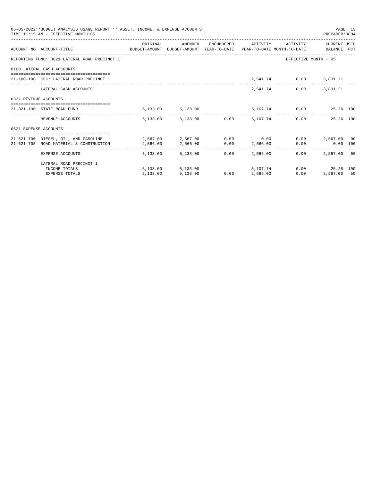|                       | 05-05-2022**BUDGET ANALYSIS USAGE REPORT ** ASSET, INCOME, & EXPENSE ACCOUNTS<br>TIME:11:15 AM - EFFECTIVE MONTH:05                           |          |                                 |                 |          |                                   | PREPARER: 0004          | PAGE 13 |
|-----------------------|-----------------------------------------------------------------------------------------------------------------------------------------------|----------|---------------------------------|-----------------|----------|-----------------------------------|-------------------------|---------|
|                       | ACCOUNT NO ACCOUNT-TITLE COMPUTE SUDGET-AMOUNT BUDGET-AMOUNT YEAR-TO-DATE YEAR-TO-DATE MONTH-TO-DATE BALANCE PCT                              | ORIGINAL | AMENDED                         |                 |          | ENCUMBERED ACTIVITY ACTIVITY      | CURRENT USED            |         |
|                       | REPORTING FUND: 0021 LATERAL ROAD PRECINCT 1                                                                                                  |          |                                 |                 |          |                                   | EFFECTIVE MONTH - 05    |         |
|                       | 0100 LATERAL CASH ACCOUNTS                                                                                                                    |          |                                 |                 |          |                                   |                         |         |
|                       | 21-100-100 CFC: LATERAL ROAD PRECINCT 1                                                                                                       |          |                                 |                 |          | 2,541.74 0.00 3,831.21            |                         |         |
|                       | LATERAL CASH ACCOUNTS                                                                                                                         |          |                                 |                 |          | 2,541.74 0.00 3,831.21            |                         |         |
| 0321 REVENUE ACCOUNTS |                                                                                                                                               |          |                                 |                 |          |                                   |                         |         |
|                       | 21-321-190 STATE ROAD FUND                                                                                                                    |          | 5, 133.00 5, 133.00             |                 |          |                                   | 5,107.74 0.00 25.26 100 |         |
|                       | REVENUE ACCOUNTS                                                                                                                              |          | 5,133.00 5,133.00 0.00 5,107.74 |                 |          |                                   | 25.26 100<br>0.00       |         |
| 0621 EXPENSE ACCOUNTS |                                                                                                                                               |          |                                 |                 |          |                                   |                         |         |
|                       | 21-621-700 DIESEL, OIL, AND GASOLINE $2,567.00$ $2,567.00$ $0.00$ 0.00 0.00 $2,567.00$ 00<br>21-621-705 ROAD MATERIAL & CONSTRUCTION 2.566.00 |          | 2,566.00 0.00 2,566.00          |                 |          |                                   | $0.00$ 0.00 100         |         |
|                       | EXPENSE ACCOUNTS                                                                                                                              |          | 5,133,00 5,133,00               | 0.00            | 2,566,00 | ------------- -----------<br>0.00 | 2,567.00 50             |         |
|                       | LATERAL ROAD PRECINCT 1                                                                                                                       |          |                                 |                 |          |                                   |                         |         |
|                       | INCOME TOTALS                                                                                                                                 |          | 5,133.00 5,133.00               |                 | 5,107,74 |                                   | 0.00 25.26 100          |         |
|                       | <b>EXPENSE TOTALS</b>                                                                                                                         | 5,133.00 | 5,133.00                        | $0.00$ 2,566.00 |          | 0.00                              | 2,567.00 50             |         |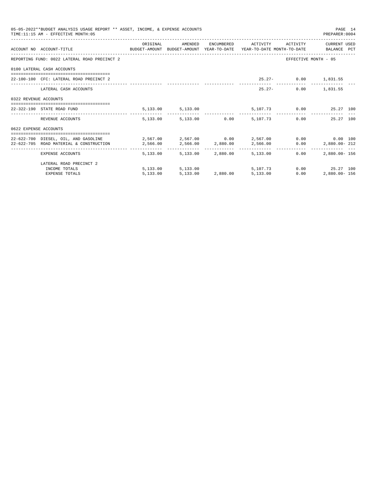|                       | 05-05-2022**BUDGET ANALYSIS USAGE REPORT ** ASSET, INCOME, & EXPENSE ACCOUNTS<br>TIME: 11:15 AM - EFFECTIVE MONTH: 05 |          |                            |                                                   |                      | PAGE 14<br>PREPARER:0004 |  |
|-----------------------|-----------------------------------------------------------------------------------------------------------------------|----------|----------------------------|---------------------------------------------------|----------------------|--------------------------|--|
|                       | ACCOUNT NO ACCOUNT-TITLE COMPUTE SUDGET-AMOUNT BUDGET-AMOUNT YEAR-TO-DATE YEAR-TO-DATE MONTH-TO-DATE BALANCE PCT      | ORIGINAL |                            | AMENDED ENCUMBERED ACTIVITY ACTIVITY CURRENT_USED |                      |                          |  |
|                       | REPORTING FUND: 0022 LATERAL ROAD PRECINCT 2                                                                          |          |                            |                                                   |                      | EFFECTIVE MONTH - 05     |  |
|                       | 0100 LATERAL CASH ACCOUNTS                                                                                            |          |                            |                                                   |                      |                          |  |
|                       | 22-100-100 CFC: LATERAL ROAD PRECINCT 2                                                                               |          |                            |                                                   | 25.27- 0.00 1,831.55 |                          |  |
|                       | LATERAL CASH ACCOUNTS                                                                                                 |          |                            | $25.27 -$                                         |                      | $0.00$ 1,831.55          |  |
| 0322 REVENUE ACCOUNTS |                                                                                                                       |          |                            |                                                   |                      |                          |  |
|                       | 22-322-190 STATE ROAD FUND                                                                                            |          |                            | 5,133.00 5,133.00 5,107.73 0.00 25.27 100         |                      |                          |  |
|                       | REVENUE ACCOUNTS                                                                                                      |          |                            | 5,133.00 5,133.00 0.00 5,107.73                   |                      | $0.00$ 25.27 100         |  |
| 0622 EXPENSE ACCOUNTS |                                                                                                                       |          |                            |                                                   |                      |                          |  |
|                       | 22-622-700 DIESEL, OIL, AND GASOLINE $2,567.00$ $2,567.00$ $0.00$ $2,567.00$ $0.00$ $0.00$ $0.00$ $0.00$              |          |                            |                                                   |                      |                          |  |
|                       | 22-622-705 ROAD MATERIAL & CONSTRUCTION 2,566.00 2,566.00 2,880.00 2,880.00 2,566.00 0.00 2,880.00-212                |          |                            |                                                   |                      |                          |  |
|                       | EXPENSE ACCOUNTS                                                                                                      |          | 5,133.00 5,133.00 2,880.00 | 5,133.00                                          | $0.00 -$             | 2,880.00- 156            |  |
|                       | LATERAL ROAD PRECINCT 2                                                                                               |          |                            |                                                   |                      |                          |  |
|                       | INCOME TOTALS                                                                                                         |          |                            | 5,133.00 5,133.00 5,107.73                        |                      | $0.00$ 25.27 100         |  |
|                       | <b>EXPENSE TOTALS</b>                                                                                                 | 5,133.00 |                            | 5,133.00 2,880.00 5,133.00                        | 0.00                 | 2,880.00- 156            |  |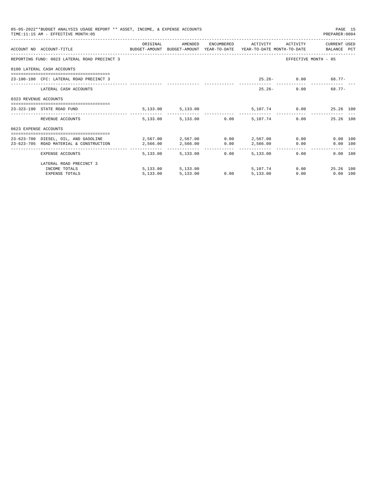|                       | 05-05-2022**BUDGET ANALYSIS USAGE REPORT ** ASSET, INCOME, & EXPENSE ACCOUNTS<br>TIME:11:15 AM - EFFECTIVE MONTH:05 |          |                     |      |                                 |      | PAGE 15<br>PREPARER: 0004     |  |
|-----------------------|---------------------------------------------------------------------------------------------------------------------|----------|---------------------|------|---------------------------------|------|-------------------------------|--|
|                       |                                                                                                                     | ORIGINAL | AMENDED             |      | ENCUMBERED ACTIVITY ACTIVITY    |      | CURRENT USED                  |  |
|                       | ACCOUNT NO ACCOUNT-TITLE CONTROL SUDGET-AMOUNT BUDGET-AMOUNT YEAR-TO-DATE YEAR-TO-DATE MONTH-TO-DATE BALANCE PCT    |          |                     |      |                                 |      |                               |  |
|                       | REPORTING FUND: 0023 LATERAL ROAD PRECINCT 3                                                                        |          |                     |      |                                 |      | EFFECTIVE MONTH - 05          |  |
|                       | 0100 LATERAL CASH ACCOUNTS                                                                                          |          |                     |      |                                 |      |                               |  |
|                       | 23-100-100 CFC: LATERAL ROAD PRECINCT 3                                                                             |          |                     |      |                                 |      | $25.26 - 0.00$ 68.77-         |  |
|                       | LATERAL CASH ACCOUNTS                                                                                               |          |                     |      | $25.26 -$                       |      | 68.77-<br>0.00                |  |
| 0323 REVENUE ACCOUNTS |                                                                                                                     |          |                     |      |                                 |      |                               |  |
|                       | 23-323-190 STATE ROAD FUND                                                                                          |          | 5, 133.00 5, 133.00 |      |                                 |      | 5,107.74 0.00 25.26 100       |  |
|                       | REVENUE ACCOUNTS                                                                                                    |          |                     |      | 5,133.00 5,133.00 0.00 5,107.74 |      | 0.00<br>25.26 100             |  |
| 0623 EXPENSE ACCOUNTS |                                                                                                                     |          |                     |      |                                 |      |                               |  |
|                       | 23-623-700 DIESEL, OIL, AND GASOLINE $2.567.00$ $2.567.00$ $0.00$ $2.567.00$                                        |          |                     |      |                                 |      | 0.00 100                      |  |
|                       | 23-623-705 ROAD MATERIAL & CONSTRUCTION 2,566.00                                                                    |          | 2,566.00 0.00       |      | 2,566.00                        |      | $0.00$ and $0.00$<br>0.00 100 |  |
|                       | ______________________________________<br>EXPENSE ACCOUNTS                                                          |          | 5,133,00 5,133,00   | 0.00 | 5,133,00                        |      | 0.00<br>0.00 100              |  |
|                       | LATERAL ROAD PRECINCT 3                                                                                             |          |                     |      |                                 |      |                               |  |
|                       | INCOME TOTALS                                                                                                       |          | 5,133.00 5,133.00   |      | 5,107,74                        |      | 0.00<br>25.26 100             |  |
|                       | <b>EXPENSE TOTALS</b>                                                                                               | 5.133.00 | 5,133.00            | 0.00 | 5,133.00                        | 0.00 | $0.00$ 100                    |  |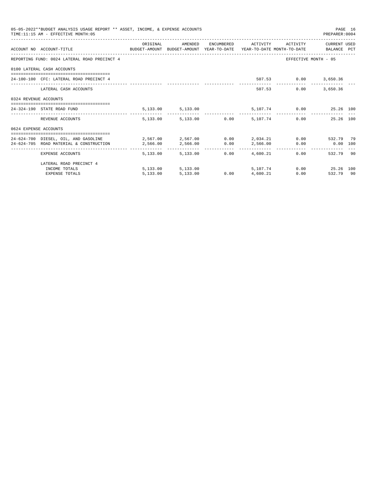|                       | 05-05-2022**BUDGET ANALYSIS USAGE REPORT ** ASSET, INCOME, & EXPENSE ACCOUNTS<br>TIME: 11:15 AM - EFFECTIVE MONTH: 05 |          |                                     |                        |                     |                      | PAGE 16<br>PREPARER: 0004          |    |
|-----------------------|-----------------------------------------------------------------------------------------------------------------------|----------|-------------------------------------|------------------------|---------------------|----------------------|------------------------------------|----|
|                       | ACCOUNT NO ACCOUNT-TITLE CONTROL POLICET-AMOUNT BUDGET-AMOUNT YEAR-TO-DATE YEAR-TO-DATE MONTH-TO-DATE BALANCE PCT     | ORIGINAL | AMENDED                             |                        | ENCUMBERED ACTIVITY |                      | ACTIVITY CURRENT USED              |    |
|                       | REPORTING FUND: 0024 LATERAL ROAD PRECINCT 4                                                                          |          |                                     |                        |                     |                      | EFFECTIVE MONTH - 05               |    |
|                       | 0100 LATERAL CASH ACCOUNTS                                                                                            |          |                                     |                        |                     |                      |                                    |    |
|                       | 24-100-100 CFC: LATERAL ROAD PRECINCT 4                                                                               |          |                                     |                        |                     | 507.53 0.00 3,650.36 |                                    |    |
|                       | LATERAL CASH ACCOUNTS                                                                                                 |          |                                     |                        |                     | 507.53               | $0.00$ 3,650.36                    |    |
| 0324 REVENUE ACCOUNTS |                                                                                                                       |          |                                     |                        |                     |                      |                                    |    |
|                       | ==================================<br>24-324-190 STATE ROAD FUND                                                      |          | 5,133.00 5,133.00                   |                        |                     |                      | 5,107.74 0.00 25.26 100            |    |
|                       | REVENUE ACCOUNTS                                                                                                      |          | 5,133.00 5,133.00 0.00 5,107.74     |                        |                     |                      | -------------<br>25.26 100<br>0.00 |    |
| 0624 EXPENSE ACCOUNTS |                                                                                                                       |          |                                     |                        |                     |                      |                                    |    |
|                       | 24-624-700 DIESEL, OIL, AND GASOLINE 2,567.00 2,567.00 0.00 2,034.21                                                  |          |                                     |                        |                     |                      | 0.00 532.79 79                     |    |
|                       | 24-624-705 ROAD MATERIAL & CONSTRUCTION                                                                               | 2,566.00 | 2,566.00 0.00                       |                        | 2,566.00            | 0.00                 | $0.00$ 100                         |    |
|                       | EXPENSE ACCOUNTS                                                                                                      | -------- | ------------ -<br>5,133,00 5,133,00 | ------------ -<br>0.00 | 4,600.21            |                      | 0.00<br>532.79                     | 90 |
|                       | LATERAL ROAD PRECINCT 4                                                                                               |          |                                     |                        |                     |                      |                                    |    |
|                       | INCOME TOTALS                                                                                                         |          | 5,133.00 5,133.00                   |                        | 5,107.74            |                      | $0.00$ 25.26 100                   |    |
|                       | <b>EXPENSE TOTALS</b>                                                                                                 | 5,133.00 | 5,133.00                            | 0.00                   | 4,600.21            | 0.00                 | 532.79 90                          |    |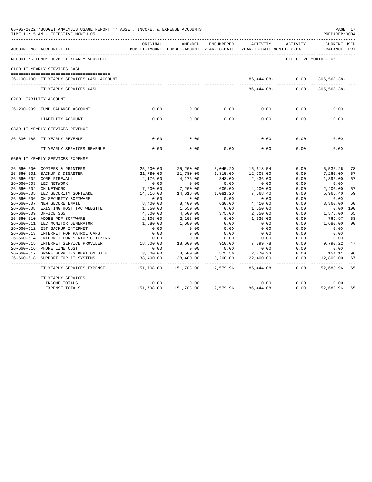|                  | 05-05-2022**BUDGET ANALYSIS USAGE REPORT ** ASSET, INCOME, & EXPENSE ACCOUNTS<br>TIME:11:15 AM - EFFECTIVE MONTH:05 |                     |                                                     |                   |                                        |                      | PAGE 17<br>PREPARER: 0004   |                |
|------------------|---------------------------------------------------------------------------------------------------------------------|---------------------|-----------------------------------------------------|-------------------|----------------------------------------|----------------------|-----------------------------|----------------|
|                  | ACCOUNT NO ACCOUNT-TITLE                                                                                            | ORIGINAL            | AMENDED<br>BUDGET-AMOUNT BUDGET-AMOUNT YEAR-TO-DATE | ENCUMBERED        | ACTIVITY<br>YEAR-TO-DATE MONTH-TO-DATE | ACTIVITY             | CURRENT USED<br>BALANCE PCT |                |
|                  | REPORTING FUND: 0026 IT YEARLY SERVICES                                                                             |                     |                                                     |                   |                                        | EFFECTIVE MONTH - 05 |                             |                |
|                  | 0100 IT YEARLY SERVICES CASH                                                                                        |                     |                                                     |                   |                                        |                      |                             |                |
|                  | 26-100-100 IT YEARLY SERVICES CASH ACCOUNT                                                                          |                     |                                                     |                   |                                        | $86,444.08 - 0.00$   | $305,568.38 -$              |                |
|                  | IT YEARLY SERVICES CASH                                                                                             |                     |                                                     |                   | 86,444.08-                             | 0.00                 | $305,568.38-$               |                |
|                  | 0200 LIABILITY ACCOUNT                                                                                              |                     |                                                     |                   |                                        |                      |                             |                |
|                  | 26-200-999 FUND BALANCE ACCOUNT                                                                                     | 0.00<br>$- - - - -$ | 0.00<br>- - - - - - -                               | 0.00<br>$- - - -$ | 0.00                                   | 0.00                 | 0.00                        |                |
|                  | LIABILITY ACCOUNT                                                                                                   | 0.00                | 0.00                                                | 0.00              | 0.00                                   | 0.00                 | 0.00                        |                |
|                  | 0330 IT YEARLY SERVICES REVENUE                                                                                     |                     |                                                     |                   |                                        |                      |                             |                |
|                  | 26-330-185 IT YEARLY REVENUE                                                                                        | 0.00                | 0.00                                                |                   | 0.00                                   | 0.00                 | 0.00                        |                |
|                  | IT YEARLY SERVICES REVENUE                                                                                          | 0.00                | 0.00                                                | 0.00              | 0.00                                   | 0.00                 | 0.00                        |                |
|                  | 0660 IT YEARLY SERVICES EXPENSE                                                                                     |                     |                                                     |                   |                                        |                      |                             |                |
|                  | 26-660-600 COPIERS & PRINTERS                                                                                       | 25,200.00           | 25,200.00                                           | 3,045.20          | 16,618.54                              | 0.00                 | 5,536.26                    | 78             |
|                  | 26-660-601 BACKUP & DISASTER                                                                                        | 21,780.00           | 21,780.00                                           | 1,815.00          | 12,705.00                              | 0.00                 | 7,260.00                    | 67             |
|                  | 26-660-602 CORE FIREWALL                                                                                            | 4,176.00            | 4,176.00                                            | 348.00            | 2,436.00                               | 0.00                 | 1,392.00                    | 67             |
|                  | 26-660-603 LEC NETWORK                                                                                              | 0.00                | 0.00                                                | 0.00              | 0.00                                   | 0.00                 | 0.00                        |                |
|                  | 26-660-604 CH NETWORK                                                                                               | 7,200.00            | 7,200.00                                            | 600.00            | 4,200.00                               | 0.00                 | 2,400.00                    | 67             |
|                  | 26-660-605 LEC SECURITY SOFTWARE                                                                                    | 14,616.00           | 14,616.00                                           | 1,081.20          | 7,568.40                               | 0.00                 | 5,966.40                    | 59             |
|                  | 26-660-606 CH SECURITY SOFTWARE                                                                                     | 0.00                | 0.00                                                | 0.00              | 0.00                                   | 0.00                 | 0.00                        |                |
|                  | 26-660-607 NEW SECURE EMAIL                                                                                         | 8,400.00            | 8,400.00                                            | 630.00            | 4,410.00                               | 0.00                 | 3,360.00                    | 60             |
|                  | 26-660-608 EXISTING HOST TAC WEBSITE                                                                                | 1,550.00            | 1,550.00                                            | 0.00              | 1,550.00                               | 0.00                 | 0.00                        | 100            |
| $26 - 660 - 609$ | OFFICE 365                                                                                                          | 4,500.00            | 4,500.00                                            | 375.00            | 2,550.00                               | 0.00                 | 1,575.00                    | 65             |
|                  | 26-660-610 ADOBE PDF SOFTWARE                                                                                       | 2,106.00            | 2,106.00                                            | 0.00              | 1,336.03                               | 0.00                 | 769.97                      | 63             |
|                  | 26-660-611 LEC MONITOR GENERATOR                                                                                    | 1,680.00            | 1,680.00                                            | 0.00              | 0.00                                   | 0.00                 | 1,680.00                    | 0 <sub>0</sub> |
| 26-660-612       | EST BACKUP INTERNET                                                                                                 | 0.00                | 0.00                                                | 0.00              | 0.00                                   | 0.00                 | 0.00                        |                |
|                  | 26-660-613 INTERNET FOR PATROL CARS                                                                                 | 0.00                | 0.00                                                | 0.00              | 0.00                                   | 0.00                 | 0.00                        |                |
|                  | 26-660-614 INTERNET FOR SENIOR CITIZENS                                                                             | 0.00                | 0.00                                                | 0.00              | 0.00                                   | 0.00                 | 0.00                        |                |
|                  | 26-660-615 INTERNET SERVICE PROVIDER                                                                                | 18,600.00           | 18,600.00                                           | 910.00            | 7,899.78                               | 0.00                 | 9,790.22                    | 47             |
|                  | 26-660-616 PHONE LINE COST                                                                                          | 0.00                | 0.00                                                | 0.00              | 0.00                                   | 0.00                 | 0.00                        |                |
|                  | 26-660-617 SPARE SUPPLIES KEPT ON SITE                                                                              | 3,500.00            | 3,500.00                                            | 575.56            | 2,770.33                               | 0.00                 | 154.11                      | 96             |
|                  | 26-660-618 SUPPORT FOR IT SYSTEMS                                                                                   | 38,400.00           | 38,400.00                                           | 3,200.00          | 22,400.00                              | 0.00                 | 12,800.00                   | 67             |
|                  | IT YEARLY SERVICES EXPENSE                                                                                          | 151,708.00          | 151,708.00                                          | 12,579.96         | 86,444.08                              | 0.00                 | 52,683.96                   | 65             |
|                  | IT YEARLY SERVICES                                                                                                  |                     |                                                     |                   |                                        |                      |                             |                |
|                  | INCOME TOTALS                                                                                                       | 0.00                | 0.00                                                |                   | 0.00                                   | 0.00                 | 0.00                        |                |
|                  | EXPENSE TOTALS                                                                                                      | 151,708.00          | 151,708.00                                          | 12,579.96         | 86, 444.08                             | 0.00                 | 52,683.96                   | 65             |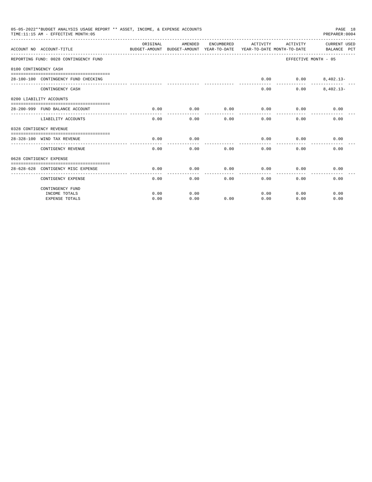| 05-05-2022**BUDGET ANALYSIS USAGE REPORT ** ASSET, INCOME, & EXPENSE ACCOUNTS<br>PAGE 18<br>TIME:11:15 AM - EFFECTIVE MONTH:05<br>PREPARER: 0004<br>ORIGINAL<br>AMENDED<br>ENCUMBERED<br>ACTIVITY<br>ACTIVITY<br>CURRENT USED<br>ACCOUNT NO ACCOUNT-TITLE<br>BUDGET-AMOUNT BUDGET-AMOUNT YEAR-TO-DATE YEAR-TO-DATE MONTH-TO-DATE BALANCE PCT<br>REPORTING FUND: 0028 CONTINGENCY FUND<br>EFFECTIVE MONTH - 05<br>0100 CONTINGENCY CASH<br>0.00<br>28-100-100 CONTINGENCY FUND CHECKING<br>$0.00$ $8,402.13-$<br>$8,402.13-$<br>CONTINGENCY CASH<br>0.00<br>0.00<br>0200 LIABILITY ACCOUNTS<br>0.00<br>0.00<br>0.00<br>28-200-999 FUND BALANCE ACCOUNT<br>0.00<br>0.00<br>0.00<br>. _ _ _ _ _ _ _ _ _ _<br>-------<br>.<br>0.00<br>$0.00 -$<br>0.00<br>0.00<br>0.00<br>0.00<br>LIABILITY ACCOUNTS<br>0328 CONTIGENCY REVENUE<br>0.00<br>0.00<br>0.00<br>28-328-100 WIND TAX REVENUE<br>0.00<br>0.00<br>CONTIGENCY REVENUE<br>0.00<br>0.00<br>0.00<br>0.00<br>0.00<br>0.00<br>0628 CONTIGENCY EXPENSE<br>0.00<br>0.00<br>0.00<br>0.00<br>0.00<br>0.00<br>28-628-628 CONTIGENCY MISC EXPENSE<br>CONTIGENCY EXPENSE<br>0.00<br>0.00<br>0.00<br>0.00<br>0.00<br>0.00<br>CONTINGENCY FUND |      |      |      |      |      |      |
|-------------------------------------------------------------------------------------------------------------------------------------------------------------------------------------------------------------------------------------------------------------------------------------------------------------------------------------------------------------------------------------------------------------------------------------------------------------------------------------------------------------------------------------------------------------------------------------------------------------------------------------------------------------------------------------------------------------------------------------------------------------------------------------------------------------------------------------------------------------------------------------------------------------------------------------------------------------------------------------------------------------------------------------------------------------------------------------------------------------------------------------------------------------------------------------|------|------|------|------|------|------|
|                                                                                                                                                                                                                                                                                                                                                                                                                                                                                                                                                                                                                                                                                                                                                                                                                                                                                                                                                                                                                                                                                                                                                                                     |      |      |      |      |      |      |
|                                                                                                                                                                                                                                                                                                                                                                                                                                                                                                                                                                                                                                                                                                                                                                                                                                                                                                                                                                                                                                                                                                                                                                                     |      |      |      |      |      |      |
|                                                                                                                                                                                                                                                                                                                                                                                                                                                                                                                                                                                                                                                                                                                                                                                                                                                                                                                                                                                                                                                                                                                                                                                     |      |      |      |      |      |      |
|                                                                                                                                                                                                                                                                                                                                                                                                                                                                                                                                                                                                                                                                                                                                                                                                                                                                                                                                                                                                                                                                                                                                                                                     |      |      |      |      |      |      |
|                                                                                                                                                                                                                                                                                                                                                                                                                                                                                                                                                                                                                                                                                                                                                                                                                                                                                                                                                                                                                                                                                                                                                                                     |      |      |      |      |      |      |
|                                                                                                                                                                                                                                                                                                                                                                                                                                                                                                                                                                                                                                                                                                                                                                                                                                                                                                                                                                                                                                                                                                                                                                                     |      |      |      |      |      |      |
|                                                                                                                                                                                                                                                                                                                                                                                                                                                                                                                                                                                                                                                                                                                                                                                                                                                                                                                                                                                                                                                                                                                                                                                     |      |      |      |      |      |      |
|                                                                                                                                                                                                                                                                                                                                                                                                                                                                                                                                                                                                                                                                                                                                                                                                                                                                                                                                                                                                                                                                                                                                                                                     |      |      |      |      |      |      |
|                                                                                                                                                                                                                                                                                                                                                                                                                                                                                                                                                                                                                                                                                                                                                                                                                                                                                                                                                                                                                                                                                                                                                                                     |      |      |      |      |      |      |
|                                                                                                                                                                                                                                                                                                                                                                                                                                                                                                                                                                                                                                                                                                                                                                                                                                                                                                                                                                                                                                                                                                                                                                                     |      |      |      |      |      |      |
|                                                                                                                                                                                                                                                                                                                                                                                                                                                                                                                                                                                                                                                                                                                                                                                                                                                                                                                                                                                                                                                                                                                                                                                     |      |      |      |      |      |      |
|                                                                                                                                                                                                                                                                                                                                                                                                                                                                                                                                                                                                                                                                                                                                                                                                                                                                                                                                                                                                                                                                                                                                                                                     |      |      |      |      |      |      |
|                                                                                                                                                                                                                                                                                                                                                                                                                                                                                                                                                                                                                                                                                                                                                                                                                                                                                                                                                                                                                                                                                                                                                                                     |      |      |      |      |      |      |
|                                                                                                                                                                                                                                                                                                                                                                                                                                                                                                                                                                                                                                                                                                                                                                                                                                                                                                                                                                                                                                                                                                                                                                                     |      |      |      |      |      |      |
|                                                                                                                                                                                                                                                                                                                                                                                                                                                                                                                                                                                                                                                                                                                                                                                                                                                                                                                                                                                                                                                                                                                                                                                     |      |      |      |      |      |      |
|                                                                                                                                                                                                                                                                                                                                                                                                                                                                                                                                                                                                                                                                                                                                                                                                                                                                                                                                                                                                                                                                                                                                                                                     |      |      |      |      |      |      |
|                                                                                                                                                                                                                                                                                                                                                                                                                                                                                                                                                                                                                                                                                                                                                                                                                                                                                                                                                                                                                                                                                                                                                                                     |      |      |      |      |      |      |
|                                                                                                                                                                                                                                                                                                                                                                                                                                                                                                                                                                                                                                                                                                                                                                                                                                                                                                                                                                                                                                                                                                                                                                                     |      |      |      |      |      |      |
|                                                                                                                                                                                                                                                                                                                                                                                                                                                                                                                                                                                                                                                                                                                                                                                                                                                                                                                                                                                                                                                                                                                                                                                     |      |      |      |      |      |      |
| INCOME TOTALS                                                                                                                                                                                                                                                                                                                                                                                                                                                                                                                                                                                                                                                                                                                                                                                                                                                                                                                                                                                                                                                                                                                                                                       | 0.00 | 0.00 |      | 0.00 | 0.00 | 0.00 |
| <b>EXPENSE TOTALS</b>                                                                                                                                                                                                                                                                                                                                                                                                                                                                                                                                                                                                                                                                                                                                                                                                                                                                                                                                                                                                                                                                                                                                                               | 0.00 | 0.00 | 0.00 | 0.00 | 0.00 | 0.00 |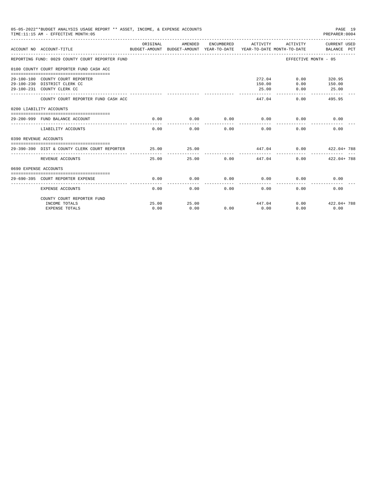| 05-05-2022**BUDGET ANALYSIS USAGE REPORT ** ASSET, INCOME, & EXPENSE ACCOUNTS<br>PAGE 19<br>TIME: 11:15 AM - EFFECTIVE MONTH: 05<br>PREPARER: 0004<br>ORIGINAL<br>AMENDED<br>ENCUMBERED<br>ACTIVITY<br>ACTIVITY<br>ACCOUNT NO ACCOUNT-TITLE<br>BUDGET-AMOUNT BUDGET-AMOUNT YEAR-TO-DATE YEAR-TO-DATE MONTH-TO-DATE<br>BALANCE<br>REPORTING FUND: 0029 COUNTY COURT REPORTER FUND<br>EFFECTIVE MONTH - 05<br>0100 COUNTY COURT REPORTER FUND CASH ACC<br>272.04<br>$0.00$ 320.95<br>29-100-100 COUNTY COURT REPORTER<br>0.00<br>150.00<br>29-100-230 DISTRICT CLERK CC<br>150.00<br>25.00<br>29-100-231 COUNTY CLERK CC<br>0.00<br>25.00<br>495.95<br>COUNTY COURT REPORTER FUND CASH ACC<br>447.04<br>0.00<br>0200 LIABILITY ACCOUNTS<br>0.00<br>0.00<br>0.00<br>29-200-999 FUND BALANCE ACCOUNT<br>0.00<br>0.00<br>0.00<br>LIABILITY ACCOUNTS<br>0.00<br>0.00<br>0.00<br>0.00<br>$0.00 -$<br>0.00<br>0390 REVENUE ACCOUNTS<br>25.00<br>447.04 0.00 422.04 + 788<br>29-390-390 DIST & COUNTY CLERK COURT REPORTER 25.00<br>-----------<br>$0.00$ $422.04 + 788$<br>REVENUE ACCOUNTS<br>25.00<br>25.00<br>0.00<br>447.04<br>0690 EXPENSE ACCOUNTS<br>0.00<br>0.00<br>0.00<br>0.00<br>0.00<br>0.00<br>29-690-395 COURT REPORTER EXPENSE<br>0.00<br>0.00<br>0.00<br>0.00<br>0.00<br>0.00<br>EXPENSE ACCOUNTS |                                        |               |               |  |             |                |                               |
|-----------------------------------------------------------------------------------------------------------------------------------------------------------------------------------------------------------------------------------------------------------------------------------------------------------------------------------------------------------------------------------------------------------------------------------------------------------------------------------------------------------------------------------------------------------------------------------------------------------------------------------------------------------------------------------------------------------------------------------------------------------------------------------------------------------------------------------------------------------------------------------------------------------------------------------------------------------------------------------------------------------------------------------------------------------------------------------------------------------------------------------------------------------------------------------------------------------------------------------------------------------------------------------------------------------|----------------------------------------|---------------|---------------|--|-------------|----------------|-------------------------------|
|                                                                                                                                                                                                                                                                                                                                                                                                                                                                                                                                                                                                                                                                                                                                                                                                                                                                                                                                                                                                                                                                                                                                                                                                                                                                                                           |                                        |               |               |  |             |                | CURRENT USED<br>PCT           |
|                                                                                                                                                                                                                                                                                                                                                                                                                                                                                                                                                                                                                                                                                                                                                                                                                                                                                                                                                                                                                                                                                                                                                                                                                                                                                                           |                                        |               |               |  |             |                |                               |
|                                                                                                                                                                                                                                                                                                                                                                                                                                                                                                                                                                                                                                                                                                                                                                                                                                                                                                                                                                                                                                                                                                                                                                                                                                                                                                           |                                        |               |               |  |             |                |                               |
|                                                                                                                                                                                                                                                                                                                                                                                                                                                                                                                                                                                                                                                                                                                                                                                                                                                                                                                                                                                                                                                                                                                                                                                                                                                                                                           |                                        |               |               |  |             |                |                               |
|                                                                                                                                                                                                                                                                                                                                                                                                                                                                                                                                                                                                                                                                                                                                                                                                                                                                                                                                                                                                                                                                                                                                                                                                                                                                                                           |                                        |               |               |  |             |                |                               |
|                                                                                                                                                                                                                                                                                                                                                                                                                                                                                                                                                                                                                                                                                                                                                                                                                                                                                                                                                                                                                                                                                                                                                                                                                                                                                                           |                                        |               |               |  |             |                |                               |
|                                                                                                                                                                                                                                                                                                                                                                                                                                                                                                                                                                                                                                                                                                                                                                                                                                                                                                                                                                                                                                                                                                                                                                                                                                                                                                           |                                        |               |               |  |             |                |                               |
|                                                                                                                                                                                                                                                                                                                                                                                                                                                                                                                                                                                                                                                                                                                                                                                                                                                                                                                                                                                                                                                                                                                                                                                                                                                                                                           |                                        |               |               |  |             |                |                               |
|                                                                                                                                                                                                                                                                                                                                                                                                                                                                                                                                                                                                                                                                                                                                                                                                                                                                                                                                                                                                                                                                                                                                                                                                                                                                                                           |                                        |               |               |  |             |                |                               |
|                                                                                                                                                                                                                                                                                                                                                                                                                                                                                                                                                                                                                                                                                                                                                                                                                                                                                                                                                                                                                                                                                                                                                                                                                                                                                                           |                                        |               |               |  |             |                |                               |
|                                                                                                                                                                                                                                                                                                                                                                                                                                                                                                                                                                                                                                                                                                                                                                                                                                                                                                                                                                                                                                                                                                                                                                                                                                                                                                           |                                        |               |               |  |             |                |                               |
|                                                                                                                                                                                                                                                                                                                                                                                                                                                                                                                                                                                                                                                                                                                                                                                                                                                                                                                                                                                                                                                                                                                                                                                                                                                                                                           |                                        |               |               |  |             |                |                               |
|                                                                                                                                                                                                                                                                                                                                                                                                                                                                                                                                                                                                                                                                                                                                                                                                                                                                                                                                                                                                                                                                                                                                                                                                                                                                                                           |                                        |               |               |  |             |                |                               |
|                                                                                                                                                                                                                                                                                                                                                                                                                                                                                                                                                                                                                                                                                                                                                                                                                                                                                                                                                                                                                                                                                                                                                                                                                                                                                                           |                                        |               |               |  |             |                |                               |
|                                                                                                                                                                                                                                                                                                                                                                                                                                                                                                                                                                                                                                                                                                                                                                                                                                                                                                                                                                                                                                                                                                                                                                                                                                                                                                           | COUNTY COURT REPORTER FUND             |               |               |  |             |                |                               |
|                                                                                                                                                                                                                                                                                                                                                                                                                                                                                                                                                                                                                                                                                                                                                                                                                                                                                                                                                                                                                                                                                                                                                                                                                                                                                                           | INCOME TOTALS<br><b>EXPENSE TOTALS</b> | 25.00<br>0.00 | 25.00<br>0.00 |  | $0.00$ 0.00 | 447.04<br>0.00 | $0.00$ $422.04 + 788$<br>0.00 |
|                                                                                                                                                                                                                                                                                                                                                                                                                                                                                                                                                                                                                                                                                                                                                                                                                                                                                                                                                                                                                                                                                                                                                                                                                                                                                                           |                                        |               |               |  |             |                |                               |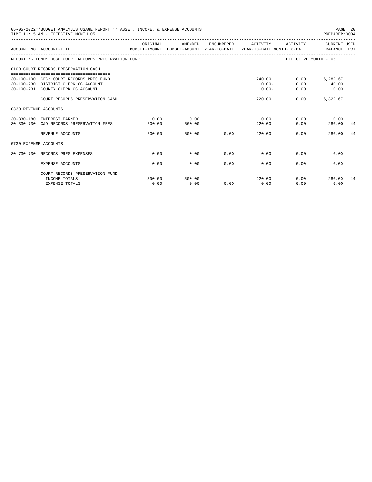|                       | 05-05-2022**BUDGET ANALYSIS USAGE REPORT ** ASSET, INCOME, & EXPENSE ACCOUNTS<br>TIME: 11:15 AM - EFFECTIVE MONTH: 05 |                |                |                |                                  |                                           | PAGE 20<br>PREPARER: 0004        |    |
|-----------------------|-----------------------------------------------------------------------------------------------------------------------|----------------|----------------|----------------|----------------------------------|-------------------------------------------|----------------------------------|----|
|                       | ACCOUNT NO ACCOUNT-TITLE COMPUTE SUDGET-AMOUNT BUDGET-AMOUNT YEAR-TO-DATE YEAR-TO-DATE MONTH-TO-DATE BALANCE PCT      | ORIGINAL       | AMENDED        |                | ENCUMBERED ACTIVITY              |                                           | ACTIVITY CURRENT USED            |    |
|                       | REPORTING FUND: 0030 COURT RECORDS PRESERVATION FUND                                                                  |                |                |                |                                  | EFFECTIVE MONTH - 05                      |                                  |    |
|                       | 0100 COURT RECORDS PRESERVATION CASH                                                                                  |                |                |                |                                  |                                           |                                  |    |
|                       | 30-100-100 CFC: COURT RECORDS PRES FUND<br>30-100-230 DISTRICT CLERK CC ACCOUNT<br>30-100-231 COUNTY CLERK CC ACCOUNT |                |                |                | 240.00<br>$10.00 -$<br>$10.00 -$ | 0.00<br>0.00                              | $0.00$ 6,282.67<br>40.00<br>0.00 |    |
|                       | COURT RECORDS PRESERVATION CASH                                                                                       |                |                |                | 220.00                           | _________________________________<br>0.00 | 6,322.67                         |    |
| 0330 REVENUE ACCOUNTS |                                                                                                                       |                |                |                |                                  |                                           |                                  |    |
|                       | 30-330-180 INTEREST EARNED<br>30-330-730 C&D RECORDS PRESERVATION FEES                                                | 0.00<br>500.00 | 0.00<br>500.00 |                | 0.00<br>220.00                   | 0.00                                      | $0.00$ 0.00<br>280.00 44         |    |
|                       | REVENUE ACCOUNTS                                                                                                      | 500.00         |                | 0.00<br>500.00 | -----------<br>220.00            | 0.00                                      | 280.00                           | 44 |
| 0730 EXPENSE ACCOUNTS |                                                                                                                       |                |                |                |                                  |                                           |                                  |    |
|                       | 30-730-730 RECORDS PRES EXPENSES                                                                                      | 0.00           | 0.00           | 0.00           | 0.00                             | 0.00                                      | 0.00                             |    |
|                       | <b>EXPENSE ACCOUNTS</b>                                                                                               | 0.00           | 0.00           | 0.00           | 0.00                             | 0.00                                      | 0.00                             |    |
|                       | COURT RECORDS PRESERVATION FUND                                                                                       |                |                |                |                                  |                                           |                                  |    |
|                       | INCOME TOTALS                                                                                                         | 500.00         | 500.00         |                | 220.00                           |                                           | $0.00$ 280.00                    | 44 |
|                       | <b>EXPENSE TOTALS</b>                                                                                                 | 0.00           | 0.00           | 0.00           | 0.00                             | 0.00                                      | 0.00                             |    |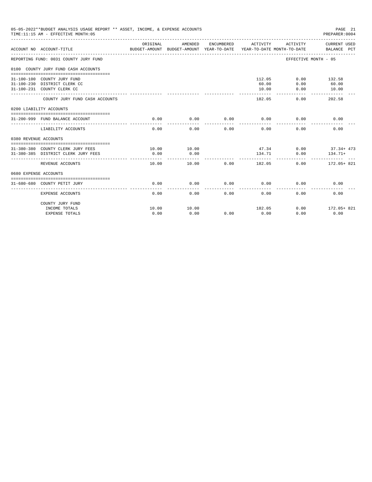| 05-05-2022**BUDGET ANALYSIS USAGE REPORT ** ASSET, INCOME, & EXPENSE ACCOUNTS<br>TIME:11:15 AM - EFFECTIVE MONTH:05 |                                         |                                                                                 | PAGE 21<br>PREPARER:0004 |            |                             |                      |                                      |
|---------------------------------------------------------------------------------------------------------------------|-----------------------------------------|---------------------------------------------------------------------------------|--------------------------|------------|-----------------------------|----------------------|--------------------------------------|
|                                                                                                                     | ACCOUNT NO ACCOUNT-TITLE                | ORIGINAL<br>BUDGET-AMOUNT BUDGET-AMOUNT YEAR-TO-DATE YEAR-TO-DATE MONTH-TO-DATE | AMENDED                  | ENCUMBERED | ACTIVITY                    | ACTIVITY             | CURRENT USED<br>BALANCE PCT          |
|                                                                                                                     | REPORTING FUND: 0031 COUNTY JURY FUND   |                                                                                 |                          |            |                             | EFFECTIVE MONTH - 05 |                                      |
|                                                                                                                     | 0100 COUNTY JURY FUND CASH ACCOUNTS     |                                                                                 |                          |            |                             |                      |                                      |
|                                                                                                                     |                                         |                                                                                 |                          |            |                             |                      |                                      |
|                                                                                                                     | 31-100-100 COUNTY JURY FUND             |                                                                                 |                          |            | 112.05                      |                      | $0.00$ 132.58                        |
|                                                                                                                     | 31-100-230 DISTRICT CLERK CC            |                                                                                 |                          |            | 60.00                       | 0.00                 | 60.00<br>10.00                       |
|                                                                                                                     | 31-100-231 COUNTY CLERK CC              |                                                                                 |                          |            | 10.00                       | 0.00                 |                                      |
|                                                                                                                     | COUNTY JURY FUND CASH ACCOUNTS          |                                                                                 |                          |            | 182.05                      | 0.00                 | 202.58                               |
|                                                                                                                     | 0200 LIABILITY ACCOUNTS                 |                                                                                 |                          |            |                             |                      |                                      |
|                                                                                                                     |                                         |                                                                                 |                          |            |                             |                      |                                      |
|                                                                                                                     | 31-200-999 FUND BALANCE ACCOUNT         | 0.00                                                                            | 0.00<br>--------         | 0.00       | 0.00<br>-----------         | 0.00                 | 0.00                                 |
|                                                                                                                     | LIABILITY ACCOUNTS                      | 0.00                                                                            | 0.00                     | 0.00       | 0.00                        | 0.00                 | 0.00                                 |
| 0380 REVENUE ACCOUNTS                                                                                               |                                         |                                                                                 |                          |            |                             |                      |                                      |
|                                                                                                                     |                                         |                                                                                 |                          |            |                             |                      |                                      |
|                                                                                                                     | 31-380-380 COUNTY CLERK JURY FEES 10.00 |                                                                                 | 10.00                    |            |                             |                      | $47.34$ 0.00 $37.34 + 473$           |
|                                                                                                                     | 31-380-385 DISTRICT CLERK JURY FEES     | 0.00                                                                            | 0.00<br>-----------      |            | 134.71                      | 0.00                 | $134.71+$<br><u>------------ ---</u> |
|                                                                                                                     | REVENUE ACCOUNTS                        | 10.00                                                                           | 10.00                    |            | $0.00$ 182.05               |                      | $0.00$ 172.05+821                    |
| 0680 EXPENSE ACCOUNTS                                                                                               |                                         |                                                                                 |                          |            |                             |                      |                                      |
|                                                                                                                     | 31-680-680 COUNTY PETIT JURY            | 0.00                                                                            | 0.00                     |            | $0.00$ $0.00$ $0.00$ $0.00$ |                      | 0.00                                 |
|                                                                                                                     | EXPENSE ACCOUNTS                        | 0.00                                                                            | 0.00                     | 0.00       | 0.00                        | 0.00                 | 0.00                                 |
|                                                                                                                     | COUNTY JURY FUND                        |                                                                                 |                          |            |                             |                      |                                      |
|                                                                                                                     | INCOME TOTALS                           | 10.00                                                                           | 10.00                    |            | 182.05                      |                      | $0.00$ 172.05+821                    |
|                                                                                                                     | <b>EXPENSE TOTALS</b>                   | 0.00                                                                            | 0.00                     | 0.00       | 0.00                        | 0.00                 | 0.00                                 |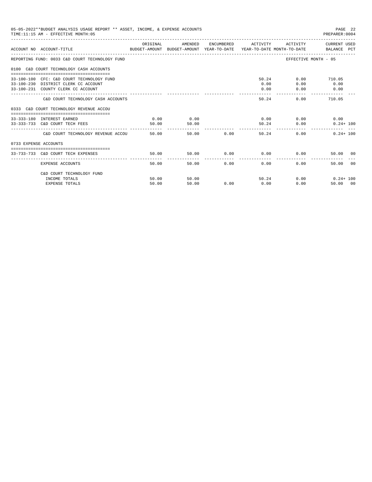|                       | 05-05-2022**BUDGET ANALYSIS USAGE REPORT ** ASSET, INCOME, & EXPENSE ACCOUNTS<br>TIME: 11:15 AM - EFFECTIVE MONTH: 05   |                |                |               |                             |                           | PAGE 22<br>PREPARER:0004                           |
|-----------------------|-------------------------------------------------------------------------------------------------------------------------|----------------|----------------|---------------|-----------------------------|---------------------------|----------------------------------------------------|
|                       | ACCOUNT NO ACCOUNT-TITLE COMPUTE THE SUDGET-AMOUNT BUDGET-AMOUNT VEAR-TO-DATE YEAR-TO-DATE MONTH-TO-DATE BALANCE PCT    | ORIGINAL       | AMENDED        |               | ENCUMBERED ACTIVITY         |                           | ACTIVITY CURRENT USED                              |
|                       | REPORTING FUND: 0033 C&D COURT TECHNOLOGY FUND                                                                          |                |                |               |                             |                           | EFFECTIVE MONTH - 05                               |
|                       | 0100 C&D COURT TECHNOLOGY CASH ACCOUNTS                                                                                 |                |                |               |                             |                           |                                                    |
|                       | 33-100-100 CFC: C&D COURT TECHNOLOGY FUND<br>33-100-230 DISTRICT CLERK CC ACCOUNT<br>33-100-231 COUNTY CLERK CC ACCOUNT |                |                |               | 50.24<br>0.00<br>0.00       | 0.00<br>0.00              | $0.00$ 710.05<br>0.00<br>0.00                      |
|                       | C&D COURT TECHNOLOGY CASH ACCOUNTS                                                                                      |                |                |               | 50.24                       |                           | 0.00<br>710.05                                     |
|                       | 0333 C&D COURT TECHNOLOGY REVENUE ACCOU                                                                                 |                |                |               |                             |                           |                                                    |
|                       | 33-333-180 INTEREST EARNED<br>33-333-733 C&D COURT TECH FEES                                                            | 0.00<br>50.00  | 0.00<br>50.00  |               | ______________              | $0.00$ 0.00<br>50.24 0.00 | 0.00<br>$0.24 + 100$                               |
|                       | C&D COURT TECHNOLOGY REVENUE ACCOU                                                                                      | 50.00          |                | 50.00 0.00    | 50.24                       |                           | $0.24 + 100$<br>0.00                               |
| 0733 EXPENSE ACCOUNTS |                                                                                                                         |                |                |               |                             |                           |                                                    |
|                       | 33-733-733 C&D COURT TECH EXPENSES                                                                                      | 50.00          | 50.00          |               | $0.00$ $0.00$ $0.00$ $0.00$ |                           | 50.00 00                                           |
|                       | EXPENSE ACCOUNTS                                                                                                        | 50.00          |                | 0.00<br>50.00 | 0.00                        |                           | ------------- -------------<br>0.00<br>00<br>50.00 |
|                       | C&D COURT TECHNOLOGY FUND                                                                                               |                |                |               |                             |                           |                                                    |
|                       | INCOME TOTALS<br><b>EXPENSE TOTALS</b>                                                                                  | 50.00<br>50.00 | 50.00<br>50.00 | 0.00          | 50.24<br>0.00               |                           | $0.00$ $0.24 + 100$<br>0.00<br>50.00 00            |
|                       |                                                                                                                         |                |                |               |                             |                           |                                                    |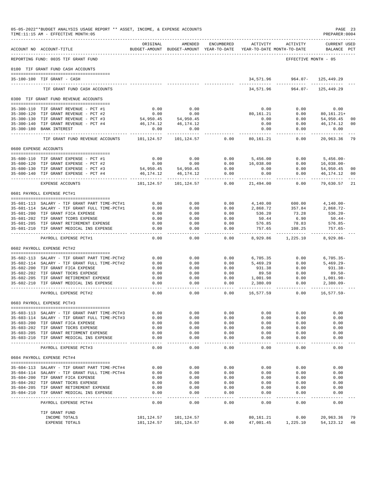|                       | 05-05-2022**BUDGET ANALYSIS USAGE REPORT ** ASSET, INCOME, & EXPENSE ACCOUNTS<br>TIME:11:15 AM - EFFECTIVE MONTH:05 |                            |                                                     |                     |                     |                                        | PREPARER: 0004              | PAGE 23        |
|-----------------------|---------------------------------------------------------------------------------------------------------------------|----------------------------|-----------------------------------------------------|---------------------|---------------------|----------------------------------------|-----------------------------|----------------|
|                       | ACCOUNT NO ACCOUNT-TITLE                                                                                            | ORIGINAL                   | AMENDED<br>BUDGET-AMOUNT BUDGET-AMOUNT YEAR-TO-DATE | ENCUMBERED          | ACTIVITY            | ACTIVITY<br>YEAR-TO-DATE MONTH-TO-DATE | CURRENT USED<br>BALANCE PCT |                |
|                       | REPORTING FUND: 0035 TIF GRANT FUND                                                                                 |                            |                                                     |                     |                     | EFFECTIVE MONTH - 05                   |                             |                |
|                       | 0100 TIF GRANT FUND CASH ACCOUNTS                                                                                   |                            |                                                     |                     |                     |                                        |                             |                |
|                       | 35-100-100 TIF GRANT - CASH                                                                                         |                            |                                                     |                     | 34,571.96           | 964.07-                                | 125,449.29                  |                |
|                       |                                                                                                                     |                            |                                                     |                     |                     |                                        |                             |                |
|                       | TIF GRANT FUND CASH ACCOUNTS                                                                                        |                            |                                                     |                     | 34,571.96           | $964.07 -$                             | 125,449.29                  |                |
|                       | 0300 TIF GRANT FUND REVENUE ACCOUNTS                                                                                |                            |                                                     |                     |                     |                                        |                             |                |
|                       | 35-300-110 TIF GRANT REVENUE - PCT #1                                                                               | 0.00                       | 0.00                                                |                     | 0.00                | 0.00                                   | 0.00                        |                |
|                       | 35-300-120 TIF GRANT REVENUE - PCT #2                                                                               | 0.00                       | 0.00                                                |                     | 80,161.21           | 0.00                                   | $80, 161.21+$               |                |
|                       | 35-300-130 TIF GRANT REVENUE - PCT #3                                                                               | 54,950.45                  | 54,950.45                                           |                     | 0.00                | 0.00                                   | 54,950.45                   | 00             |
| $35 - 300 - 180$      | 35-300-140 TIF GRANT REVENUE - PCT #4<br><b>BANK INTEREST</b>                                                       | 46,174.12<br>0.00          | 46,174.12<br>0.00                                   |                     | 0.00<br>0.00        | 0.00<br>0.00                           | 46,174.12<br>0.00           | 00             |
|                       |                                                                                                                     | $- - - - - - -$            | -------                                             |                     | --------            | $\frac{1}{2}$                          | . <u>.</u> .                |                |
|                       | TIF GRANT FUND REVENUE ACCOUNTS                                                                                     | 101,124.57                 | 101,124.57                                          | 0.00                | 80,161.21           | 0.00                                   | 20,963.36                   | 79             |
| 0600 EXPENSE ACCOUNTS |                                                                                                                     |                            |                                                     |                     |                     |                                        |                             |                |
|                       | 35-600-110 TIF GRANT EXPENSE - PCT #1                                                                               | 0.00                       | 0.00                                                | 0.00                | 5,456.00            | 0.00                                   | $5,456.00 -$                |                |
|                       | 35-600-120 TIF GRANT EXPENSE - PCT #2                                                                               | 0.00                       | 0.00                                                | 0.00                | 16,038.00           | 0.00                                   | $16,038.00-$                |                |
|                       | 35-600-130 TIF GRANT EXPENSE - PCT #3                                                                               | 54,950.45                  | 54,950.45                                           | 0.00                | 0.00                | 0.00                                   | 54,950.45                   | 00             |
|                       | 35-600-140 TIF GRANT EXPENSE - PCT #4                                                                               | 46, 174. 12<br>----------- | 46, 174. 12                                         | 0.00<br>$- - - - -$ | 0.00<br>.           | 0.00<br>$- - - - - -$                  | 46,174.12<br>.              | 0 <sub>0</sub> |
|                       | EXPENSE ACCOUNTS                                                                                                    | 101,124.57                 | 101,124.57                                          | 0.00                | 21,494.00           | 0.00                                   | 79,630.57                   | 21             |
|                       | 0601 PAYROLL EXPENSE PCT#1                                                                                          |                            |                                                     |                     |                     |                                        |                             |                |
|                       | 35-601-113 SALARY - TIF GRANT PART TIME-PCT#1                                                                       | 0.00                       | 0.00                                                | 0.00                | 4,140.00            | 600.00                                 | $4,140.00-$                 |                |
|                       | 35-601-114 SALARY - TIF GRANT FULL TIME-PCT#1                                                                       | 0.00                       | 0.00                                                | 0.00                | 2,868.72            | 357.84                                 | $2,868.72-$                 |                |
|                       | 35-601-200 TIF GRANT FICA EXPENSE                                                                                   | 0.00                       | 0.00                                                | 0.00                | 536.20              | 73.28                                  | $536.20 -$                  |                |
|                       | 35-601-202 TIF GRANT TCDRS EXPENSE                                                                                  | 0.00                       | 0.00                                                | 0.00                | 50.44               | 6.90                                   | $50.44-$                    |                |
|                       | 35-601-205 TIF GRANT RETIREMENT EXPENSE<br>35-601-210 TIF GRANT MEDICAL INS EXPENSE                                 | 0.00<br>0.00               | 0.00<br>0.00                                        | 0.00<br>0.00        | 576.85<br>757.65    | 78.83<br>108.25                        | $576.85-$<br>$757.65-$      |                |
|                       |                                                                                                                     | $- - - - -$                | $- - - - -$                                         | $- - - - -$         | ---------           |                                        |                             |                |
|                       | PAYROLL EXPENSE PCT#1                                                                                               | 0.00                       | 0.00                                                | 0.00                | 8,929.86            | 1,225.10                               | $8,929.86-$                 |                |
|                       | 0602 PAYROLL EXPENSE PCT#2                                                                                          |                            |                                                     |                     |                     |                                        |                             |                |
|                       | 35-602-113 SALARY - TIF GRANT PART TIME-PCT#2                                                                       | 0.00                       | 0.00                                                | 0.00                | 6,705.35            | 0.00                                   | $6,705.35-$                 |                |
|                       | 35-602-114 SALARY - TIF GRANT FULL TIME-PCT#2                                                                       | 0.00                       | 0.00                                                | 0.00                | 5,469.29            | 0.00                                   | $5,469.29 -$                |                |
| $35 - 602 - 200$      | TIF GRANT FICA EXPENSE                                                                                              | 0.00                       | 0.00                                                | 0.00                | 931.38              | 0.00                                   | 931.38-                     |                |
|                       | 35-602-202 TIF GRANT TDCRS EXPENSE                                                                                  | 0.00                       | 0.00                                                | 0.00                | 89.50               | 0.00                                   | $89.50 -$                   |                |
| $35 - 602 - 205$      | TIF GRANT RETIREMENT EXPENSE                                                                                        | 0.00                       | 0.00                                                | 0.00                | 1,001.98            | 0.00                                   | 1,001.98-                   |                |
| 35-602-210            | TIF GRANT MEDICAL INS EXPENSE                                                                                       | 0.00<br>$- - - -$          | 0.00<br>$- - - -$                                   | 0.00<br>$- - - -$   | 2,380.09            | 0.00<br>------                         | $2,380.09 -$                |                |
|                       | PAYROLL EXPENSE PCT#2                                                                                               | 0.00                       | 0.00                                                | 0.00                | 16,577.59           | 0.00                                   | $16,577.59-$                |                |
|                       | 0603 PAYROLL EXPENSE PCT#3                                                                                          |                            |                                                     |                     |                     |                                        |                             |                |
|                       | 35-603-113 SALARY - TIF GRANT PART TIME-PCT#3                                                                       | 0.00                       | 0.00                                                | 0.00                | 0.00                | 0.00                                   | 0.00                        |                |
|                       | 35-603-114 SALARY - TIF GRANT FULL TIME-PCT#3                                                                       | 0.00                       | 0.00                                                | 0.00                | 0.00                | 0.00                                   | 0.00                        |                |
|                       | 35-603-200 TIF GRANT FICA EXPENSE                                                                                   | 0.00                       | 0.00                                                | 0.00                | 0.00                | 0.00                                   | 0.00                        |                |
|                       | 35-603-202 TIF GRANT TDCRS EXPENSE                                                                                  | 0.00                       | 0.00                                                | 0.00                | 0.00                | 0.00                                   | 0.00                        |                |
|                       | 35-603-205 TIF GRANT RETIRMENT EXPENSE<br>35-603-210 TIF GRANT MEDICAL INS EXPENSE                                  | 0.00<br>0.00               | 0.00<br>0.00                                        | 0.00<br>0.00        | 0.00<br>0.00        | 0.00<br>0.00                           | 0.00<br>0.00                |                |
|                       |                                                                                                                     |                            | ------                                              | ------              | -----               | -------                                | $- - - - -$                 |                |
|                       | PAYROLL EXPENSE PCT#3                                                                                               | 0.00                       | 0.00                                                | 0.00                | 0.00                | 0.00                                   | 0.00                        |                |
|                       | 0604 PAYROLL EXPENSE PCT#4                                                                                          |                            |                                                     |                     |                     |                                        |                             |                |
|                       | 35-604-113 SALARY - TIF GRANT PART TIME-PCT#4                                                                       | 0.00                       | 0.00                                                | 0.00                | 0.00                | 0.00                                   | 0.00                        |                |
|                       | 35-604-114 SALARY - TIF GRANT FULL TIME-PCT#4                                                                       | 0.00                       | 0.00                                                | 0.00                | 0.00                | 0.00                                   | 0.00                        |                |
|                       | 35-604-200 TIF GRANT FICA EXPENSE                                                                                   | 0.00                       | 0.00                                                | 0.00                | 0.00                | 0.00                                   | 0.00                        |                |
|                       | 35-604-202 TIF GRANT TDCRS EXPENSE<br>35-604-205 TIF GRANT RETIREMENT EXPENSE                                       | 0.00<br>0.00               | 0.00<br>0.00                                        | 0.00<br>0.00        | 0.00<br>0.00        | 0.00<br>0.00                           | 0.00<br>0.00                |                |
|                       | 35-604-210 TIF GRANT MEDICAL INS EXPENSE                                                                            | 0.00                       | 0.00                                                | 0.00                | 0.00                | 0.00                                   | 0.00                        |                |
|                       | PAYROLL EXPENSE PCT#4                                                                                               | -------<br>0.00            | -----<br>0.00                                       | $- - - - -$<br>0.00 | $- - - - -$<br>0.00 | 0.00                                   | -----<br>0.00               |                |
|                       | TIF GRANT FUND                                                                                                      |                            |                                                     |                     |                     |                                        |                             |                |
|                       | INCOME TOTALS                                                                                                       | 101,124.57                 | 101,124.57                                          |                     | 80,161.21           | 0.00                                   | 20,963.36                   | 79             |
|                       | EXPENSE TOTALS                                                                                                      | 101,124.57                 | 101,124.57                                          | 0.00                | 47,001.45           | 1,225.10                               | 54,123.12                   | 46             |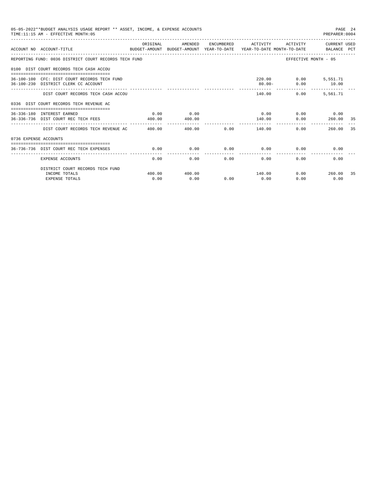|                       | 05-05-2022**BUDGET ANALYSIS USAGE REPORT ** ASSET, INCOME, & EXPENSE ACCOUNTS<br>TIME: 11:15 AM - EFFECTIVE MONTH: 05 |                              |                |                             |                      |                | PREPARER: 0004                               | PAGE 24 |
|-----------------------|-----------------------------------------------------------------------------------------------------------------------|------------------------------|----------------|-----------------------------|----------------------|----------------|----------------------------------------------|---------|
|                       | ACCOUNT NO ACCOUNT-TITLE CONTROL PROTOCOLLY BUDGET-AMOUNT BUDGET-AMOUNT YEAR-TO-DATE YEAR-TO-DATE MONTH-TO-DATE       | ORIGINAL                     | AMENDED        |                             |                      |                | ENCUMBERED ACTIVITY ACTIVITY CURRENT USED    |         |
|                       | REPORTING FUND: 0036 DISTRICT COURT RECORDS TECH FUND                                                                 |                              |                |                             |                      |                | EFFECTIVE MONTH - 05                         |         |
|                       | 0100 DIST COURT RECORDS TECH CASH ACCOU                                                                               |                              |                |                             |                      |                |                                              |         |
|                       | 36-100-100 CFC: DIST COURT RECORDS TECH FUND<br>36-100-230 DISTRICT CLERK CC ACCOUNT                                  |                              |                |                             |                      | $80.00 -$      | 220.00   0.00   5,551.71<br>$0.00$ 10.00     |         |
|                       | DIST COURT RECORDS TECH CASH ACCOU                                                                                    |                              |                |                             |                      | 140.00<br>0.00 | 5,561.71                                     |         |
|                       | 0336 DIST COURT RECORDS TECH REVENUE AC                                                                               |                              |                |                             |                      |                |                                              |         |
|                       | 36-336-180 INTEREST EARNED<br>36-336-736 DIST COURT REC TECH FEES                                                     | 0.00<br>400.00               | 0.00<br>400.00 |                             | 140.00               |                | $0.00$ $0.00$ $0.00$ $0.00$<br>$0.00$ 260.00 | 35      |
|                       | DIST COURT RECORDS TECH REVENUE AC 400.00                                                                             | ____________________________ |                | 400.00 0.00 140.00          | . <u>.</u>           |                | 260.00<br>0.00                               | 35      |
| 0736 EXPENSE ACCOUNTS |                                                                                                                       |                              |                |                             |                      |                |                                              |         |
|                       | 36-736-736 DIST COURT REC TECH EXPENSES                                                                               | 0.00                         | 0.00           | $0.00$ $0.00$ $0.00$ $0.00$ |                      |                | 0.00                                         |         |
|                       | EXPENSE ACCOUNTS                                                                                                      | 0.00                         | 0.00           | --------------<br>0.00      | ------------<br>0.00 | 0.00           | 0.00                                         |         |
|                       | DISTRICT COURT RECORDS TECH FUND                                                                                      |                              |                |                             |                      |                |                                              |         |
|                       | INCOME TOTALS<br><b>EXPENSE TOTALS</b>                                                                                | 400.00<br>0.00               | 400.00<br>0.00 | 0.00                        | 140.00<br>0.00       | 0.00           | $0.00$ 260.00<br>0.00                        | 35      |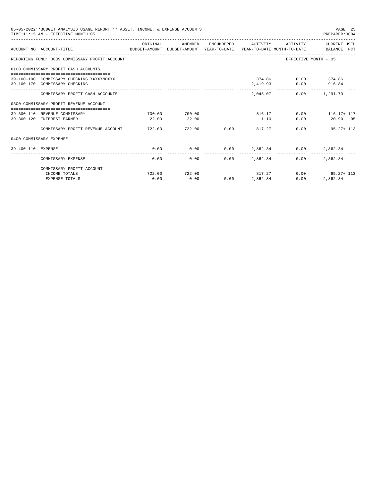|                    | 05-05-2022**BUDGET ANALYSIS USAGE REPORT ** ASSET, INCOME, & EXPENSE ACCOUNTS<br>TIME: 11:15 AM - EFFECTIVE MONTH: 05 |                |                        |             |                           |                                             | PAGE 25<br>PREPARER: 0004                     |
|--------------------|-----------------------------------------------------------------------------------------------------------------------|----------------|------------------------|-------------|---------------------------|---------------------------------------------|-----------------------------------------------|
|                    | ACCOUNT NO ACCOUNT-TITLE COMPUTE SUDGET-AMOUNT BUDGET-AMOUNT YEAR-TO-DATE YEAR-TO-DATE MONTH-TO-DATE BALANCE PCT      | ORIGINAL       | AMENDED                |             |                           |                                             | ENCUMBERED ACTIVITY ACTIVITY CURRENT USED     |
|                    | REPORTING FUND: 0039 COMMISSARY PROFIT ACCOUNT                                                                        |                |                        |             |                           |                                             | EFFECTIVE MONTH - 05                          |
|                    | 0100 COMMISSARY PROFIT CASH ACCOUNTS                                                                                  |                |                        |             |                           |                                             |                                               |
|                    | 39-100-100 COMMISSARY CHECKING XXXXXNOXXX<br>39-100-170 COMMISSARY CHECKING                                           |                |                        |             |                           | 374.86 0.00 374.86<br>2,419.93- 0.00 916.84 |                                               |
|                    | COMMISSARY PROFIT CASH ACCOUNTS                                                                                       |                |                        |             |                           | 2.045.07- 0.00 1.291.70                     |                                               |
|                    | 0300 COMMISSARY PROFIT REVENUE ACCOUNT                                                                                |                |                        |             |                           |                                             |                                               |
|                    | 39-300-110 REVENUE COMMISSARY<br>39-300-120 INTEREST EARNED                                                           | 22.00          | 700.00 700.00<br>22.00 |             |                           |                                             | 816.17 0.00 116.17+ 117<br>1.10 0.00 20.90 05 |
|                    | COMMISSARY PROFIT REVENUE ACCOUNT 722.00                                                                              |                |                        | 722.00 0.00 |                           | 817.27                                      | $0.00$ 95.27+ 113                             |
|                    | 0400 COMMISSARY EXPENSE                                                                                               |                |                        |             |                           |                                             |                                               |
| 39-400-110 EXPENSE |                                                                                                                       | 0.00           | 0.00                   |             |                           |                                             | $0.00$ $2,862.34$ $0.00$ $2,862.34$           |
|                    | COMMISSARY EXPENSE                                                                                                    | 0.00           | 0.00                   | 0.00        | 2,862.34                  | 0.00                                        | $2.862.34-$                                   |
|                    | COMMISSARY PROFIT ACCOUNT                                                                                             |                |                        |             |                           |                                             |                                               |
|                    | INCOME TOTALS<br><b>EXPENSE TOTALS</b>                                                                                | 722.00<br>0.00 | 722.00<br>0.00         |             | 817.27<br>$0.00$ 2,862.34 | 0.00                                        | $0.00$ 95.27+ 113<br>$2,862.34-$              |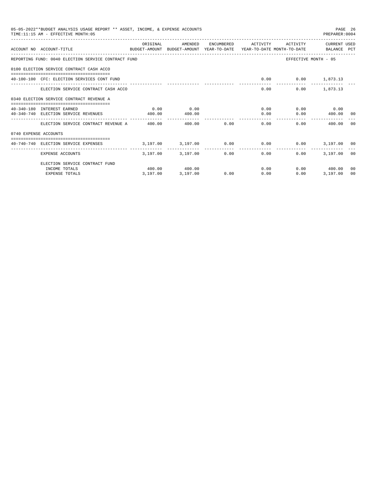|                       | 05-05-2022**BUDGET ANALYSIS USAGE REPORT ** ASSET, INCOME, & EXPENSE ACCOUNTS<br>TIME: 11:15 AM - EFFECTIVE MONTH: 05 |           |                                                   |             |                     |                           | PREPARER: 0004       | PAGE 26        |
|-----------------------|-----------------------------------------------------------------------------------------------------------------------|-----------|---------------------------------------------------|-------------|---------------------|---------------------------|----------------------|----------------|
|                       | ACCOUNT NO ACCOUNT-TITLE COMPUTE SUDGET-AMOUNT BUDGET-AMOUNT VEAR-TO-DATE YEAR-TO-DATE MONTH-TO-DATE BALANCE PCT      | OR TGTNAL | AMENDED                                           |             | ENCUMBERED ACTIVITY | <b>ACTIVITY</b>           | CURRENT USED         |                |
|                       | REPORTING FUND: 0040 ELECTION SERVICE CONTRACT FUND                                                                   |           |                                                   |             |                     |                           | EFFECTIVE MONTH - 05 |                |
|                       | 0100 ELECTION SERVICE CONTRACT CASH ACCO                                                                              |           |                                                   |             |                     |                           |                      |                |
|                       | 40-100-100 CFC: ELECTION SERVICES CONT FUND                                                                           |           |                                                   |             |                     | $0.00$ $0.00$ $1,873.13$  |                      |                |
|                       | ELECTION SERVICE CONTRACT CASH ACCO                                                                                   |           |                                                   |             |                     | 0.00                      | $0.00$ 1,873.13      |                |
|                       | 0340 ELECTION SERVICE CONTRACT REVENUE A                                                                              |           |                                                   |             |                     |                           |                      |                |
|                       | 40-340-180 INTEREST EARNED                                                                                            | 0.00      | 0.00                                              |             |                     | 0.00                      | $0.00$ 0.00          |                |
|                       | 40-340-740 ELECTION SERVICE REVENUES                                                                                  | 400.00    | 400.00                                            |             |                     | 0.00                      | $0.00$ 400.00 00     |                |
|                       | ELECTION SERVICE CONTRACT REVENUE A 400.00                                                                            |           |                                                   | 400.00 0.00 |                     | 0.00                      | 0.00<br>400.00       | - 0.0          |
| 0740 EXPENSE ACCOUNTS |                                                                                                                       |           |                                                   |             |                     |                           |                      |                |
|                       | -------------------------------------<br>40-740-740 ELECTION SERVICE EXPENSES                                         |           | $3.197.00$ $3.197.00$ $0.00$ $0.00$ $0.00$ $0.00$ |             |                     |                           | 3,197.00 00          |                |
|                       | EXPENSE ACCOUNTS                                                                                                      |           | 3,197.00 3,197.00                                 |             | $0.00$ and $0.00$   | $0.00$ and $0.00$<br>0.00 | 3,197.00 00          |                |
|                       | ELECTION SERVICE CONTRACT FUND                                                                                        |           |                                                   |             |                     |                           |                      |                |
|                       | INCOME TOTALS                                                                                                         |           | 400.00 400.00                                     |             |                     | 0.00                      | $0.00$ 400.00        | 0 <sub>0</sub> |
|                       | <b>EXPENSE TOTALS</b>                                                                                                 | 3,197.00  | 3,197.00                                          | 0.00        | 0.00                | 0.00                      | 3.197.00             | 00             |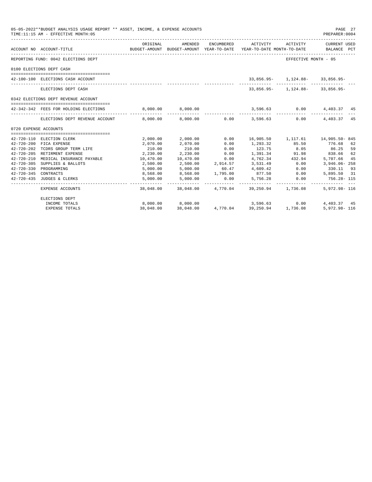|                       | 05-05-2022**BUDGET ANALYSIS USAGE REPORT ** ASSET, INCOME, & EXPENSE ACCOUNTS<br>TIME: 11:15 AM - EFFECTIVE MONTH: 05                         |                      |                                      |                            |                                                         |                                      | PAGE 27<br>PREPARER: 0004                 |
|-----------------------|-----------------------------------------------------------------------------------------------------------------------------------------------|----------------------|--------------------------------------|----------------------------|---------------------------------------------------------|--------------------------------------|-------------------------------------------|
|                       | BUDGET-AMOUNT BUDGET-AMOUNT YEAR-TO-DATE YEAR-TO-DATE MONTH-TO-DATE BALANCE PCT<br>ACCOUNT NO ACCOUNT-TITLE<br>______________________________ | ORIGINAL             | AMENDED                              | ENCUMBERED                 |                                                         |                                      | ACTIVITY ACTIVITY CURRENT USED            |
|                       | REPORTING FUND: 0042 ELECTIONS DEPT                                                                                                           |                      |                                      |                            |                                                         | EFFECTIVE MONTH - 05                 |                                           |
|                       | 0100 ELECTIONS DEPT CASH                                                                                                                      |                      |                                      |                            |                                                         |                                      |                                           |
|                       | 42-100-100 ELECTIONS CASH ACCOUNT                                                                                                             |                      |                                      |                            |                                                         | $33,856.95 - 1,124.88 - 33,856.95 -$ |                                           |
|                       | ELECTIONS DEPT CASH                                                                                                                           |                      |                                      |                            |                                                         | $33,856.95 - 1,124.88 - 33,856.95 -$ |                                           |
|                       | 0342 ELECTIONS DEPT REVENUE ACCOUNT                                                                                                           |                      |                                      |                            |                                                         |                                      |                                           |
|                       | 42-342-342 FEES FOR HOLDING ELECTIONS                                                                                                         |                      | 8,000.00 8,000.00                    |                            | $3,596.63$ 0.00 $4,403.37$ 45                           |                                      |                                           |
|                       | ELECTIONS DEPT REVENUE ACCOUNT 6,000.00 6,000.00 0.00 3,596.63 0.00 4,403.37 45                                                               |                      | ______________                       |                            | . <u>.</u>                                              |                                      |                                           |
| 0720 EXPENSE ACCOUNTS |                                                                                                                                               |                      |                                      |                            |                                                         |                                      |                                           |
|                       |                                                                                                                                               |                      |                                      |                            |                                                         |                                      |                                           |
|                       | 42-720-110 ELECTION CLERK                                                                                                                     | 2,000.00             | 2,000.00 0.00                        | 0.00                       | 1,293.32 85.50                                          |                                      | 16,905.50    1,117.61    14,905.50    845 |
|                       | 42-720-200 FICA EXPENSE                                                                                                                       | 2,070.00             | 2,070.00                             |                            | 123.75                                                  |                                      | 776.68 62                                 |
|                       | 42-720-202 TCDRS GROUP TERM LIFE<br>42-720-205 RETIRMENT EXPENSE                                                                              | 210.00<br>2,230.00   | 210.00<br>2,230.00                   | 0.00                       |                                                         | 8.05                                 | 86.25<br>59<br>1,391.34 91.98 838.66      |
|                       |                                                                                                                                               | 10,470.00            |                                      | 0.00                       | 4,762.34 432.94                                         |                                      | 62                                        |
| $42 - 720 - 305$      | 42-720-210 MEDICAL INSURANCE PAYABLE<br>SUPPLIES & BALLOTS                                                                                    |                      |                                      | 10,470.00 0.00<br>2,914.57 | 3,531.49 0.00                                           |                                      | 5,707.66<br>-45<br>3,946.06-258           |
|                       | 42-720-330 PROGRAMMING                                                                                                                        | 2,500.00             | 2,500.00                             |                            | $60.47$ $4,609.42$                                      | 0.00                                 |                                           |
| 42-720-345 CONTRACTS  |                                                                                                                                               | 5,000.00             | 5,000.00                             |                            |                                                         | 0.00                                 | 330.11 93                                 |
|                       | 42-720-345 CONTRACTS<br>42-720-435 JUDGES & CLERKS                                                                                            | 8,568.00<br>5,000.00 | $8,568.00$ 1,795.00<br>5,000.00 0.00 | 0.00                       | 877.50                                                  | $5,756.28$ 0.00                      | 5,895.50 31<br>756.28- 115                |
|                       | EXPENSE ACCOUNTS                                                                                                                              |                      |                                      |                            | 38.048.00 38.048.00 4.770.04 39.250.94 1.736.08         |                                      | ------------  ---<br>5,972.98- 116        |
|                       | ELECTIONS DEPT                                                                                                                                |                      |                                      |                            |                                                         |                                      |                                           |
|                       | INCOME TOTALS                                                                                                                                 |                      |                                      |                            | $8,000.00$ $8,000.00$ $4,770.04$ $39,250.94$ $1,736.08$ | 0.00                                 | 4,403.37 45                               |
|                       | <b>EXPENSE TOTALS</b>                                                                                                                         |                      |                                      |                            |                                                         |                                      | $5.972.98 - 116$                          |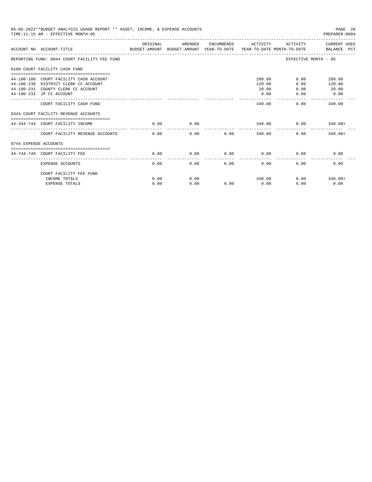|                       | 05-05-2022**BUDGET ANALYSIS USAGE REPORT ** ASSET, INCOME, & EXPENSE ACCOUNTS<br>TIME: 11:15 AM - EFFECTIVE MONTH: 05                            |          |         |      |                                   |                              | PAGE 28<br>PREPARER:0004          |
|-----------------------|--------------------------------------------------------------------------------------------------------------------------------------------------|----------|---------|------|-----------------------------------|------------------------------|-----------------------------------|
|                       | ACCOUNT NO ACCOUNT-TITLE<br>BUDGET-AMOUNT BUDGET-AMOUNT YEAR-TO-DATE  YEAR-TO-DATE MONTH-TO-DATE      BALANCE PCT                                | ORIGINAL | AMENDED |      | ENCUMBERED ACTIVITY               |                              | ACTIVITY CURRENT USED             |
|                       | REPORTING FUND: 0044 COURT FACILITY FEE FUND                                                                                                     |          |         |      |                                   |                              | EFFECTIVE MONTH - 05              |
|                       | 0100 COURT FACILITY CASH FUND                                                                                                                    |          |         |      |                                   |                              |                                   |
|                       | 44-100-100 COURT FACILITY CASH ACCOUNT<br>44-100-230 DISTRICT CLERK CC ACCOUNT<br>44-100-231 COUNTY CLERK CC ACCOUNT<br>44-100-232 JP CC ACCOUNT |          |         |      | 200.00<br>120.00<br>20.00<br>0.00 | 0.00<br>0.00<br>0.00<br>0.00 | 200.00<br>120.00<br>20.00<br>0.00 |
|                       | COURT FACILITY CASH FUND                                                                                                                         |          |         |      | 340.00                            | 0.00                         | 340.00                            |
|                       | 0344 COURT FACILITY REVENUE ACCOUNTS                                                                                                             |          |         |      |                                   |                              |                                   |
|                       | 44-344-744 COURT FACILITY INCOME                                                                                                                 | 0.00     | 0.00    |      | 340.00                            | 0.00                         | $340.00+$                         |
|                       | COURT FACILITY REVENUE ACCOUNTS                                                                                                                  | 0.00     | 0.00    | 0.00 | 340.00                            |                              | 0.00<br>$340.00+$                 |
| 0744 EXPENSE ACCOUNTS |                                                                                                                                                  |          |         |      |                                   |                              |                                   |
|                       | -----------------------------------<br>44-744-749 COURT FACILITY FEE                                                                             | 0.00     | 0.00    | 0.00 | 0.00                              | 0.00                         | 0.00                              |
|                       | EXPENSE ACCOUNTS                                                                                                                                 | 0.00     | 0.00    | 0.00 | -------------<br>0.00             | 0.00                         | 0.00                              |
|                       | COURT FACILITY FEE FUND                                                                                                                          |          |         |      |                                   |                              |                                   |
|                       | INCOME TOTALS                                                                                                                                    | 0.00     | 0.00    |      | 340.00                            |                              | $0.00$ 340.00+                    |
|                       | <b>EXPENSE TOTALS</b>                                                                                                                            | 0.00     | 0.00    | 0.00 | 0.00                              | 0.00                         | 0.00                              |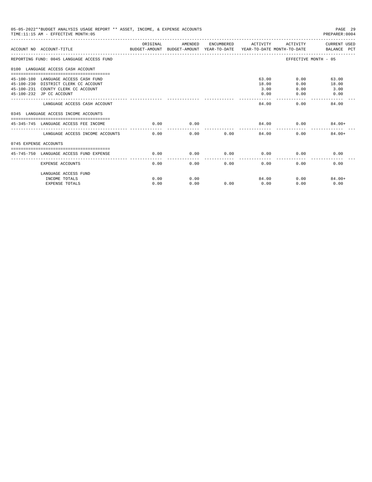|                       | 05-05-2022**BUDGET ANALYSIS USAGE REPORT ** ASSET, INCOME, & EXPENSE ACCOUNTS<br>TIME: 11:15 AM - EFFECTIVE MONTH: 05 |          |         |      |                         |              | PAGE 29<br>PREPARER: 0004 |
|-----------------------|-----------------------------------------------------------------------------------------------------------------------|----------|---------|------|-------------------------|--------------|---------------------------|
|                       | ACCOUNT NO ACCOUNT-TITLE<br>BUDGET-AMOUNT BUDGET-AMOUNT YEAR-TO-DATE  YEAR-TO-DATE MONTH-TO-DATE      BALANCE PCT     | ORIGINAL | AMENDED |      | ENCUMBERED ACTIVITY     | ACTIVITY     | CURRENT USED              |
|                       | REPORTING FUND: 0045 LANGUAGE ACCESS FUND                                                                             |          |         |      |                         |              | EFFECTIVE MONTH - 05      |
|                       | 0100 LANGUAGE ACCESS CASH ACCOUNT                                                                                     |          |         |      |                         |              |                           |
|                       | 45-100-100 LANGUAGE ACCESS CASH FUND<br>45-100-230 DISTRICT CLERK CC ACCOUNT                                          |          |         |      | 63.00<br>18.00          | 0.00         | 0.00<br>63.00<br>18.00    |
|                       | 45-100-231 COUNTY CLERK CC ACCOUNT<br>45-100-232 JP CC ACCOUNT                                                        |          |         |      | 3.00<br>0.00<br>------- | 0.00<br>0.00 | 3.00<br>0.00              |
|                       | LANGUAGE ACCESS CASH ACCOUNT                                                                                          |          |         |      | 84.00                   |              | 0.00<br>84.00             |
|                       | 0345 LANGUAGE ACCESS INCOME ACCOUNTS                                                                                  |          |         |      |                         |              |                           |
|                       | 45-345-745 LANGUAGE ACCESS FEE INCOME                                                                                 | 0.00     | 0.00    |      | 84.00                   | 0.00         | $84.00+$                  |
|                       | LANGUAGE ACCESS INCOME ACCOUNTS                                                                                       | 0.00     | 0.00    | 0.00 | 84.00                   |              | 0.00<br>$84.00+$          |
| 0745 EXPENSE ACCOUNTS |                                                                                                                       |          |         |      |                         |              |                           |
|                       | 45-745-750 LANGUAGE ACCESS FUND EXPENSE                                                                               | 0.00     | 0.00    | 0.00 | 0.00<br>--------------  | 0.00         | 0.00                      |
|                       | <b>EXPENSE ACCOUNTS</b>                                                                                               | 0.00     | 0.00    | 0.00 | 0.00                    | 0.00         | 0.00                      |
|                       | LANGUAGE ACCESS FUND                                                                                                  |          |         |      |                         |              |                           |
|                       | INCOME TOTALS                                                                                                         | 0.00     | 0.00    |      | 84.00                   |              | 0.00<br>$84.00+$          |
|                       | <b>EXPENSE TOTALS</b>                                                                                                 | 0.00     | 0.00    | 0.00 | 0.00                    | 0.00         | 0.00                      |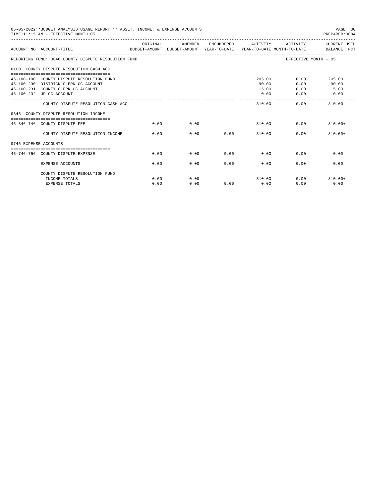|                       | 05-05-2022**BUDGET ANALYSIS USAGE REPORT ** ASSET, INCOME, & EXPENSE ACCOUNTS<br>TIME:11:15 AM - EFFECTIVE MONTH:05 |          |         |      |                     |                      | PAGE 30<br>PREPARER: 0004 |
|-----------------------|---------------------------------------------------------------------------------------------------------------------|----------|---------|------|---------------------|----------------------|---------------------------|
|                       | ACCOUNT NO ACCOUNT-TITLE CONTROL SUDGET-AMOUNT BUDGET-AMOUNT YEAR-TO-DATE YEAR-TO-DATE MONTH-TO-DATE BALANCE PCT    | ORIGINAL | AMENDED |      | ENCUMBERED ACTIVITY | ACTIVITY             | CURRENT USED              |
|                       | REPORTING FUND: 0046 COUNTY DISPUTE RESOLUTION FUND                                                                 |          |         |      |                     | EFFECTIVE MONTH - 05 |                           |
|                       | 0100 COUNTY DISPUTE RESOLUTION CASH ACC                                                                             |          |         |      |                     |                      |                           |
|                       | 46-100-100 COUNTY DISPUTE RESOLUTION FUND                                                                           |          |         |      | 205.00              | 0.00                 | 205.00                    |
|                       | 46-100-230 DISTRICK CLERK CC ACCOUNT                                                                                |          |         |      | 90.00               | 0.00                 | 90.00                     |
|                       | 46-100-231 COUNTY CLERK CC ACCOUNT                                                                                  |          |         |      | 15.00               | 0.00                 | 15.00                     |
|                       | 46-100-232 JP CC ACCOUNT                                                                                            |          |         |      | 0.00                | 0.00                 | 0.00                      |
|                       | COUNTY DISPUTE RESOLUTION CASH ACC                                                                                  |          |         |      | 310.00              | 0.00                 | -------------<br>310.00   |
|                       | 0346 COUNTY DISPUTE RESOLUTION INCOME                                                                               |          |         |      |                     |                      |                           |
|                       | 46-346-746 COUNTY DISPUTE FEE                                                                                       | 0.00     | 0.00    |      | 310.00              | 0.00                 | $310.00+$                 |
|                       | COUNTY DISPUTE RESOLUTION INCOME                                                                                    | 0.00     | 0.00    | 0.00 | 310.00              | 0.00                 | $310.00+$                 |
| 0746 EXPENSE ACCOUNTS |                                                                                                                     |          |         |      |                     |                      |                           |
|                       |                                                                                                                     |          |         |      |                     |                      |                           |
|                       | 46-746-756 COUNTY DISPUTE EXPENSE                                                                                   | 0.00     | 0.00    | 0.00 | 0.00                | 0.00                 | 0.00                      |
|                       | EXPENSE ACCOUNTS                                                                                                    | 0.00     | 0.00    | 0.00 | 0.00                | 0.00                 | 0.00                      |
|                       | COUNTY DISPUTE RESOLUTION FUND                                                                                      |          |         |      |                     |                      |                           |
|                       | INCOME TOTALS                                                                                                       | 0.00     | 0.00    |      | 310.00              |                      | $0.00$ 310.00+            |
|                       | <b>EXPENSE TOTALS</b>                                                                                               | 0.00     | 0.00    | 0.00 | 0.00                | 0.00                 | 0.00                      |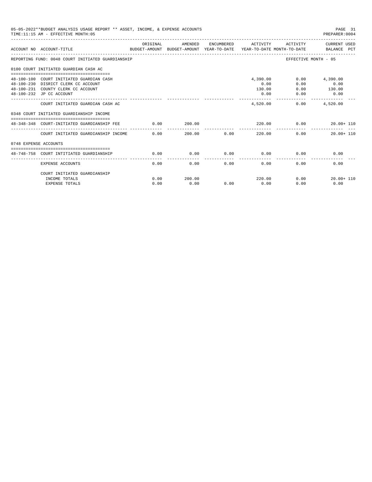|                       | 05-05-2022**BUDGET ANALYSIS USAGE REPORT ** ASSET, INCOME, & EXPENSE ACCOUNTS<br>TIME: 11:15 AM - EFFECTIVE MONTH: 05 |          |         |             |                             |                      | PAGE 31<br>PREPARER: 0004        |
|-----------------------|-----------------------------------------------------------------------------------------------------------------------|----------|---------|-------------|-----------------------------|----------------------|----------------------------------|
|                       | BUDGET-AMOUNT BUDGET-AMOUNT YEAR-TO-DATE YEAR-TO-DATE MONTH-TO-DATE BALANCE PCT<br>ACCOUNT NO ACCOUNT-TITLE           | ORIGINAL | AMENDED |             | ENCUMBERED ACTIVITY         |                      | ACTIVITY CURRENT USED            |
|                       | REPORTING FUND: 0048 COURT INITIATED GUARDIANSHIP                                                                     |          |         |             |                             | EFFECTIVE MONTH - 05 |                                  |
|                       | 0100 COURT INITIATED GUARDIAN CASH AC                                                                                 |          |         |             |                             |                      |                                  |
|                       | 48-100-100 COURT INITIATED GUARDIAN CASH<br>48-100-230 DISRICT CLERK CC ACCOUNT                                       |          |         |             | 4,390.00<br>0.00            | 0.00<br>0.00         | 4,390.00<br>0.00                 |
|                       | 48-100-231 COUNTY CLERK CC ACCOUNT<br>48-100-232 JP CC ACCOUNT                                                        |          |         |             | 130.00<br>0.00              | 0.00                 | $0.00$ 130.00<br>0.00            |
|                       | COURT INITIATED GUARDIAN CASH AC                                                                                      |          |         |             | _______________<br>4.520.00 |                      | -------------<br>$0.00$ 4,520.00 |
|                       | 0348 COURT INITIATED GUARDIANSHIP INCOME                                                                              |          |         |             |                             |                      |                                  |
|                       | 48-348-348 COURT-INITIATED GUARDIANSHIP FEE                                                                           | 0.00     | 200.00  |             |                             | 220.00 0.00          | $20.00 + 110$                    |
|                       | COURT INITIATED GUARDIANSHIP INCOME 0.00                                                                              |          |         | 200.00 0.00 | 220.00                      | 0.00                 | $20.00 + 110$                    |
| 0748 EXPENSE ACCOUNTS |                                                                                                                       |          |         |             |                             |                      |                                  |
|                       | 48-748-758 COURT INTITIATED GUARDIANSHIP                                                                              | 0.00     | 0.00    |             | $0.00$ 0.00                 | 0.00                 | 0.00                             |
|                       | <b>EXPENSE ACCOUNTS</b>                                                                                               | 0.00     | 0.00    | 0.00        | 0.00                        | 0.00                 | 0.00                             |
|                       | COURT INITIATED GUARDIANSHIP                                                                                          |          |         |             |                             |                      |                                  |
|                       | INCOME TOTALS                                                                                                         | 0.00     | 200.00  |             | 220.00                      | 0.00                 | $20.00 + 110$                    |
|                       | <b>EXPENSE TOTALS</b>                                                                                                 | 0.00     | 0.00    | 0.00        | 0.00                        | 0.00                 | 0.00                             |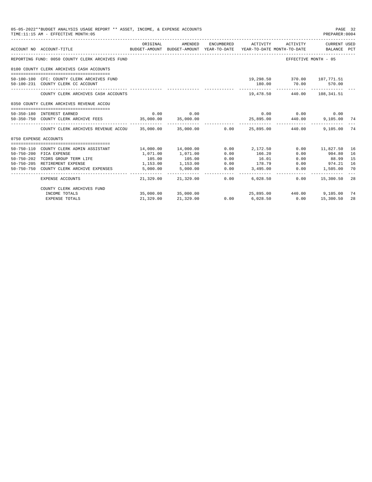|                       | 05-05-2022**BUDGET ANALYSIS USAGE REPORT ** ASSET, INCOME, & EXPENSE ACCOUNTS<br>TIME:11:15 AM - EFFECTIVE MONTH:05 |           |                          |      |                 |                                                                                                                              | PAGE 32<br>PREPARER:0004 |    |
|-----------------------|---------------------------------------------------------------------------------------------------------------------|-----------|--------------------------|------|-----------------|------------------------------------------------------------------------------------------------------------------------------|--------------------------|----|
|                       | ACCOUNT NO ACCOUNT-TITLE                                                                                            | ORIGINAL  | AMENDED                  |      |                 | ENCUMBERED ACTIVITY ACTIVITY CURRENT USED<br>BUDGET-AMOUNT BUDGET-AMOUNT YEAR-TO-DATE YEAR-TO-DATE MONTH-TO-DATE BALANCE PCT |                          |    |
|                       | REPORTING FUND: 0050 COUNTY CLERK ARCHIVES FUND                                                                     |           |                          |      |                 |                                                                                                                              | EFFECTIVE MONTH - 05     |    |
|                       | 0100 COUNTY CLERK ARCHIVES CASH ACCOUNTS                                                                            |           |                          |      |                 |                                                                                                                              |                          |    |
|                       |                                                                                                                     |           |                          |      |                 |                                                                                                                              |                          |    |
|                       | 50-100-100 CFC: COUNTY CLERK ARCHIVES FUND                                                                          |           |                          |      |                 | 19,298.50 370.00 107,771.51                                                                                                  |                          |    |
|                       | 50-100-231 COUNTY CLERK CC ACCOUNT                                                                                  |           |                          |      | 180.00          | 70.00 570.00                                                                                                                 |                          |    |
|                       | COUNTY CLERK ARCHIVES CASH ACCOUNTS                                                                                 |           |                          |      |                 | 19,478.50 440.00 108,341.51                                                                                                  |                          |    |
|                       | 0350 COUNTY CLERK ARCHIVES REVENUE ACCOU                                                                            |           |                          |      |                 |                                                                                                                              |                          |    |
|                       | 50-350-180 INTEREST EARNED                                                                                          |           | $0.00$ 0.00              |      |                 | $0.00$ $0.00$ $0.00$ $0.00$                                                                                                  |                          |    |
|                       | 50-350-750 COUNTY CLERK ARCHIVE FEES 35,000.00 35,000.00                                                            |           |                          |      |                 | 25,895.00  440.00  9,105.00  74                                                                                              |                          |    |
|                       | COUNTY CLERK ARCHIVES REVENUE ACCOU 35,000.00 35,000.00 0.00 25,895.00 440.00                                       |           |                          |      |                 |                                                                                                                              | 9,105.00                 | 74 |
| 0750 EXPENSE ACCOUNTS |                                                                                                                     |           |                          |      |                 |                                                                                                                              |                          |    |
|                       | 50-750-110 COUNTY CLERK ADMIN ASSISTANT                                                                             |           | $14,000.00$ $14,000.00$  |      | $0.00$ 2.172.50 |                                                                                                                              | $0.00$ 11,827.50         | 16 |
|                       | 50-750-200 FICA EXPENSE                                                                                             | 1,071.00  | 1,071.00                 | 0.00 | 166.20          | 0.00                                                                                                                         | 904.80                   | 16 |
| $50 - 750 - 202$      | TCDRS GROUP TERM LIFE                                                                                               | 105.00    | 105.00                   | 0.00 | 16.01           | 0.00                                                                                                                         | 88.99                    | 15 |
|                       | 50-750-205 RETIREMENT EXPENSE                                                                                       | 1,153.00  | 1,153.00                 | 0.00 | 178.79          | 0.00                                                                                                                         | 974.21                   | 16 |
|                       | 50-750-750 COUNTY CLERK ARCHIVE EXPENSES                                                                            | 5,000.00  | 5,000.00                 | 0.00 | 3,495.00        | 0.00                                                                                                                         | 1,505.00                 | 70 |
|                       | EXPENSE ACCOUNTS                                                                                                    |           | 21,329.00 21,329.00 0.00 |      | 6,028.50        | 0.00                                                                                                                         | 15,300.50                | 28 |
|                       | COUNTY CLERK ARCHIVES FUND                                                                                          |           |                          |      |                 |                                                                                                                              |                          |    |
|                       | INCOME TOTALS                                                                                                       |           | 35,000.00 35,000.00      |      |                 | $25,895.00$ $440.00$ $9,105.00$                                                                                              |                          | 74 |
|                       | <b>EXPENSE TOTALS</b>                                                                                               | 21,329.00 | 21,329.00                | 0.00 | 6,028.50        |                                                                                                                              | $0.00$ 15,300.50         | 28 |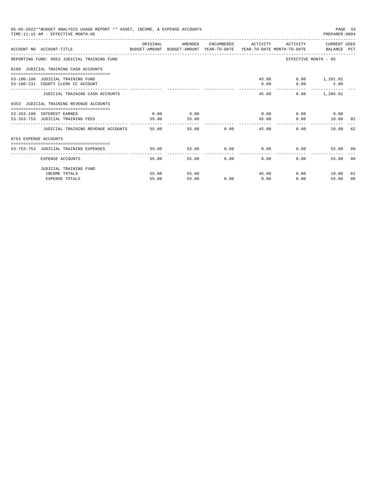|                       | 05-05-2022**BUDGET ANALYSIS USAGE REPORT ** ASSET, INCOME, & EXPENSE ACCOUNTS<br>TIME:11:15 AM - EFFECTIVE MONTH:05 |          |         |       |                                           |                         | PAGE 33<br>PREPARER: 0004 |                |
|-----------------------|---------------------------------------------------------------------------------------------------------------------|----------|---------|-------|-------------------------------------------|-------------------------|---------------------------|----------------|
|                       | ACCOUNT NO ACCOUNT-TITLE CONTROL SUDGET-AMOUNT BUDGET-AMOUNT YEAR-TO-DATE YEAR-TO-DATE MONTH-TO-DATE BALANCE PCT    | ORIGINAL | AMENDED |       | ENCUMBERED ACTIVITY ACTIVITY CURRENT USED |                         |                           |                |
|                       | REPORTING FUND: 0053 JUDICIAL TRAINING FUND                                                                         |          |         |       |                                           | EFFECTIVE MONTH - 05    |                           |                |
|                       | 0100 JUDICIAL TRAINING CASH ACCOUNTS                                                                                |          |         |       |                                           |                         |                           |                |
|                       | 53-100-100 JUDICIAL TRAINING FUND                                                                                   |          |         |       |                                           | 45.00   0.00   1,201.01 |                           |                |
|                       | 53-100-231 COUNTY CLERK CC ACCOUNT                                                                                  |          |         |       |                                           | $0.00$ $0.00$           | 5.00                      |                |
|                       | JUDICIAL TRAINING CASH ACCOUNTS                                                                                     |          |         |       | 45.00                                     |                         | $0.00$ 1,206.01           |                |
|                       | 0353 JUDICIAL TRAINING REVENUE ACCOUNTS                                                                             |          |         |       |                                           |                         |                           |                |
|                       | 53-353-180 INTEREST EARNED                                                                                          | 0.00     | 0.00    |       | $0.00$ 0.00 0.00 0.00                     |                         |                           |                |
|                       | 53-353-753 JUDICIAL TRAINING FEES                                                                                   | 55.00    | 55.00   |       | 45.00                                     |                         | $0.00$ $10.00$ 82         |                |
|                       | JUDICIAL TRAINING REVENUE ACCOUNTS 55.00                                                                            |          |         | 55.00 | 0.00<br>45.00                             | 0.00                    | 10.00                     | 82             |
| 0753 EXPENSE ACCOUNTS |                                                                                                                     |          |         |       |                                           |                         |                           |                |
|                       | 53-753-753 JUDICIAL TRAINING EXPENSES                                                                               | 55.00    |         |       | $55.00$ 0.00 0.00 0.00                    |                         | 55.00 00                  |                |
|                       |                                                                                                                     |          |         |       |                                           |                         |                           |                |
|                       | EXPENSE ACCOUNTS                                                                                                    | 55.00    |         | 55.00 | $0.00$ and $0.00$<br>0.00                 | 0.00                    | 55.00                     | 0 <sub>0</sub> |
|                       | JUDICIAL TRAINING FUND                                                                                              |          |         |       |                                           |                         |                           |                |
|                       | INCOME TOTALS                                                                                                       | 55.00    | 55.00   |       | 45.00                                     |                         | $0.00$ 10.00              | -82            |
|                       | <b>EXPENSE TOTALS</b>                                                                                               | 55.00    | 55.00   | 0.00  | 0.00                                      | 0.00                    | 55.00                     | 00             |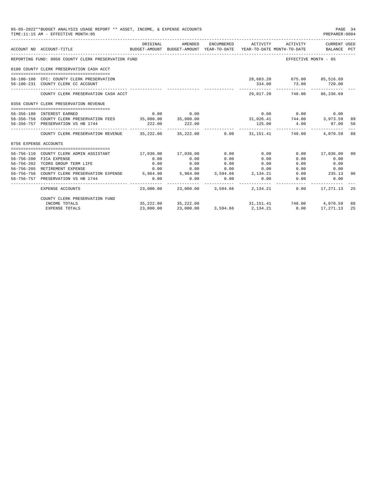|                       | 05-05-2022**BUDGET ANALYSIS USAGE REPORT ** ASSET, INCOME, & EXPENSE ACCOUNTS<br>TIME: 11:15 AM - EFFECTIVE MONTH: 05 |           |                                                                                |            |                         |                                                                                                                                         | PREPARER: 0004              | PAGE 34        |
|-----------------------|-----------------------------------------------------------------------------------------------------------------------|-----------|--------------------------------------------------------------------------------|------------|-------------------------|-----------------------------------------------------------------------------------------------------------------------------------------|-----------------------------|----------------|
|                       | ACCOUNT NO ACCOUNT-TITLE                                                                                              | ORIGINAL  | AMENDED<br>BUDGET-AMOUNT BUDGET-AMOUNT YEAR-TO-DATE YEAR-TO-DATE MONTH-TO-DATE | ENCUMBERED | ACTIVITY                | ACTIVITY                                                                                                                                | CURRENT USED<br>BALANCE PCT |                |
|                       | REPORTING FUND: 0056 COUNTY CLERK PRESERVATION FUND                                                                   |           |                                                                                |            |                         |                                                                                                                                         | EFFECTIVE MONTH - 05        |                |
|                       | 0100 COUNTY CLERK PRESERVATION CASH ACCT                                                                              |           |                                                                                |            |                         |                                                                                                                                         |                             |                |
|                       |                                                                                                                       |           |                                                                                |            |                         |                                                                                                                                         |                             |                |
|                       | 56-100-100 CFC: COUNTY CLERK PRESERVATION                                                                             |           |                                                                                |            |                         | 28,683.20 675.00 85,516.69                                                                                                              |                             |                |
|                       | 56-100-231 COUNTY CLERK CC ACCOUNT                                                                                    |           |                                                                                |            | 334.00<br>------------- | 73.00<br>-------------                                                                                                                  | 720.00<br>-------------     |                |
|                       | COUNTY CLERK PRESERVATION CASH ACCT                                                                                   |           |                                                                                |            |                         | 29,017.20 748.00 86,236.69                                                                                                              |                             |                |
|                       | 0356 COUNTY CLERK PRESERVATION REVENUE                                                                                |           |                                                                                |            |                         |                                                                                                                                         |                             |                |
|                       |                                                                                                                       |           |                                                                                |            |                         |                                                                                                                                         |                             |                |
|                       | 56-356-180 INTEREST EARNED<br>56-356-756 COUNTY CLERK PRESERVATION FEES 35,000.00 35,000.00                           | 0.00      | 0.00                                                                           |            |                         | $0.00$ 0.00                                                                                                                             | 0.00                        |                |
|                       |                                                                                                                       |           |                                                                                |            |                         | $31,026.41$ $744.00$ $3,973.59$<br>125.00 $4.00$ 97.00                                                                                  |                             | 89             |
|                       | 56-356-757 PRESERVATION VS HB 1744                                                                                    | 222.00    | 222.00                                                                         |            | -----------             | -------------                                                                                                                           |                             | 56             |
|                       | COUNTY CLERK PRESERVATION REVENUE 35,222.00 35,222.00 0.00 31,151.41 748.00 4,070.59 88                               |           |                                                                                |            |                         |                                                                                                                                         |                             |                |
| 0756 EXPENSE ACCOUNTS |                                                                                                                       |           |                                                                                |            |                         |                                                                                                                                         |                             |                |
|                       |                                                                                                                       |           |                                                                                |            |                         |                                                                                                                                         |                             |                |
|                       | 56-756-110 COUNTY CLERK ADMIN ASSISTANT                                                                               |           | 17,036.00 17,036.00                                                            | 0.00       | 0.00                    |                                                                                                                                         | $0.00$ 17,036.00            | 0 <sup>0</sup> |
|                       | 56-756-200 FICA EXPENSE                                                                                               | 0.00      | 0.00                                                                           | 0.00       | 0.00                    | 0.00                                                                                                                                    | 0.00                        |                |
|                       | 56-756-202 TCDRS GROUP TERM LIFE                                                                                      | 0.00      | 0.00                                                                           | 0.00       | 0.00                    | 0.00                                                                                                                                    | 0.00                        |                |
|                       | 56-756-205 RETIREMENT EXPENSE                                                                                         | 0.00      | 0.00                                                                           | 0.00       | 0.00                    | 0.00                                                                                                                                    | 0.00                        |                |
|                       | 56-756-756 COUNTY CLERK PRESERVATION EXPENSE 5,964.00 5,964.00 3,594.66 2,134.21                                      |           |                                                                                |            |                         | 0.00                                                                                                                                    | 235.13                      | 96             |
|                       | 56-756-757 PRESERVATION VS HB 1744                                                                                    | 0.00      | 0.00<br>--------------                                                         | 0.00       | 0.00                    | 0.00                                                                                                                                    | 0.00                        |                |
|                       | EXPENSE ACCOUNTS                                                                                                      |           | 23,000.00 23,000.00 3,594.66 2,134.21                                          |            |                         |                                                                                                                                         | $0.00$ 17, 271.13 25        |                |
|                       | COUNTY CLERK PRESERVATION FUND                                                                                        |           |                                                                                |            |                         |                                                                                                                                         |                             |                |
|                       | INCOME TOTALS                                                                                                         |           | 35, 222, 00 35, 222, 00                                                        |            |                         | $31,151.41 \qquad \qquad 748.00 \qquad \qquad 4,070.59$<br>$3.594.66 \qquad \qquad 2,134.21 \qquad \qquad 0.00 \qquad \qquad 17,271.13$ |                             | 88             |
|                       | <b>EXPENSE TOTALS</b>                                                                                                 | 23,000.00 | 23,000.00                                                                      | 3,594.66   | 2, 134. 21              |                                                                                                                                         |                             | 25             |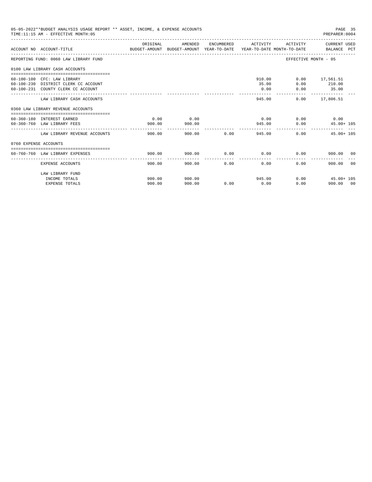|                       | 05-05-2022**BUDGET ANALYSIS USAGE REPORT ** ASSET, INCOME, & EXPENSE ACCOUNTS<br>TIME: 11:15 AM - EFFECTIVE MONTH: 05  |          |                         |             |                     |                             | PAGE 35<br>PREPARER:0004         |
|-----------------------|------------------------------------------------------------------------------------------------------------------------|----------|-------------------------|-------------|---------------------|-----------------------------|----------------------------------|
|                       | ACCOUNT NO ACCOUNT-TITLE COMPARENT AND BUDGET-AMOUNT BUDGET-AMOUNT YEAR-TO-DATE YEAR-TO-DATE MONTH-TO-DATE BALANCE PCT | ORIGINAL | AMENDED                 |             | ENCUMBERED ACTIVITY |                             | ACTIVITY CURRENT USED            |
|                       | REPORTING FUND: 0060 LAW LIBRARY FUND                                                                                  |          |                         |             |                     |                             | EFFECTIVE MONTH - 05             |
|                       | 0100 LAW LIBRARY CASH ACCOUNTS                                                                                         |          |                         |             |                     |                             |                                  |
|                       | 60-100-100 CFC: LAW LIBRARY                                                                                            |          |                         |             |                     | 910.00                      | $0.00$ 17,561.51                 |
|                       | 60-100-230 DISTRICT CLERK CC ACCOUNT                                                                                   |          |                         |             | 35.00               |                             | $0.00$ 210.00                    |
|                       | 60-100-231 COUNTY CLERK CC ACCOUNT                                                                                     |          |                         |             | 0.00                | 0.00                        | 35.00<br>-------------           |
|                       | LAW LIBRARY CASH ACCOUNTS                                                                                              |          |                         |             | 945.00              |                             | $0.00$ 17,806.51                 |
|                       | 0360 LAW LIBRARY REVENUE ACCOUNTS                                                                                      |          |                         |             |                     |                             |                                  |
|                       | 60-360-180 INTEREST EARNED                                                                                             | 0.00     | 0.00                    |             |                     | $0.00$ $0.00$ $0.00$ $0.00$ |                                  |
|                       | 60-360-760 LAW LIBRARY FEES                                                                                            | 900.00   | 900.00<br>------------- |             |                     | 945.00                      | 0.00<br>$45.00 + 105$            |
|                       | LAW LIBRARY REVENUE ACCOUNTS                                                                                           | 900.00   |                         | 900.00 0.00 |                     | 945.00                      | 0.00<br>$45.00 + 105$            |
| 0760 EXPENSE ACCOUNTS |                                                                                                                        |          |                         |             |                     |                             |                                  |
|                       | 60-760-760 LAW LIBRARY EXPENSES                                                                                        | 900.00   | 900.00                  |             | $0.00$ 0.00         |                             | 0.00<br>900.00 00                |
|                       | <b>EXPENSE ACCOUNTS</b>                                                                                                | 900.00   | -------------<br>900.00 | 0.00        | 0.00                |                             | 0.00<br>900.00<br>0 <sup>0</sup> |
|                       | LAW LIBRARY FUND                                                                                                       |          |                         |             |                     |                             |                                  |
|                       | INCOME TOTALS                                                                                                          | 900.00   | 900.00                  |             | 945.00              |                             | $0.00$ $45.00+105$               |
|                       | <b>EXPENSE TOTALS</b>                                                                                                  | 900.00   | 900.00                  | 0.00        | 0.00                |                             | 0.00<br>900.00 00                |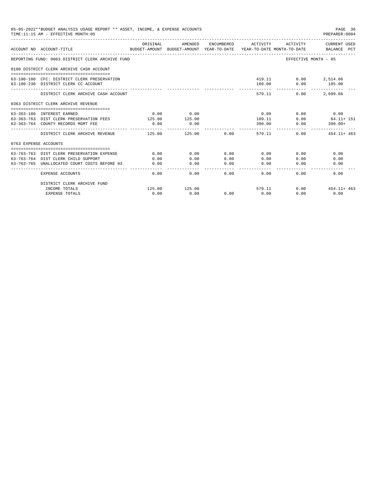|                       | 05-05-2022**BUDGET ANALYSIS USAGE REPORT ** ASSET, INCOME, & EXPENSE ACCOUNTS<br>TIME: 11:15 AM - EFFECTIVE MONTH: 05 |          |         |                                            |                               |                                 | PAGE 36<br>PREPARER: 0004 |
|-----------------------|-----------------------------------------------------------------------------------------------------------------------|----------|---------|--------------------------------------------|-------------------------------|---------------------------------|---------------------------|
|                       | BUDGET-AMOUNT BUDGET-AMOUNT YEAR-TO-DATE YEAR-TO-DATE MONTH-TO-DATE BALANCE PCT<br>ACCOUNT NO ACCOUNT-TITLE           | ORIGINAL | AMENDED |                                            | ENCUMBERED ACTIVITY           | ACTIVITY                        | CURRENT USED              |
|                       | REPORTING FUND: 0063 DISTRICT CLERK ARCHIVE FUND                                                                      |          |         |                                            |                               |                                 | EFFECTIVE MONTH - 05      |
|                       | 0100 DISTRICT CLERK ARCHIVE CASH ACCOUNT                                                                              |          |         |                                            |                               |                                 |                           |
|                       | 63-100-100 CFC: DISTRICT CLERK PRESERVATION                                                                           |          |         |                                            |                               | 419.11 0.00 2,514.66            |                           |
|                       | 63-100-230 DISTRICT CLERK CC ACCOUNT                                                                                  |          |         |                                            |                               | 160.00 0.00 185.00              |                           |
|                       | DISTRICT CLERK ARCHIVE CASH ACCOUNT                                                                                   |          |         |                                            |                               | -------------<br>579.11<br>0.00 | -------------<br>2,699.66 |
|                       | 0363 DISTRICT CLERK ARCHIVE REVENUE                                                                                   |          |         |                                            |                               |                                 |                           |
|                       | 63-363-180 INTEREST EARNED                                                                                            | 0.00     | 0.00    |                                            | 0.00                          |                                 | $0.00$ 0.00               |
|                       | 63-363-763 DIST CLERK PRESERVATION FEES 125.00                                                                        |          | 125.00  |                                            | 189.11                        |                                 | $0.00$ $64.11+151$        |
|                       | 63-363-764 COUNTY RECORDS MGMT FEE                                                                                    | 0.00     | 0.00    |                                            | 390.00                        | 0.00                            | $390.00+$                 |
|                       | DISTRICT CLERK ARCHIVE REVENUE 125.00                                                                                 |          | 125.00  | 0.00                                       | $- - - - - - -$               | 579.11                          | 0.00<br>$454.11+463$      |
| 0763 EXPENSE ACCOUNTS |                                                                                                                       |          |         |                                            |                               |                                 |                           |
|                       | 63-763-763 DIST CLERK PRESERVATION EXPENSE                                                                            | 0.00     | 0.00    | 0.00                                       | 0.00                          |                                 | 0.00<br>$0.00$ and $0.00$ |
|                       | 63-763-764 DIST CLERK CHILD SUPPORT                                                                                   | 0.00     | 0.00    | 0.00                                       | 0.00                          | 0.00                            | 0.00                      |
|                       | 63-763-765 UNALLOCATED COURT COSTS BEFORE 03 0.00                                                                     |          | 0.00    | 0.00                                       | 0.00                          | 0.00                            | 0.00                      |
|                       | <b>EXPENSE ACCOUNTS</b>                                                                                               | 0.00     |         | . _ _ _ _ _ _ _ _ _ _<br>$0.00$ and $0.00$ | . _ _ _ _ _ _ _ _ _ _<br>0.00 | $0.00$ and $0.00$               | 0.00<br>0.00              |
|                       | DISTRICT CLERK ARCHIVE FUND                                                                                           |          |         |                                            |                               |                                 |                           |
|                       | INCOME TOTALS                                                                                                         | 125.00   | 125.00  |                                            |                               | 579.11                          | $0.00$ $454.11+463$       |
|                       | <b>EXPENSE TOTALS</b>                                                                                                 | 0.00     | 0.00    | 0.00                                       | 0.00                          | 0.00                            | 0.00                      |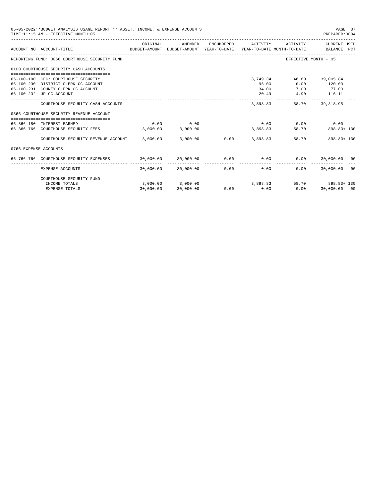|                       | 05-05-2022**BUDGET ANALYSIS USAGE REPORT ** ASSET, INCOME, & EXPENSE ACCOUNTS<br>TIME: 11:15 AM - EFFECTIVE MONTH: 05                         |                                              |                                  |            |                         |                                          | PAGE 37<br>PREPARER: 0004                  |
|-----------------------|-----------------------------------------------------------------------------------------------------------------------------------------------|----------------------------------------------|----------------------------------|------------|-------------------------|------------------------------------------|--------------------------------------------|
|                       | ACCOUNT NO ACCOUNT-TITLE<br>BUDGET-AMOUNT BUDGET-AMOUNT YEAR-TO-DATE YEAR-TO-DATE MONTH-TO-DATE BALANCE PCT                                   | ORIGINAL                                     | AMENDED                          | ENCUMBERED | ACTIVITY                | ACTIVITY                                 | CURRENT USED                               |
|                       | _____________________________________<br>REPORTING FUND: 0066 COURTHOUSE SECURITY FUND                                                        |                                              |                                  |            |                         |                                          | EFFECTIVE MONTH - 05                       |
|                       |                                                                                                                                               |                                              |                                  |            |                         |                                          |                                            |
|                       | 0100 COURTHOUSE SECURITY CASH ACCOUNTS                                                                                                        |                                              |                                  |            |                         |                                          |                                            |
|                       | 66-100-100 CFC: COURTHOUSE SECURITY<br>66-100-230 DISTRICT CLERK CC ACCOUNT<br>66-100-231 COUNTY CLERK CC ACCOUNT<br>66-100-232 JP CC ACCOUNT |                                              |                                  |            | 95.00<br>34.00<br>20.49 | 3,749.34 46.80 39,005.84<br>0.00<br>7.00 | 120.00<br>77.00<br>4.90 116.11             |
|                       | COURTHOUSE SECURITY CASH ACCOUNTS                                                                                                             |                                              |                                  |            | 3,898.83                | 58.70                                    | ------------- --------------<br>39, 318.95 |
|                       | 0366 COURTHOUSE SECURITY REVENUE ACCOUNT                                                                                                      |                                              |                                  |            |                         |                                          |                                            |
|                       | 66-366-180 INTEREST EARNED                                                                                                                    | 0.00                                         | 0.00                             |            |                         | $0.00$ $0.00$ $0.00$ $0.00$              |                                            |
|                       | 66-366-766 COURTHOUSE SECURITY FEES 3,000.00 3,000.00                                                                                         |                                              |                                  |            |                         |                                          | 3,898.83 58.70 898.83+130                  |
|                       | COURTHOUSE SECURITY REVENUE ACCOUNT $\qquad$ 3,000.00 $\qquad$ 3,000.00 0.00 $\qquad$ 3,898.83                                                |                                              |                                  |            |                         |                                          | 58.70 898.83+130                           |
| 0766 EXPENSE ACCOUNTS |                                                                                                                                               |                                              |                                  |            |                         |                                          |                                            |
|                       | 66-766-766 COURTHOUSE SECURITY EXPENSES                                                                                                       | $30,000.00$ $30,000.00$ $0.00$ $0.00$ $0.00$ |                                  |            |                         |                                          | $0.00$ 30,000.00 00                        |
|                       |                                                                                                                                               |                                              |                                  |            |                         |                                          |                                            |
|                       | EXPENSE ACCOUNTS                                                                                                                              |                                              | 30,000.00 30,000.00 0.00         |            | 0.00                    |                                          | $0.00$ 30,000.00 00                        |
|                       | COURTHOUSE SECURITY FUND                                                                                                                      |                                              |                                  |            |                         |                                          |                                            |
|                       | INCOME TOTALS                                                                                                                                 |                                              | $3,000.00$ $3,000.00$ $3,898.83$ |            |                         |                                          | 58.70 898.83+130                           |
|                       | <b>EXPENSE TOTALS</b>                                                                                                                         | 30,000.00                                    | 30,000.00                        | 0.00       | 0.00                    | 0.00                                     | 30,000.00 00                               |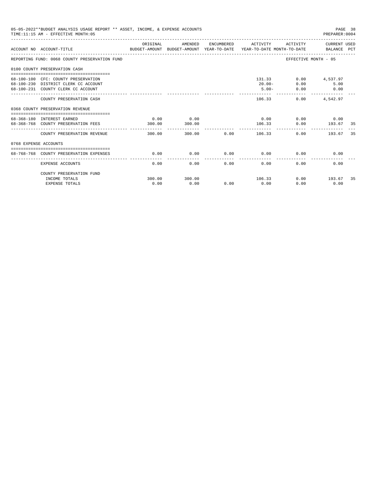|                       | 05-05-2022**BUDGET ANALYSIS USAGE REPORT ** ASSET, INCOME, & EXPENSE ACCOUNTS<br>TIME: 11:15 AM - EFFECTIVE MONTH: 05<br>PREPARER: 0004 |                |                |      |                                 |                             |                                                  |     |  |  |
|-----------------------|-----------------------------------------------------------------------------------------------------------------------------------------|----------------|----------------|------|---------------------------------|-----------------------------|--------------------------------------------------|-----|--|--|
|                       | BUDGET-AMOUNT BUDGET-AMOUNT YEAR-TO-DATE  YEAR-TO-DATE MONTH-TO-DATE     BALANCE PCT<br>ACCOUNT NO ACCOUNT-TITLE                        | ORIGINAL       | AMENDED        |      | ENCUMBERED ACTIVITY             |                             | ACTIVITY CURRENT USED                            |     |  |  |
|                       | REPORTING FUND: 0068 COUNTY PRESERVATION FUND                                                                                           |                |                |      |                                 | EFFECTIVE MONTH - 05        |                                                  |     |  |  |
|                       | 0100 COUNTY PRESERVATION CASH                                                                                                           |                |                |      |                                 |                             |                                                  |     |  |  |
|                       | 68-100-100 CFC: COUNTY PRESERVATION<br>68-100-230 DISTRICT CLERK CC ACCOUNT<br>68-100-231 COUNTY CLERK CC ACCOUNT                       |                |                |      | 131.33<br>$20.00 -$<br>$5.00 -$ | 0.00<br>0.00                | $0.00$ 4,537.97<br>5.00<br>0.00<br>------------- |     |  |  |
|                       | COUNTY PRESERVATION CASH                                                                                                                |                |                |      | 106.33                          |                             | $0.00$ 4,542.97                                  |     |  |  |
|                       | 0368 COUNTY PRESERVATION REVENUE                                                                                                        |                |                |      |                                 |                             |                                                  |     |  |  |
|                       | 68-368-180 INTEREST EARNED<br>68-368-768 COUNTY PRESERVATION FEES                                                                       | 0.00<br>300.00 | 0.00<br>300.00 |      | 106.33<br>------------          | $0.00$ $0.00$ $0.00$ $0.00$ | $0.00$ 193.67                                    | -35 |  |  |
|                       | COUNTY PRESERVATION REVENUE                                                                                                             | 300.00         |                |      | 300.00 0.00 106.33              | 0.00                        | 193.67                                           | 35  |  |  |
| 0768 EXPENSE ACCOUNTS |                                                                                                                                         |                |                |      |                                 |                             |                                                  |     |  |  |
|                       | 68-768-768 COUNTY PRESERVATION EXPENSES                                                                                                 | 0.00           | 0.00           |      | $0.00$ 0.00                     | 0.00                        | 0.00                                             |     |  |  |
|                       | EXPENSE ACCOUNTS                                                                                                                        | 0.00           | 0.00           | 0.00 | 0.00                            | 0.00                        | 0.00                                             |     |  |  |
|                       | COUNTY PRESERVATION FUND<br>INCOME TOTALS                                                                                               | 300.00         | 300.00         |      | 106.33                          |                             | $0.00$ 193.67                                    | 35  |  |  |
|                       | <b>EXPENSE TOTALS</b>                                                                                                                   | 0.00           | 0.00           | 0.00 | 0.00                            | 0.00                        | 0.00                                             |     |  |  |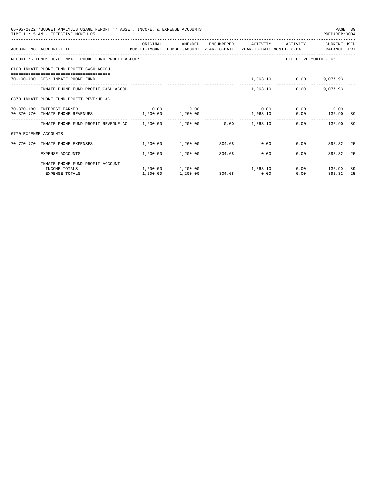|                       | 05-05-2022**BUDGET ANALYSIS USAGE REPORT ** ASSET, INCOME, & EXPENSE ACCOUNTS<br>TIME:11:15 AM - EFFECTIVE MONTH:05 |           |             |             |                                     |                             | PAGE 39<br>PREPARER: 0004 |     |
|-----------------------|---------------------------------------------------------------------------------------------------------------------|-----------|-------------|-------------|-------------------------------------|-----------------------------|---------------------------|-----|
|                       | ACCOUNT NO ACCOUNT-TITLE CONTROL BUDGET-AMOUNT BUDGET-AMOUNT YEAR-TO-DATE YEAR-TO-DATE MONTH-TO-DATE BALANCE PCT    | OR TGTNAL | AMENDED     |             | ENCUMBERED ACTIVITY                 |                             | ACTIVITY CURRENT USED     |     |
|                       | REPORTING FUND: 0070 INMATE PHONE FUND PROFIT ACCOUNT                                                               |           |             |             |                                     | EFFECTIVE MONTH - 05        |                           |     |
|                       | 0100 INMATE PHONE FUND PROFIT CASH ACCOU                                                                            |           |             |             |                                     |                             |                           |     |
|                       | 70-100-100 CFC: INMATE PHONE FUND                                                                                   |           |             |             |                                     | 1,063.10 0.00 9,077.93      |                           |     |
|                       | INMATE PHONE FUND PROFIT CASH ACCOU                                                                                 |           |             |             | 1,063.10                            |                             | $0.00$ 9.077.93           |     |
|                       | 0370 INMATE PHONE FUND PROFIT REVENUE AC                                                                            |           |             |             |                                     |                             |                           |     |
|                       | 70-370-180 INTEREST EARNED                                                                                          |           | $0.00$ 0.00 |             |                                     | $0.00$ $0.00$ $0.00$ $0.00$ |                           |     |
|                       | 70-370-770 INMATE PHONE REVENUES 1,200.00 1,200.00                                                                  |           |             |             | 1,063.10                            |                             | $0.00$ 136.90             | -89 |
|                       | INMATE PHONE FUND PROFIT REVENUE AC 1,200.00 1,200.00 0.00 1,063.10                                                 |           |             |             |                                     |                             | $0.00$ 136.90             | -89 |
| 0770 EXPENSE ACCOUNTS |                                                                                                                     |           |             |             |                                     |                             |                           |     |
|                       | 70-770-770 INMATE PHONE EXPENSES $1,200.00$ $1,200.00$ $304.68$ 0.00 0.00 $0.00$ 895.32 25                          |           |             |             |                                     |                             |                           |     |
|                       | EXPENSE ACCOUNTS                                                                                                    |           |             |             | $1,200.00$ $1,200.00$ $304.68$ 0.00 | 0.00                        | 895.32                    | 25  |
|                       | INMATE PHONE FUND PROFIT ACCOUNT                                                                                    |           |             |             |                                     |                             |                           |     |
|                       | INCOME TOTALS                                                                                                       |           |             |             | $1,200.00$ $1,200.00$ $1,063.10$    |                             | $0.00$ 136.90             | 89  |
|                       | <b>EXPENSE TOTALS</b>                                                                                               | 1,200.00  | 1,200.00    | 304.68 0.00 |                                     | 0.00                        | 895.32                    | 25  |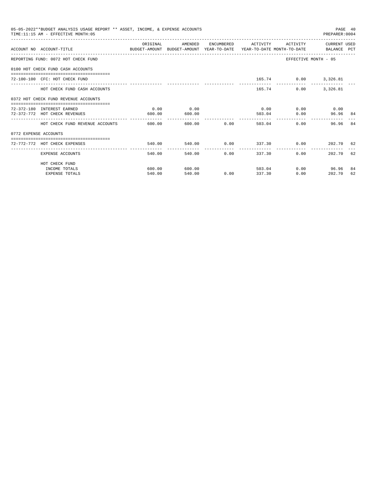|                       | 05-05-2022**BUDGET ANALYSIS USAGE REPORT ** ASSET, INCOME, & EXPENSE ACCOUNTS<br>TIME:11:15 AM - EFFECTIVE MONTH:05 |          |         |                   |                            |          | PAGE 40<br>PREPARER: 0004 |     |
|-----------------------|---------------------------------------------------------------------------------------------------------------------|----------|---------|-------------------|----------------------------|----------|---------------------------|-----|
|                       | ACCOUNT NO ACCOUNT-TITLE CONTROL SUDGET-AMOUNT BUDGET-AMOUNT YEAR-TO-DATE YEAR-TO-DATE MONTH-TO-DATE BALANCE PCT    | ORIGINAL | AMENDED |                   | ENCUMBERED ACTIVITY        | ACTIVITY | CURRENT USED              |     |
|                       | REPORTING FUND: 0072 HOT CHECK FUND                                                                                 |          |         |                   |                            |          | EFFECTIVE MONTH - 05      |     |
|                       | 0100 HOT CHECK FUND CASH ACCOUNTS                                                                                   |          |         |                   |                            |          |                           |     |
|                       | 72-100-100 CFC: HOT CHECK FUND                                                                                      |          |         |                   |                            |          | 165.74 0.00 3,326.81      |     |
|                       | HOT CHECK FUND CASH ACCOUNTS                                                                                        |          |         |                   | 165.74                     | 0.00     | 3,326.81                  |     |
|                       | 0372 HOT CHECK FUND REVENUE ACCOUNTS<br>-------------------------------------                                       |          |         |                   |                            |          |                           |     |
|                       | 72-372-180 INTEREST EARNED                                                                                          | 0.00     | 0.00    |                   | 0.00                       |          | $0.00$ 0.00               |     |
|                       | 72-372-772 HOT CHECK REVENUES                                                                                       | 600.00   | 600.00  |                   | 503.04                     | 0.00     | 96.96 84                  |     |
|                       | HOT CHECK FUND REVENUE ACCOUNTS                                                                                     | 600.00   |         | 600.00 0.00       | 503.04                     |          | 0.00<br>96.96             | 84  |
| 0772 EXPENSE ACCOUNTS |                                                                                                                     |          |         |                   |                            |          |                           |     |
|                       | ------------------------------------<br>72-772-772 HOT CHECK EXPENSES                                               | 540.00   | 540.00  |                   | $0.00$ 337.30 0.00         |          | 202.70 62                 |     |
|                       | EXPENSE ACCOUNTS                                                                                                    | 540.00   | 540.00  | $0.00$ and $0.00$ | ----------------<br>337.30 | $0.00 -$ | 202.70 62                 |     |
|                       | HOT CHECK FUND                                                                                                      |          |         |                   |                            |          |                           |     |
|                       | INCOME TOTALS                                                                                                       | 600.00   | 600.00  |                   | 503.04                     |          | $0.00$ 96.96              | -84 |
|                       | <b>EXPENSE TOTALS</b>                                                                                               | 540.00   | 540.00  | 0.00              | 337.30                     | 0.00     | 202.70                    | 62  |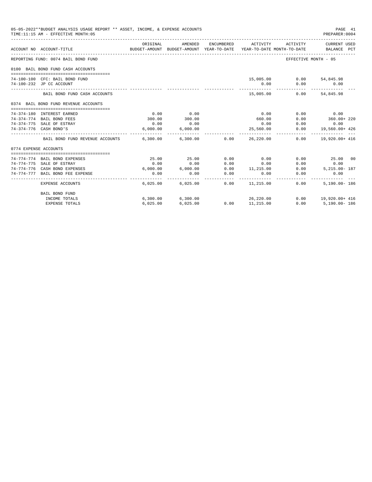|                       | 05-05-2022**BUDGET ANALYSIS USAGE REPORT ** ASSET, INCOME, & EXPENSE ACCOUNTS<br>TIME:11:15 AM - EFFECTIVE MONTH:05 |           |                       |                                               |                     |                              | PAGE 41<br>PREPARER: 0004                                                                       |
|-----------------------|---------------------------------------------------------------------------------------------------------------------|-----------|-----------------------|-----------------------------------------------|---------------------|------------------------------|-------------------------------------------------------------------------------------------------|
|                       | ACCOUNT NO ACCOUNT-TITLE                                                                                            | ORIGINAL  | AMENDED               | ENCUMBERED                                    | ACTIVITY            | ACTIVITY                     | CURRENT USED<br>BUDGET-AMOUNT BUDGET-AMOUNT YEAR-TO-DATE YEAR-TO-DATE MONTH-TO-DATE BALANCE PCT |
|                       | REPORTING FUND: 0074 BAIL BOND FUND                                                                                 |           |                       |                                               |                     |                              | EFFECTIVE MONTH - 05                                                                            |
|                       | 0100 BAIL BOND FUND CASH ACCOUNTS                                                                                   |           |                       |                                               |                     |                              |                                                                                                 |
|                       | 74-100-100 CFC: BAIL BOND FUND                                                                                      |           |                       |                                               |                     | 15,005.00   0.00   54,845.98 |                                                                                                 |
|                       | 74-100-232 JP CC ACCOUNT                                                                                            |           |                       |                                               | 0.00                | 0.00                         | 0.00                                                                                            |
|                       | BAIL BOND FUND CASH ACCOUNTS                                                                                        |           |                       |                                               | 15,005.00           |                              | $0.00$ $54,845.98$                                                                              |
|                       | 0374 BAIL BOND FUND REVENUE ACCOUNTS                                                                                |           |                       |                                               |                     |                              |                                                                                                 |
|                       |                                                                                                                     |           |                       |                                               |                     |                              |                                                                                                 |
|                       | 74-374-180 INTEREST EARNED                                                                                          | 0.00      | 0.00                  |                                               | 0.00                |                              | $0.00$ 0.00                                                                                     |
|                       | 74-374-774 BAIL BOND FEES                                                                                           | 300.00    | 300.00                |                                               | 660.00              | 0.00                         | 360.00+ 220                                                                                     |
|                       | 74-374-775 SALE OF ESTRAY                                                                                           | 0.00      | 0.00                  |                                               | 0.00                | 0.00                         | 0.00                                                                                            |
|                       | 74-374-776 CASH BOND'S                                                                                              | 6,000.00  | 6,000.00              |                                               | 25,560.00           |                              | $0.00$ 19,560.00+ 426                                                                           |
|                       | BAIL BOND FUND REVENUE ACCOUNTS 6.300.00 6.300.00 0.00                                                              |           |                       |                                               | 26,220,00           |                              | $0.00$ $19.920.00+416$                                                                          |
| 0774 EXPENSE ACCOUNTS |                                                                                                                     |           |                       |                                               |                     |                              |                                                                                                 |
|                       |                                                                                                                     |           |                       |                                               |                     |                              |                                                                                                 |
|                       | 74-774-774 BAIL BOND EXPENSES                                                                                       | 25.00     | 25.00                 | 0.00                                          | 0.00                |                              | 0.00<br>25.00 00                                                                                |
|                       | 74-774-775 SALE OF ESTRAY                                                                                           | 0.00      | 0.00                  | 0.00                                          | 0.00                |                              | $0.00$ 0.00                                                                                     |
|                       | 74-774-776 CASH BOND EXPENSES                                                                                       |           | $6.000.00$ $6.000.00$ | 0.00                                          | 11, 215.00          | 0.00                         | $5.215.00 - 187$                                                                                |
|                       | 74-774-777 BAIL BOND FEE EXPENSE                                                                                    | 0.00<br>. |                       | 0.00<br>0.00<br>_____________________________ | 0.00<br>----------- | -------------                | 0.00<br>0.00                                                                                    |
|                       | EXPENSE ACCOUNTS                                                                                                    |           | 6,025,00 6,025,00     |                                               | $0.00$ $11.215.00$  | 0.00                         | $5.190.00 - 186$                                                                                |
|                       | <b>BAIL BOND FUND</b>                                                                                               |           |                       |                                               |                     |                              |                                                                                                 |
|                       | INCOME TOTALS                                                                                                       |           | 6,300.00 6,300.00     |                                               | 26,220.00           |                              | $0.00$ 19,920.00+ 416                                                                           |
|                       | <b>EXPENSE TOTALS</b>                                                                                               | 6.025.00  | 6,025.00              | 0.00                                          | 11,215.00           | 0.00                         | 5,190.00-186                                                                                    |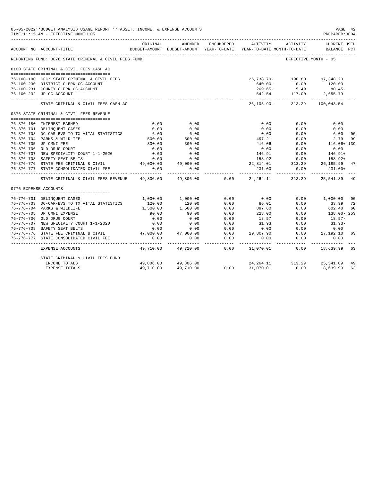|                       | 05-05-2022**BUDGET ANALYSIS USAGE REPORT ** ASSET, INCOME, & EXPENSE ACCOUNTS<br>TIME:11:15 AM - EFFECTIVE MONTH:05 |                           |                        |            |                                                                                 |                                                  | PAGE 42<br>PREPARER: 0004          |                |
|-----------------------|---------------------------------------------------------------------------------------------------------------------|---------------------------|------------------------|------------|---------------------------------------------------------------------------------|--------------------------------------------------|------------------------------------|----------------|
|                       | ACCOUNT NO ACCOUNT-TITLE                                                                                            | ORIGINAL                  | AMENDED                | ENCUMBERED | ACTIVITY<br>BUDGET-AMOUNT BUDGET-AMOUNT YEAR-TO-DATE YEAR-TO-DATE MONTH-TO-DATE | ACTIVITY                                         | <b>CURRENT USED</b><br>BALANCE PCT |                |
|                       | REPORTING FUND: 0076 STATE CRIMINAL & CIVIL FEES FUND                                                               |                           |                        |            |                                                                                 | EFFECTIVE MONTH - 05                             |                                    |                |
|                       |                                                                                                                     |                           |                        |            |                                                                                 |                                                  |                                    |                |
|                       | 0100 STATE CRIMINAL & CIVIL FEES CASH AC                                                                            |                           |                        |            |                                                                                 |                                                  |                                    |                |
|                       | 76-100-100 CFC: STATE CRIMINAL & CIVIL FEES                                                                         |                           |                        |            | 25,738.79- 190.80 97,348.20                                                     |                                                  |                                    |                |
|                       | 76-100-230 DISTRICT CLERK CC ACCOUNT                                                                                |                           |                        |            | $640.00 -$                                                                      | 0.00                                             | 120.00                             |                |
|                       | 76-100-231 COUNTY CLERK CC ACCOUNT                                                                                  |                           |                        |            |                                                                                 | $269.65 - 5.49$                                  | $80.45 -$                          |                |
|                       | 76-100-232 JP CC ACCOUNT                                                                                            |                           |                        |            |                                                                                 | 542.54 117.00 2,655.79                           |                                    |                |
|                       | STATE CRIMINAL & CIVIL FEES CASH AC                                                                                 |                           |                        |            |                                                                                 | -------------<br>26, 105.90 - 313.29 100, 043.54 | ---------                          |                |
|                       | 0376 STATE CRIMINAL & CIVIL FEES REVENUE                                                                            |                           |                        |            |                                                                                 |                                                  |                                    |                |
|                       | 76-376-180 INTEREST EARNED                                                                                          | 0.00                      | 0.00                   |            | 0.00                                                                            | 0.00                                             | 0.00                               |                |
|                       | 76-376-701 DELINOUENT CASES                                                                                         | 0.00                      | 0.00                   |            | 0.00                                                                            | 0.00                                             | 0.00                               |                |
|                       | 76-376-703 DC-CAR-BVS TO TX VITAL STATISTICS                                                                        | 6.00                      | 6.00                   |            | 0.00                                                                            | 0.00                                             | 6.00                               | 0 <sub>0</sub> |
|                       | 76-376-704 PARKS & WILDLIFE                                                                                         | $6.00$<br>500.00          | 500.00                 |            | 497.21                                                                          | 0.00                                             | 2.79                               | 99             |
|                       | 76-376-705 JP OMNI FEE                                                                                              | 300.00                    | 300.00                 |            | 416.06                                                                          | 0.00                                             | $116.06 + 139$                     |                |
|                       | 76-376-706 OLD DRUG COURT                                                                                           | 0.00                      | 0.00                   |            | 0.00                                                                            | 0.00                                             | 0.00                               |                |
|                       | 76-376-707 NEW SPECIALITY COURT 1-1-2020                                                                            | 0.00                      | 0.00                   |            |                                                                                 |                                                  | $146.91+$                          |                |
|                       | 76-376-708 SAFETY SEAT BELTS                                                                                        | 0.00                      | 0.00                   |            |                                                                                 | 146.91 0.00<br>158.92 0.00                       | 158.92+                            |                |
|                       | 76-376-776 STATE FEE CRIMINAL & CIVIL 49,000.00                                                                     |                           | 49,000.00              |            | 22,814.01 313.29 26,185.99                                                      |                                                  |                                    | 47             |
|                       | 76-376-777 STATE CONSOLIDATED CIVIL FEE                                                                             | 0.00                      | 0.00                   |            | 231.00                                                                          | 0.00                                             | $231.00+$                          |                |
|                       | STATE CRIMINAL & CIVIL FEES REVENUE                                                                                 | . <u>.</u> .<br>49,806.00 | 49,806.00              | 0.00       | ------------                                                                    | 24, 264. 11 313. 29                              | 25,541.89                          | -49            |
| 0776 EXPENSE ACCOUNTS |                                                                                                                     |                           |                        |            |                                                                                 |                                                  |                                    |                |
|                       | 76-776-701 DELINQUENT CASES                                                                                         |                           | 1,000.00 1,000.00      | 0.00       | 0.00                                                                            |                                                  | 0.00 1,000.00                      | 0 <sup>0</sup> |
|                       | 76-776-703 DC-CAR-BVS TO TX VITAL STATISTICS                                                                        | 120.00                    |                        | 0.00       | 86.01                                                                           | 0.00                                             | 33.99                              | 72             |
|                       | 76-776-704 PARKS & WILDLIFE                                                                                         | 1,500.00                  | $120.00$<br>$1,500.00$ | 0.00       | 897.60                                                                          | 0.00                                             | 602.40                             | 60             |
|                       | 76-776-705 JP OMNI EXPENSE                                                                                          | 90.00                     | 90.00                  | 0.00       | 228.00                                                                          | 0.00                                             | 138.00-253                         |                |
|                       | 76-776-706 OLD DRUG COURT                                                                                           | 0.00                      | 0.00                   | 0.00       | 18.57                                                                           | 0.00                                             | $18.57-$                           |                |
|                       | 76-776-707 NEW SPECIALTY COURT 1-1-2020                                                                             | 0.00                      | 0.00                   | 0.00       | 31.93                                                                           | 0.00                                             | $31.93-$                           |                |
|                       | 76-776-708 SAFETY SEAT BELTS                                                                                        | 0.00                      | 0.00                   | 0.00       | 0.00                                                                            | 0.00                                             | 0.00                               |                |
|                       | 76-776-776 STATE FEE CRIMINAL & CIVIL                                                                               | 47,000.00                 | 47,000.00              | 0.00       | 29,807.90                                                                       | 0.00                                             | 17,192.10                          | 63             |
|                       | 76-776-777 STATE CONSOLIDATED CIVIL FEE                                                                             | 0.00                      | 0.00                   | 0.00       | 0.00                                                                            | 0.00                                             | 0.00                               |                |
|                       | EXPENSE ACCOUNTS                                                                                                    | $- - - - - - -$           | 49,710.00 49,710.00    | .<br>0.00  | -----------<br>31,070.01                                                        | -----------                                      | -------------<br>$0.00$ 18,639.99  | 63             |
|                       | STATE CRIMINAL & CIVIL FEES FUND                                                                                    |                           |                        |            |                                                                                 |                                                  |                                    |                |
|                       | INCOME TOTALS                                                                                                       |                           | 49,806.00 49,806.00    |            | 24, 264.11 313.29 25, 541.89                                                    |                                                  |                                    | 49             |
|                       | <b>EXPENSE TOTALS</b>                                                                                               | 49,710.00                 | 49,710.00              | 0.00       |                                                                                 | 31,070.01 0.00                                   | 18,639.99                          | 63             |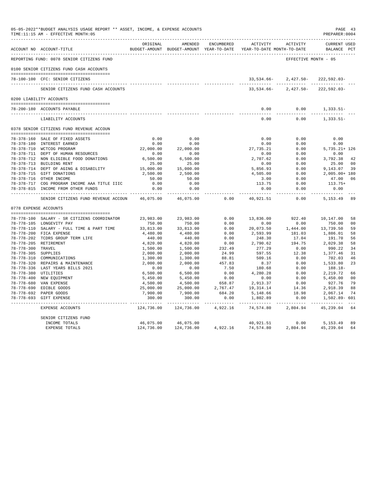|                     | 05-05-2022**BUDGET ANALYSIS USAGE REPORT ** ASSET, INCOME, & EXPENSE ACCOUNTS<br>TIME: 11:15 AM - EFFECTIVE MONTH: 05 |                    |                                                     |              |                                        |                         | PREPARER: 0004                     | PAGE 43        |
|---------------------|-----------------------------------------------------------------------------------------------------------------------|--------------------|-----------------------------------------------------|--------------|----------------------------------------|-------------------------|------------------------------------|----------------|
|                     | ACCOUNT NO ACCOUNT-TITLE                                                                                              | ORIGINAL           | AMENDED<br>BUDGET-AMOUNT BUDGET-AMOUNT YEAR-TO-DATE | ENCUMBERED   | ACTIVITY<br>YEAR-TO-DATE MONTH-TO-DATE | ACTIVITY                | <b>CURRENT USED</b><br>BALANCE PCT |                |
|                     | REPORTING FUND: 0078 SENIOR CITIZENS FUND                                                                             |                    |                                                     |              |                                        | EFFECTIVE MONTH - 05    |                                    |                |
|                     | 0100 SENIOR CITIZENS FUND CASH ACCOUNTS                                                                               |                    |                                                     |              |                                        |                         |                                    |                |
|                     |                                                                                                                       |                    |                                                     |              |                                        |                         |                                    |                |
|                     | 78-100-100 CFC: SENIOR CITIZENS                                                                                       |                    |                                                     |              | 33,534.66-                             | 2,427.50-               | $222,592.03-$                      |                |
|                     | SENIOR CITIZENS FUND CASH ACCOUNTS                                                                                    |                    |                                                     |              | 33,534.66-                             | $2,427.50-$             | $222,592.03-$                      |                |
|                     | 0200 LIABILITY ACCOUNTS                                                                                               |                    |                                                     |              |                                        |                         |                                    |                |
|                     |                                                                                                                       |                    |                                                     |              |                                        |                         |                                    |                |
|                     | 78-200-180 ACCOUNTS PAYABLE<br>----------------------------                                                           |                    |                                                     |              | 0.00                                   | 0.00                    | $1,333.51-$<br>---------           |                |
|                     | LIABILITY ACCOUNTS                                                                                                    |                    |                                                     |              | 0.00                                   | 0.00                    | $1,333.51-$                        |                |
|                     | 0378 SENIOR CITIZENS FUND REVENUE ACCOUN                                                                              |                    |                                                     |              |                                        |                         |                                    |                |
|                     | 78-378-160 SALE OF FIXED ASSETS                                                                                       | 0.00               | 0.00                                                |              | 0.00                                   | 0.00                    | 0.00                               |                |
|                     | 78-378-180 INTEREST EARNED                                                                                            | 0.00               | 0.00                                                |              | 0.00                                   | 0.00                    | 0.00                               |                |
|                     | 78-378-710 WCTCOG PROGRAM                                                                                             | 22,000.00          | 22,000.00                                           |              | 27,735.21                              | 0.00                    | $5,735.21+126$                     |                |
|                     | 78-378-711 DEPT OF HUMAN RESOURCES                                                                                    | 0.00               | 0.00                                                |              | 0.00                                   | 0.00                    | 0.00                               |                |
|                     | 78-378-712 NON ELIGIBLE FOOD DONATIONS                                                                                | 6,500.00           | 6,500.00                                            |              | 2,707.62                               | 0.00                    | 3,792.38                           | 42             |
|                     | 78-378-713 BUILDING RENT                                                                                              | 25.00              | 25.00                                               |              | 0.00                                   | 0.00                    | 25.00                              | 0 <sup>0</sup> |
|                     | 78-378-714 DEPT OF AGING & DISABILITY                                                                                 | 15,000.00          | 15,000.00                                           |              | 5,856.93                               | 0.00                    | 9,143.07                           | 39             |
|                     | 78-378-715 GIFT DONATIONS                                                                                             | 2,500.00           | 2,500.00                                            |              | 4,505.00                               | 0.00                    | 2,005.00+ 180                      |                |
|                     | 78-378-716 OTHER INCOME                                                                                               | 50.00              | 50.00                                               |              | 3.00                                   | 0.00                    | 47.00                              | 06             |
|                     | 78-378-717 COG PROGRAM INCOME AAA TITLE IIIC                                                                          | 0.00               | 0.00                                                |              | 113.75                                 | 0.00                    | 113.75+                            |                |
|                     | 78-378-815 INCOME FROM OTHER FUNDS                                                                                    | 0.00<br>-------    | 0.00<br>---------                                   |              | 0.00<br>--------                       | 0.00<br>$- - - - -$     | 0.00<br>--------                   |                |
|                     | SENIOR CITIZENS FUND REVENUE ACCOUN                                                                                   | 46,075.00          | 46,075.00                                           | 0.00         | 40,921.51                              | 0.00                    | 5,153.49                           | 89             |
|                     | 0778 EXPENSE ACCOUNTS                                                                                                 |                    |                                                     |              |                                        |                         |                                    |                |
|                     |                                                                                                                       |                    |                                                     |              |                                        |                         |                                    |                |
|                     | 78-778-100 SALARY - SR CITIZENS COORDINATOR                                                                           | 23,983.00          | 23,983.00                                           | 0.00         | 13,836.00                              | 922.40                  | 10,147.00                          | 58             |
|                     | 78-778-105 LONGEVITY PAY                                                                                              | 750.00             | 750.00                                              | 0.00         | 0.00                                   | 0.00                    | 750.00                             | 0 <sub>0</sub> |
|                     | 78-778-110 SALARY - FULL TIME & PART TIME<br>78-778-200 FICA EXPENSE                                                  | 33,813.00          | 33,813.00                                           | 0.00<br>0.00 | 20,073.50                              | 1,444.00<br>181.03      | 13,739.50<br>1,886.01              | 59<br>58       |
|                     | 78-778-202 TCDRS GROUP TERM LIFE                                                                                      | 4,480.00<br>440.00 | 4,480.00<br>440.00                                  | 0.00         | 2,593.99<br>248.30                     | 17.04                   | 191.70                             | 56             |
|                     | 78-778-205 RETIREMENT                                                                                                 | 4,820.00           | 4,820.00                                            | 0.00         | 2,790.62                               | 194.75                  | 2,029.38                           | 58             |
| 78-778-300 TRAVEL   |                                                                                                                       | 1,500.00           | 1,500.00                                            | 232.49       | 277.29                                 | 0.00                    | 990.22                             | 34             |
| 78-778-305 SUPPLIES |                                                                                                                       | 2,000.00           | 2,000.00                                            | 24.99        | 597.55                                 | 12.38                   | 1,377.46                           | 31             |
|                     | 78-778-310 COMMUNICATIONS                                                                                             | 1,300.00           | 1,300.00                                            | 88.81        | 509.16                                 | 0.00                    | 702.03                             | 46             |
|                     | 78-778-320 REPAIRS & MAINTENANCE                                                                                      | 2,000.00           | 2,000.00                                            | 457.83       | 8.37                                   | 0.00                    | 1,533.80                           | 23             |
|                     | 78-778-336 LAST YEARS BILLS 2021                                                                                      | 0.00               | 0.00                                                | 7.50         | 180.68                                 | 0.00                    | 188.18-                            |                |
|                     | 78-778-380 UTILITIES                                                                                                  | 6,500.00           | 6,500.00                                            | 0.00         | 4,280.28                               | 0.00                    | 2,219.72                           | 66             |
|                     | 78-778-400 NEW EQUIPMENT                                                                                              | 5,450.00           | 5,450.00                                            | 0.00         | 0.00                                   | 0.00                    | 5,450.00                           | 0 <sup>0</sup> |
|                     | 78-778-680 VAN EXPENSE                                                                                                | 4,500.00           | 4,500.00                                            | 658.87       | 2,913.37                               | 0.00                    | 927.76                             | 79             |
|                     | 78-778-690 EDIBLE GOODS                                                                                               | 25,000.00          | 25,000.00                                           | 2,767.47     | 19,314.14                              | 14.36                   | 2,918.39                           | 88             |
|                     | 78-778-692 PAPER GOODS                                                                                                | 7,900.00           | 7,900.00                                            | 684.20       | 5,148.66                               | 18.98                   | 2,067.14                           | 74             |
|                     | 78-778-693 GIFT EXPENSE                                                                                               | 300.00             | 300.00                                              | 0.00         | 1,802.89                               | 0.00                    | 1,502.89- 601                      |                |
|                     | EXPENSE ACCOUNTS                                                                                                      | 124,736.00         | 124,736.00                                          | 4,922.16     | 74,574.80                              | -----------<br>2,804.94 | 45, 239.04                         | 64             |
|                     | SENIOR CITIZENS FUND                                                                                                  |                    |                                                     |              |                                        |                         |                                    |                |
|                     | INCOME TOTALS                                                                                                         | 46,075.00          | 46,075.00                                           |              | 40,921.51                              | 0.00                    | 5, 153.49                          | 89             |
|                     | <b>EXPENSE TOTALS</b>                                                                                                 | 124,736.00         | 124,736.00                                          | 4,922.16     | 74,574.80                              | 2,804.94                | 45,239.04                          | 64             |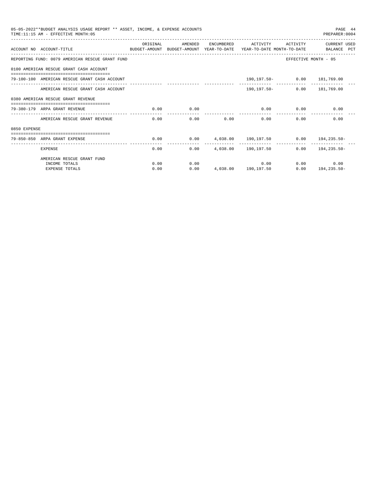|              | 05-05-2022**BUDGET ANALYSIS USAGE REPORT ** ASSET, INCOME, & EXPENSE ACCOUNTS<br>TIME:11:15 AM - EFFECTIVE MONTH:05 |          |         |      |                                    |                   | PAGE 44<br>PREPARER: 0004                          |
|--------------|---------------------------------------------------------------------------------------------------------------------|----------|---------|------|------------------------------------|-------------------|----------------------------------------------------|
|              | ACCOUNT NO ACCOUNT-TITLE COMPARENT SUDGET-AMOUNT BUDGET-AMOUNT YEAR-TO-DATE YEAR-TO-DATE MONTH-TO-DATE BALANCE PCT  | ORIGINAL | AMENDED |      | ENCUMBERED ACTIVITY                | ACTIVITY          | CURRENT USED                                       |
|              | REPORTING FUND: 0079 AMERICAN RESCUE GRANT FUND                                                                     |          |         |      |                                    |                   | EFFECTIVE MONTH - 05                               |
|              | 0100 AMERICAN RESCUE GRANT CASH ACCOUNT                                                                             |          |         |      |                                    |                   |                                                    |
|              | 79-100-100 AMERICAN RESCUE GRANT CASH ACCOUNT                                                                       |          |         |      | 190,197.50 - 0.00 181,769.00       |                   |                                                    |
|              | AMERICAN RESCUE GRANT CASH ACCOUNT                                                                                  |          |         |      | $190.197.50 -$                     |                   | $0.00$ 181,769.00                                  |
|              | 0380 AMERICAN RESCUE GRANT REVENUE                                                                                  |          |         |      |                                    |                   |                                                    |
|              | 79-380-179 ARPA GRANT REVENUE                                                                                       | 0.00     | 0.00    |      | $0.00$ $0.00$ $0.00$ $0.00$ $0.00$ |                   |                                                    |
|              | AMERICAN RESCUE GRANT REVENUE                                                                                       | 0.00     |         | 0.00 | 0.00                               | 0.00<br>0.00      | 0.00                                               |
| 0850 EXPENSE |                                                                                                                     |          |         |      |                                    |                   |                                                    |
|              | 79-850-850 ARPA GRANT EXPENSE                                                                                       | 0.00     |         |      |                                    |                   | $0.00$ $4,038.00$ $190,197.50$ $0.00$ $194,235.50$ |
|              | <b>EXPENSE</b>                                                                                                      |          | 0.00    |      | $0.00 \t 4.038.00 \t 190.197.50$   |                   | $0.00$ 194, 235.50-                                |
|              | AMERICAN RESCUE GRANT FUND                                                                                          |          |         |      |                                    |                   |                                                    |
|              | INCOME TOTALS                                                                                                       | 0.00     | 0.00    |      |                                    | $0.00$ and $0.00$ | 0.00<br>0.00                                       |
|              | <b>EXPENSE TOTALS</b>                                                                                               | 0.00     | 0.00    |      | 4,038.00 190,197.50                |                   | $0.00$ 194, 235.50-                                |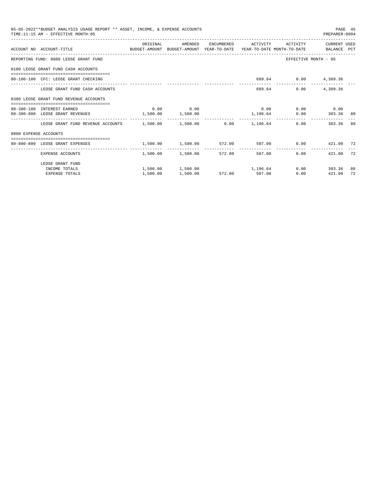|                       | 05-05-2022**BUDGET ANALYSIS USAGE REPORT ** ASSET, INCOME, & EXPENSE ACCOUNTS<br>TIME: 11:15 AM - EFFECTIVE MONTH: 05  |                                                              |                            |          |                     |                      | PREPARER: 0004        | PAGE 45 |
|-----------------------|------------------------------------------------------------------------------------------------------------------------|--------------------------------------------------------------|----------------------------|----------|---------------------|----------------------|-----------------------|---------|
|                       |                                                                                                                        | ORIGINAL                                                     | AMENDED                    |          | ENCUMBERED ACTIVITY |                      | ACTIVITY CURRENT USED |         |
|                       | ACCOUNT NO ACCOUNT-TITLE COMMONICATION BUDGET-AMOUNT BUDGET-AMOUNT YEAR-TO-DATE YEAR-TO-DATE MONTH-TO-DATE BALANCE PCT |                                                              |                            |          |                     |                      |                       |         |
|                       | REPORTING FUND: 0080 LEOSE GRANT FUND                                                                                  |                                                              |                            |          |                     |                      | EFFECTIVE MONTH - 05  |         |
|                       | 0100 LEOSE GRANT FUND CASH ACCOUNTS                                                                                    |                                                              |                            |          |                     |                      |                       |         |
|                       | 80-100-100 CFC: LEOSE GRANT CHECKING                                                                                   |                                                              |                            |          |                     |                      | 689.64 0.00 4,309.36  |         |
|                       | LEOSE GRANT FUND CASH ACCOUNTS                                                                                         |                                                              |                            |          |                     | 689.64 0.00 4.309.36 |                       |         |
|                       | 0380 LEOSE GRANT FUND REVENUE ACCOUNTS                                                                                 |                                                              |                            |          |                     |                      |                       |         |
|                       | 80-380-180 INTEREST EARNED                                                                                             |                                                              | $0.00$ 0.00                |          | 0.00                |                      | $0.00$ 0.00           |         |
|                       | 80-380-800 LEOSE GRANT REVENUES 1,500.00 1,500.00                                                                      |                                                              |                            | 1,196.64 |                     |                      | 0.00 303.36 80        |         |
|                       | LEOSE GRANT FUND REVENUE ACCOUNTS $1.500.00$ $1.500.00$ $0.00$ $1.196.64$                                              |                                                              |                            |          |                     |                      | 0.00<br>303.36        | 80      |
| 0800 EXPENSE ACCOUNTS |                                                                                                                        |                                                              |                            |          |                     |                      |                       |         |
|                       | 80-800-800 LEOSE GRANT EXPENSES                                                                                        | $1,500.00$ $1,500.00$ $572.00$ $507.00$ $0.00$ $421.00$ $72$ |                            |          |                     |                      |                       |         |
|                       | EXPENSE ACCOUNTS                                                                                                       |                                                              | 1,500.00 1,500.00 572.00   |          |                     | 507.00               | 0.00<br>421.00        | 72      |
|                       | LEOSE GRANT FUND                                                                                                       |                                                              |                            |          |                     |                      |                       |         |
|                       | INCOME TOTALS                                                                                                          |                                                              | 1,500.00 1,500.00 1,196.64 |          |                     |                      | $0.00$ 303.36         | 80      |
|                       | <b>EXPENSE TOTALS</b>                                                                                                  | 1,500.00                                                     | 1,500.00 572.00 507.00     |          |                     | 0.00                 | 421.00                | 72      |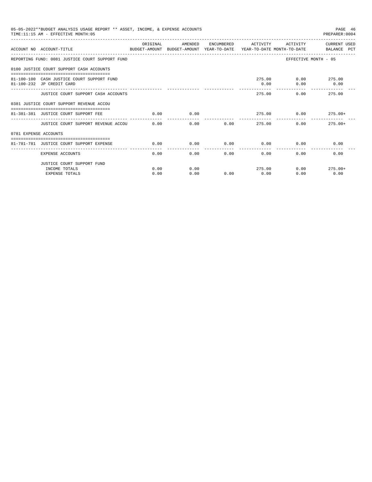|                       | 05-05-2022**BUDGET ANALYSIS USAGE REPORT ** ASSET, INCOME, & EXPENSE ACCOUNTS<br>TIME: 11:15 AM - EFFECTIVE MONTH: 05 |           |         |            |          |                | PAGE 46<br>PREPARER: 0004 |
|-----------------------|-----------------------------------------------------------------------------------------------------------------------|-----------|---------|------------|----------|----------------|---------------------------|
|                       | ACCOUNT NO ACCOUNT-TITLE<br>BUDGET-AMOUNT BUDGET-AMOUNT YEAR-TO-DATE YEAR-TO-DATE MONTH-TO-DATE BALANCE PCT           | OR TGTNAL | AMENDED | ENCUMBERED | ACTIVITY | ACTIVITY       | CURRENT USED              |
|                       | REPORTING FUND: 0081 JUSTICE COURT SUPPORT FUND                                                                       |           |         |            |          |                | EFFECTIVE MONTH - 05      |
|                       | 0100 JUSTICE COURT SUPPORT CASH ACCOUNTS                                                                              |           |         |            |          |                |                           |
|                       | 81-100-100 CASH JUSTICE COURT SUPPORT FUND                                                                            |           |         |            |          | 275.00         | $0.00$ 275.00             |
|                       | 81-100-232 JP CREDIT CARD                                                                                             |           |         |            | 0.00     | 0.00           | 0.00                      |
|                       | JUSTICE COURT SUPPORT CASH ACCOUNTS                                                                                   |           |         |            | 275.00   |                | 275.00<br>0.00            |
|                       | 0381 JUSTICE COURT SUPPORT REVENUE ACCOU                                                                              |           |         |            |          |                |                           |
|                       | 81-381-381 JUSTICE COURT SUPPORT FEE                                                                                  | 0.00      | 0.00    |            |          | 275.00<br>0.00 | $275.00+$                 |
|                       | JUSTICE COURT SUPPORT REVENUE ACCOU 0.00                                                                              |           | 0.00    |            | 0.00     | 275.00         | 0.00<br>$275.00+$         |
| 0781 EXPENSE ACCOUNTS |                                                                                                                       |           |         |            |          |                |                           |
|                       | ------------------------------------<br>81-781-781 JUSTICE COURT SUPPORT EXPENSE                                      | 0.00      | 0.00    | 0.00       | 0.00     | 0.00           | 0.00                      |
|                       | EXPENSE ACCOUNTS                                                                                                      | 0.00      | 0.00    | 0.00       | 0.00     | 0.00           | 0.00                      |
|                       | JUSTICE COURT SUPPORT FUND                                                                                            |           |         |            |          |                |                           |
|                       | INCOME TOTALS                                                                                                         | 0.00      | 0.00    |            | 275.00   |                | 0.00<br>$275.00+$         |
|                       | <b>EXPENSE TOTALS</b>                                                                                                 | 0.00      | 0.00    | 0.00       | 0.00     | 0.00           | 0.00                      |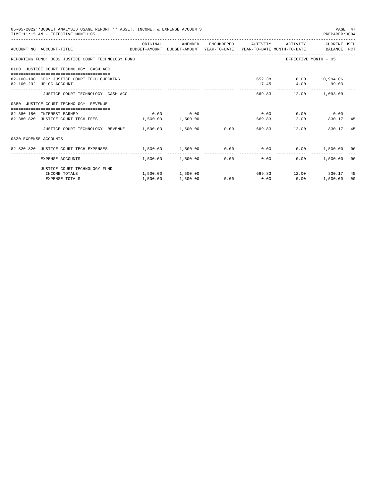|                       | 05-05-2022**BUDGET ANALYSIS USAGE REPORT ** ASSET, INCOME, & EXPENSE ACCOUNTS<br>TIME: 11:15 AM - EFFECTIVE MONTH: 05 |          |                            |               |                                                            |                                           | PAGE 47<br>PREPARER: 0004 |          |
|-----------------------|-----------------------------------------------------------------------------------------------------------------------|----------|----------------------------|---------------|------------------------------------------------------------|-------------------------------------------|---------------------------|----------|
|                       | ACCOUNT NO ACCOUNT-TITLE COMPUTE BUDGET-AMOUNT BUDGET-AMOUNT YEAR-TO-DATE YEAR-TO-DATE MONTH-TO-DATE BALANCE PCT      |          |                            |               |                                                            |                                           |                           |          |
|                       | REPORTING FUND: 0082 JUSTICE COURT TECHNOLOGY FUND                                                                    |          |                            |               |                                                            | EFFECTIVE MONTH - 05                      |                           |          |
|                       | 0100 JUSTICE COURT TECHNOLOGY CASH ACC                                                                                |          |                            |               |                                                            |                                           |                           |          |
|                       | 82-100-100 CFC: JUSTICE COURT TECH CHECKING<br>82-100-232 JP CC ACCOUNT                                               |          |                            |               |                                                            | 652.38 8.00 10,994.06<br>17.45 4.00 99.03 |                           |          |
|                       | JUSTICE COURT TECHNOLOGY CASH ACC                                                                                     |          |                            |               |                                                            | 669.83 12.00 11,093.09                    |                           |          |
|                       | 0380 JUSTICE COURT TECHNOLOGY REVENUE                                                                                 |          |                            |               |                                                            |                                           |                           |          |
|                       | 82-380-180 INTEREST EARNED<br>82-380-820 JUSTICE COURT TECH FEES 1,500.00 1,500.00                                    |          | $0.00$ 0.00                |               | $0.00$ 0.00 0.00 0.00                                      | 669.83 12.00 830.17                       |                           | -45      |
|                       | JUSTICE COURT TECHNOLOGY REVENUE $1.500.00$ $1.500.00$ $0.00$ $669.83$ $12.00$                                        |          |                            |               | .                                                          | . <u>.</u>                                | 830.17                    | 45       |
| 0820 EXPENSE ACCOUNTS |                                                                                                                       |          |                            |               |                                                            |                                           |                           |          |
|                       | 82-820-820 JUSTICE COURT TECH EXPENSES                                                                                |          |                            |               | $1,500.00$ $1,500.00$ $0.00$ $0.00$ $0.00$ $1,500.00$ $00$ |                                           |                           |          |
|                       | EXPENSE ACCOUNTS                                                                                                      |          | $1.500.00$ $1.500.00$ 0.00 | ------------- | --------------<br>0.00                                     | 0.00                                      | 1,500.00                  | 00       |
|                       | JUSTICE COURT TECHNOLOGY FUND                                                                                         |          |                            |               |                                                            |                                           |                           |          |
|                       | INCOME TOTALS                                                                                                         |          |                            |               | $1,500.00$ $1,500.00$ $669.83$ $12.00$ $830.17$            |                                           |                           | 45<br>00 |
|                       | <b>EXPENSE TOTALS</b>                                                                                                 | 1,500.00 | 1,500.00                   |               | $0.00$ $0.00$ $0.00$ $0.00$                                |                                           | 1,500.00                  |          |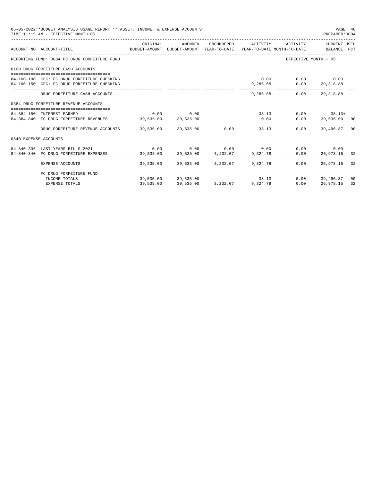|                       | 05-05-2022**BUDGET ANALYSIS USAGE REPORT ** ASSET, INCOME, & EXPENSE ACCOUNTS<br>TIME: 11:15 AM - EFFECTIVE MONTH: 05  |           |             |                                                         |                                                  | PAGE 48<br>PREPARER:0004                              |                |
|-----------------------|------------------------------------------------------------------------------------------------------------------------|-----------|-------------|---------------------------------------------------------|--------------------------------------------------|-------------------------------------------------------|----------------|
|                       | ACCOUNT NO ACCOUNT-TITLE TO PRIMIT AND BUDGET-AMOUNT BUDGET-AMOUNT YEAR-TO-DATE YEAR-TO-DATE MONTH-TO-DATE BALANCE PCT | ORIGINAL  |             | AMENDED ENCUMBERED ACTIVITY ACTIVITY CURRENT_USED       |                                                  |                                                       |                |
|                       | REPORTING FUND: 0084 FC DRUG FORFEITURE FUND                                                                           |           |             |                                                         | EFFECTIVE MONTH - 05                             |                                                       |                |
|                       | 0100 DRUG FORFEITURE CASH ACCOUNTS                                                                                     |           |             |                                                         |                                                  |                                                       |                |
|                       | 84-100-100 CFC: FC DRUG FORFEITURE CHECKING<br>84-100-150 CFC: FC DRUG FORFEITURE CHECKING                             |           |             |                                                         | $0.00$ $0.00$ $0.00$<br>9,286.65- 0.00 29,318.88 |                                                       |                |
|                       | DRUG FORFEITURE CASH ACCOUNTS                                                                                          |           |             |                                                         | $9.286.65 - 0.00$                                | 29, 318, 88                                           |                |
|                       | 0384 DRUG FORFEITURE REVENUE ACCOUNTS                                                                                  |           |             |                                                         |                                                  |                                                       |                |
|                       | 84-384-180 INTEREST EARNED                                                                                             |           | $0.00$ 0.00 |                                                         |                                                  |                                                       |                |
|                       | 84-384-840 FC DRUG FORFEITURE REVENUES 39,535.00 39,535.00                                                             |           |             |                                                         |                                                  | $38.13$ 0.00 $38.13+$<br>$0.00$ $0.00$ $39,535.00$ 00 |                |
|                       | DRUG FORFEITURE REVENUE ACCOUNTS 39.535.00 39.535.00 0.00 38.13                                                        |           |             | .                                                       | 0.00                                             | 39,496.87                                             | 0 <sup>0</sup> |
| 0840 EXPENSE ACCOUNTS |                                                                                                                        |           |             |                                                         |                                                  |                                                       |                |
|                       | 84-840-336 LAST YEARS BILLS 2021                                                                                       |           |             | $0.00$ $0.00$ $0.00$ $0.00$ $0.00$ $0.00$ $0.00$ $0.00$ |                                                  |                                                       |                |
|                       | 84-840-840 FC DRUG FORFEITURE EXPENSES 39,535.00 39,535.00 3,232.07 9,324.78                                           |           |             |                                                         |                                                  | $0.00$ 26,978.15 32                                   |                |
|                       | EXPENSE ACCOUNTS                                                                                                       |           |             | 39,535.00 39,535.00 3,232.07 9,324.78                   | 0.00                                             | 26.978.15 32                                          |                |
|                       | FC DRUG FORFEITURE FUND                                                                                                |           |             |                                                         |                                                  |                                                       |                |
|                       | INCOME TOTALS                                                                                                          |           |             | $39,535.00$ $39,535.00$ $38.13$                         |                                                  | $0.00$ 39,496.87                                      | 00             |
|                       | EXPENSE TOTALS                                                                                                         | 39,535.00 |             | 39,535.00 3,232.07 9,324.78                             | 0.00                                             | 26,978.15                                             | 32             |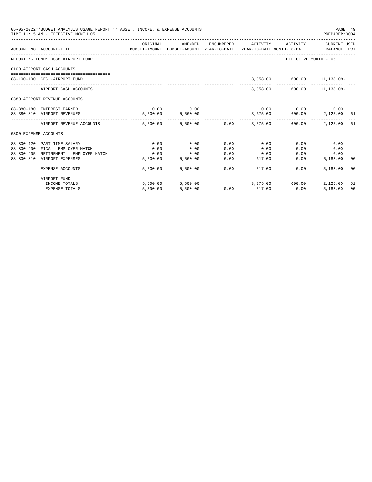| 05-05-2022**BUDGET ANALYSIS USAGE REPORT ** ASSET, INCOME, & EXPENSE ACCOUNTS<br>TIME:11:15 AM - EFFECTIVE MONTH:05 |                                                                            |                                                                                             |                   |              |               |                                        |                      | PAGE 49<br>PREPARER: 0004 |
|---------------------------------------------------------------------------------------------------------------------|----------------------------------------------------------------------------|---------------------------------------------------------------------------------------------|-------------------|--------------|---------------|----------------------------------------|----------------------|---------------------------|
|                                                                                                                     | ACCOUNT NO ACCOUNT-TITLE                                                   | ORIGINAL<br>BUDGET-AMOUNT BUDGET-AMOUNT YEAR-TO-DATE YEAR-TO-DATE MONTH-TO-DATE BALANCE PCT | AMENDED           |              |               | ENCUMBERED ACTIVITY ACTIVITY           | CURRENT USED         |                           |
|                                                                                                                     | REPORTING FUND: 0088 AIRPORT FUND                                          |                                                                                             |                   |              |               | EFFECTIVE MONTH - 05                   |                      |                           |
|                                                                                                                     | 0100 AIRPORT CASH ACCOUNTS                                                 |                                                                                             |                   |              |               |                                        |                      |                           |
|                                                                                                                     | 88-100-100 CFC -AIRPORT FUND                                               |                                                                                             |                   |              |               | 3,058.00 600.00 11,138.09-             |                      |                           |
|                                                                                                                     | AIRPORT CASH ACCOUNTS                                                      |                                                                                             |                   |              |               | 3,058.00 600.00 11,138.09-             |                      |                           |
|                                                                                                                     | 0380 AIRPORT REVENUE ACCOUNTS                                              |                                                                                             |                   |              |               |                                        |                      |                           |
|                                                                                                                     | 88-380-180 INTEREST EARNED                                                 | 0.00                                                                                        | 0.00              |              |               | $0.00$ $0.00$ $0.00$ $0.00$            |                      |                           |
|                                                                                                                     | 88-380-810 AIRPORT REVENUES                                                |                                                                                             | 5,500.00 5,500.00 |              |               | $3,375.00$ 600.00 2,125.00 61          |                      |                           |
|                                                                                                                     | AIRPORT REVENUE ACCOUNTS                                                   |                                                                                             |                   |              |               | 5.500.00 5.500.00 0.00 3.375.00 600.00 | 2,125,00 61          |                           |
| 0800 EXPENSE ACCOUNTS                                                                                               |                                                                            |                                                                                             |                   |              |               |                                        |                      |                           |
|                                                                                                                     |                                                                            |                                                                                             |                   |              |               |                                        |                      |                           |
|                                                                                                                     | 88-800-120 PART TIME SALARY                                                | 0.00                                                                                        | 0.00              | 0.00         | 0.00          | 0.00                                   | 0.00                 |                           |
|                                                                                                                     | 88-800-200 FICA - EMPLOYER MATCH<br>88-800-205 RETIREMENT - EMPLOYER MATCH | 0.00<br>0.00                                                                                | 0.00<br>0.00      | 0.00<br>0.00 | 0.00<br>0.00  | 0.00                                   | 0.00<br>0.00<br>0.00 |                           |
|                                                                                                                     | 88-800-810 AIRPORT EXPENSES                                                | 5,500.00                                                                                    | 5,500.00          | 0.00         | 317.00        | 0.00                                   | 5,183.00 06          |                           |
|                                                                                                                     | EXPENSE ACCOUNTS                                                           | 5,500.00                                                                                    | 5,500.00          | 0.00         |               | 317.00<br>0.00                         | 5,183.00 06          |                           |
|                                                                                                                     | AIRPORT FUND                                                               |                                                                                             |                   |              |               |                                        |                      |                           |
|                                                                                                                     | INCOME TOTALS                                                              |                                                                                             |                   |              |               | 5,500.00 5,500.00 3,375.00 600.00      | 2,125.00             | 61                        |
|                                                                                                                     | <b>EXPENSE TOTALS</b>                                                      | 5,500.00                                                                                    | 5,500.00          |              | $0.00$ 317.00 | 0.00                                   | 5,183.00             | 06                        |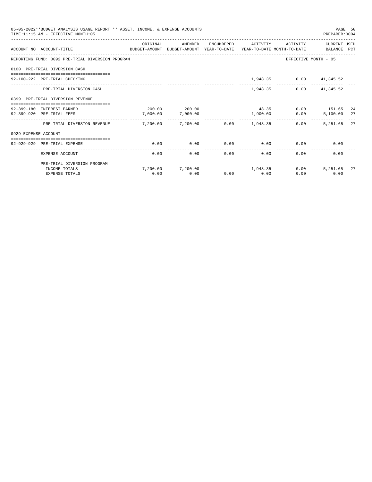| 05-05-2022**BUDGET ANALYSIS USAGE REPORT ** ASSET, INCOME, & EXPENSE ACCOUNTS<br>TIME: 11:15 AM - EFFECTIVE MONTH: 05 |                                                                                                             |                       |                            |                |                       |                         |                           | PAGE 50<br>PREPARER: 0004 |  |
|-----------------------------------------------------------------------------------------------------------------------|-------------------------------------------------------------------------------------------------------------|-----------------------|----------------------------|----------------|-----------------------|-------------------------|---------------------------|---------------------------|--|
|                                                                                                                       | ACCOUNT NO ACCOUNT-TITLE<br>BUDGET-AMOUNT BUDGET-AMOUNT YEAR-TO-DATE YEAR-TO-DATE MONTH-TO-DATE BALANCE PCT | ORIGINAL              | AMENDED                    |                | ENCUMBERED ACTIVITY   | ACTIVITY                | CURRENT USED              |                           |  |
|                                                                                                                       | REPORTING FUND: 0092 PRE-TRIAL DIVERSION PROGRAM                                                            |                       |                            |                |                       |                         | EFFECTIVE MONTH - 05      |                           |  |
|                                                                                                                       | 0100 PRE-TRIAL DIVERSION CASH                                                                               |                       |                            |                |                       |                         |                           |                           |  |
|                                                                                                                       | 92-100-222 PRE-TRIAL CHECKING                                                                               |                       |                            |                |                       | 1,948.35 0.00 41,345.52 |                           |                           |  |
|                                                                                                                       | PRE-TRIAL DIVERSION CASH                                                                                    |                       |                            |                | 1,948.35              |                         | $0.00$ $41,345.52$        |                           |  |
|                                                                                                                       | 0399 PRE-TRIAL DIVERSION REVENUE                                                                            |                       |                            |                |                       |                         |                           |                           |  |
|                                                                                                                       | 92-399-180 INTEREST EARNED                                                                                  |                       | 200.00 200.00              |                |                       | 48.35 0.00 151.65 24    |                           |                           |  |
|                                                                                                                       | 92-399-920 PRE-TRIAL FEES                                                                                   | 7,000.00              | 7,000.00                   |                | 1,900.00              | 0.00                    | 5,100.00 27               |                           |  |
|                                                                                                                       | PRE-TRIAL DIVERSION REVENUE                                                                                 | $7.200.00$ $7.200.00$ |                            |                | $0.00$ 1.948.35       | 0.00                    | 5.251.65 27               |                           |  |
| 0929 EXPENSE ACCOUNT                                                                                                  |                                                                                                             |                       |                            |                |                       |                         |                           |                           |  |
|                                                                                                                       | =============================<br>92-929-929 PRE-TRIAL EXPENSE                                               | 0.00                  | 0.00                       | 0.00           |                       | $0.00$ 0.00             | 0.00                      |                           |  |
|                                                                                                                       | EXPENSE ACCOUNT                                                                                             | 0.00                  | 0.00                       | -------------- | -------------<br>0.00 | $0.00$ and $0.00$       | $0.00$ and $0.00$<br>0.00 |                           |  |
|                                                                                                                       | PRE-TRIAL DIVERSION PROGRAM                                                                                 |                       |                            |                |                       |                         |                           |                           |  |
|                                                                                                                       | INCOME TOTALS                                                                                               |                       | 7,200.00 7,200.00 1,948.35 |                |                       | 0.00                    | 5,251.65                  | 27                        |  |
|                                                                                                                       | <b>EXPENSE TOTALS</b>                                                                                       | 0.00                  | 0.00                       |                | $0.00$ 0.00           | 0.00                    | 0.00                      |                           |  |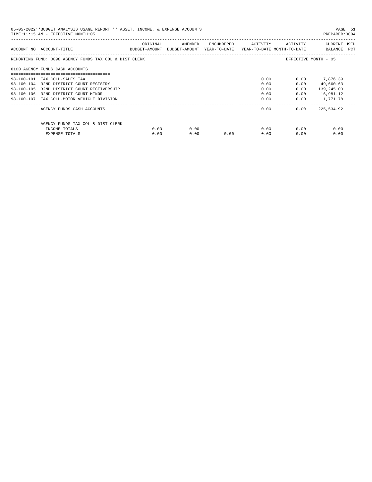| 05-05-2022**BUDGET ANALYSIS USAGE REPORT ** ASSET, INCOME, & EXPENSE ACCOUNTS<br>PREPARER:0004<br>TIME: 11:15 AM - EFFECTIVE MONTH: 05 |                                                        |          |                                                                                |            |          |              |                             |
|----------------------------------------------------------------------------------------------------------------------------------------|--------------------------------------------------------|----------|--------------------------------------------------------------------------------|------------|----------|--------------|-----------------------------|
|                                                                                                                                        | ACCOUNT NO ACCOUNT-TITLE                               | ORIGINAL | AMENDED<br>BUDGET-AMOUNT BUDGET-AMOUNT YEAR-TO-DATE YEAR-TO-DATE MONTH-TO-DATE | ENCUMBERED | ACTIVITY | ACTIVITY     | CURRENT USED<br>BALANCE PCT |
|                                                                                                                                        | REPORTING FUND: 0098 AGENCY FUNDS TAX COL & DIST CLERK |          |                                                                                |            |          |              | EFFECTIVE MONTH - 05        |
|                                                                                                                                        | 0100 AGENCY FUNDS CASH ACCOUNTS                        |          |                                                                                |            |          |              |                             |
|                                                                                                                                        | 98-100-101 TAX COLL-SALES TAX                          |          |                                                                                |            | 0.00     |              | $0.00$ 7,876.39             |
|                                                                                                                                        | 98-100-104 32ND DISTRICT COURT REGISTRY                |          |                                                                                |            | 0.00     | 0.00         | 49,660.63                   |
| 98-100-105                                                                                                                             | 32ND DISTRICT COURT RECEIVERSHIP                       |          |                                                                                |            | 0.00     | 0.00         | 139,245.00                  |
|                                                                                                                                        | 98-100-106 32ND DISTRICT COURT MINOR                   |          |                                                                                |            | 0.00     | 0.00         | 16,981.12                   |
|                                                                                                                                        | 98-100-107 TAX COLL-MOTOR VEHICLE DIVISION             |          |                                                                                |            | 0.00     | 0.00         | 11,771.78                   |
|                                                                                                                                        | AGENCY FUNDS CASH ACCOUNTS                             |          |                                                                                |            | 0.00     | 0.00         | 225,534.92                  |
|                                                                                                                                        | AGENCY FUNDS TAX COL & DIST CLERK                      |          |                                                                                |            |          |              |                             |
|                                                                                                                                        | INCOME TOTALS                                          | 0.00     | 0.00                                                                           |            |          | 0.00<br>0.00 | 0.00                        |
|                                                                                                                                        | EXPENSE TOTALS                                         | 0.00     | 0.00                                                                           | 0.00       | 0.00     | 0.00         | 0.00                        |